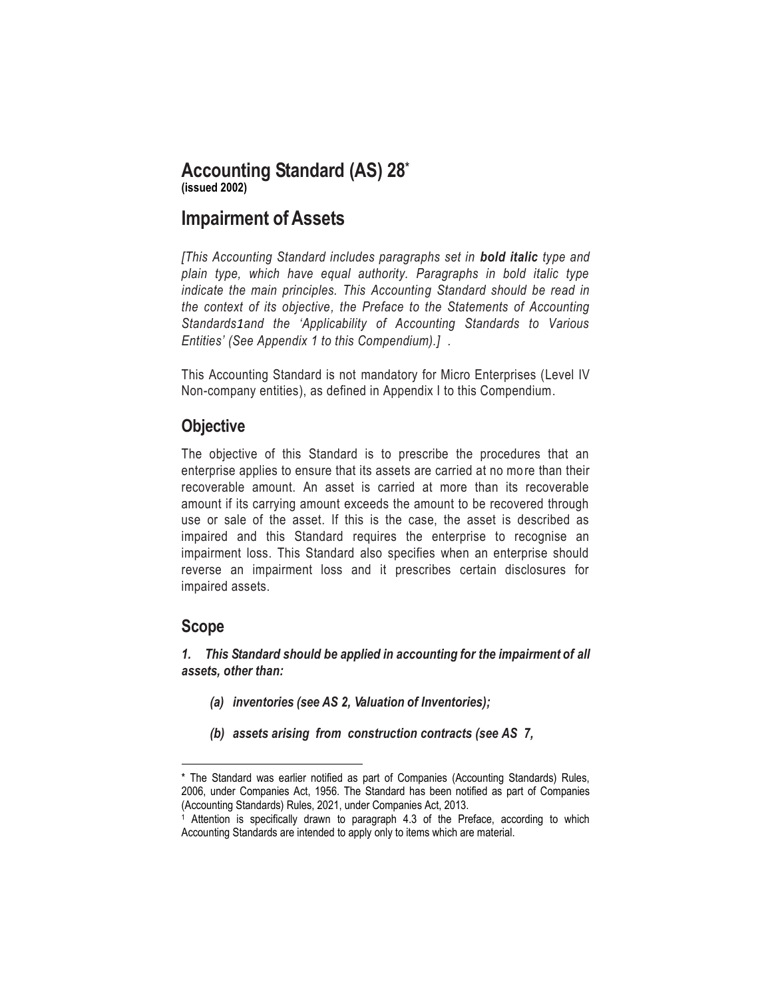# **Accounting Standard (AS) 28\* (issued 2002)**

# **Impairment of Assets**

*[This Accounting Standard includes paragraphs set in bold italic type and plain type, which have equal authority. Paragraphs in bold italic type indicate the main principles. This Accounting Standard should be read in the context of its objective, the Preface to the Statements of Accounting Standards1and the 'Applicability of Accounting Standards to Various Entities' (See Appendix 1 to this Compendium).] .*

This Accounting Standard is not mandatory for Micro Enterprises (Level IV Non-company entities), as defined in Appendix I to this Compendium.

# **Objective**

The objective of this Standard is to prescribe the procedures that an enterprise applies to ensure that its assets are carried at no more than their recoverable amount. An asset is carried at more than its recoverable amount if its carrying amount exceeds the amount to be recovered through use or sale of the asset. If this is the case, the asset is described as impaired and this Standard requires the enterprise to recognise an impairment loss. This Standard also specifies when an enterprise should reverse an impairment loss and it prescribes certain disclosures for impaired assets.

# **Scope**

-

*1. This Standard should be applied in accounting for the impairment of all assets, other than:*

- *(a) inventories (see AS 2, Valuation of Inventories);*
- *(b) assets arising from construction contracts (see AS 7,*

<sup>\*</sup> The Standard was earlier notified as part of Companies (Accounting Standards) Rules, 2006, under Companies Act, 1956. The Standard has been notified as part of Companies (Accounting Standards) Rules, 2021, under Companies Act, 2013.

<sup>1</sup> Attention is specifically drawn to paragraph 4.3 of the Preface, according to which Accounting Standards are intended to apply only to items which are material.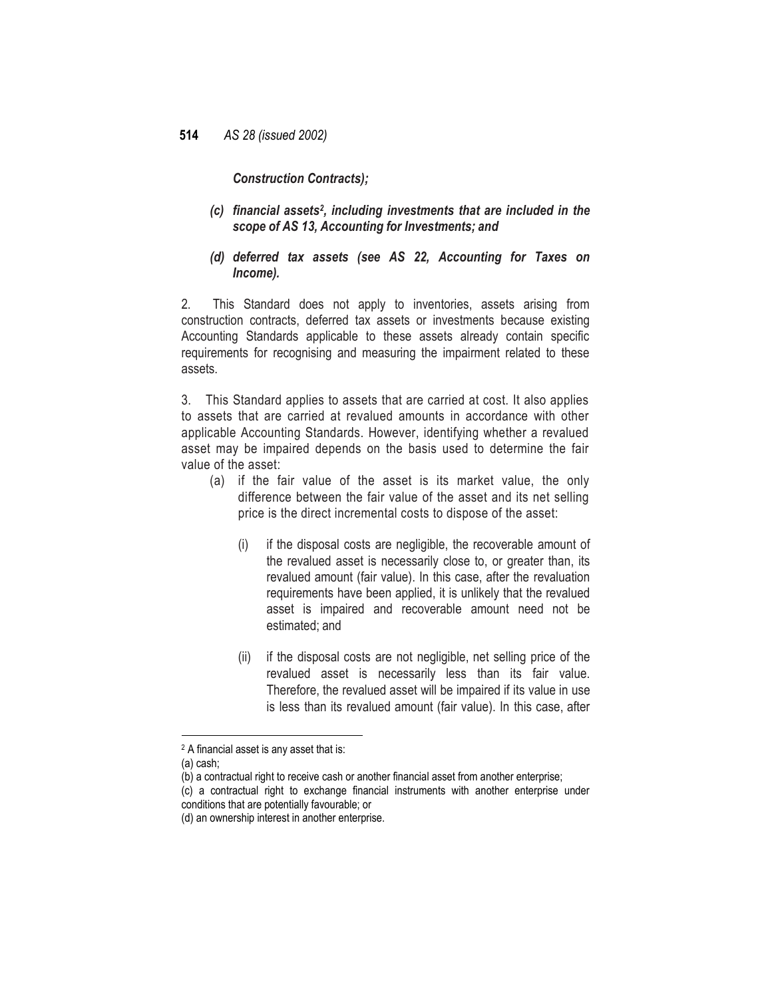*Construction Contracts);*

- *(c) financial assets<sup>2</sup> , including investments that are included in the scope of AS 13, Accounting for Investments; and*
- *(d) deferred tax assets (see AS 22, Accounting for Taxes on Income).*

2. This Standard does not apply to inventories, assets arising from construction contracts, deferred tax assets or investments because existing Accounting Standards applicable to these assets already contain specific requirements for recognising and measuring the impairment related to these assets.

3. This Standard applies to assets that are carried at cost. It also applies to assets that are carried at revalued amounts in accordance with other applicable Accounting Standards. However, identifying whether a revalued asset may be impaired depends on the basis used to determine the fair value of the asset:

- (a) if the fair value of the asset is its market value, the only difference between the fair value of the asset and its net selling price is the direct incremental costs to dispose of the asset:
	- (i) if the disposal costs are negligible, the recoverable amount of the revalued asset is necessarily close to, or greater than, its revalued amount (fair value). In this case, after the revaluation requirements have been applied, it is unlikely that the revalued asset is impaired and recoverable amount need not be estimated; and
	- (ii) if the disposal costs are not negligible, net selling price of the revalued asset is necessarily less than its fair value. Therefore, the revalued asset will be impaired if its value in use is less than its revalued amount (fair value). In this case, after

-

<sup>2</sup> A financial asset is any asset that is:

<sup>(</sup>a) cash;

<sup>(</sup>b) a contractual right to receive cash or another financial asset from another enterprise;

<sup>(</sup>c) a contractual right to exchange financial instruments with another enterprise under conditions that are potentially favourable; or

<sup>(</sup>d) an ownership interest in another enterprise.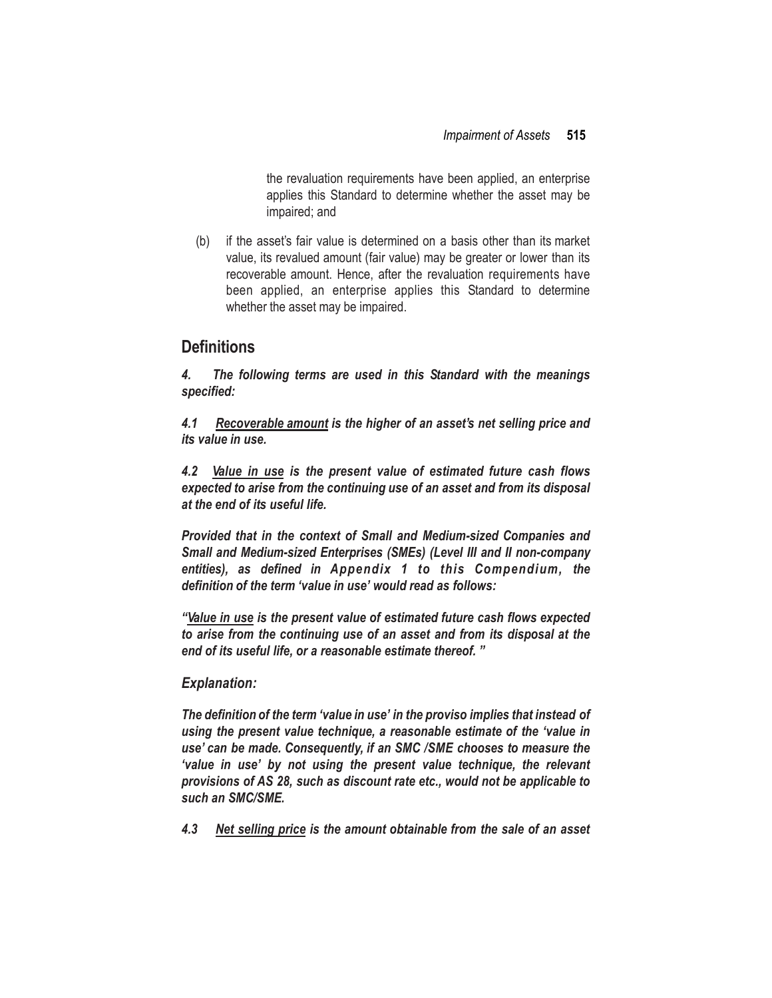the revaluation requirements have been applied, an enterprise applies this Standard to determine whether the asset may be impaired; and

(b) if the asset's fair value is determined on a basis other than its market value, its revalued amount (fair value) may be greater or lower than its recoverable amount. Hence, after the revaluation requirements have been applied, an enterprise applies this Standard to determine whether the asset may be impaired.

# **Definitions**

*4. The following terms are used in this Standard with the meanings specified:*

*4.1 Recoverable amount is the higher of an asset's net selling price and its value in use.*

*4.2 Value in use is the present value of estimated future cash flows expected to arise from the continuing use of an asset and from its disposal at the end of its useful life.*

*Provided that in the context of Small and Medium-sized Companies and Small and Medium-sized Enterprises (SMEs) (Level III and II non-company entities), as defined in Appendix 1 to this Compendium, the definition of the term 'value in use' would read as follows:*

*"Value in use is the present value of estimated future cash flows expected to arise from the continuing use of an asset and from its disposal at the end of its useful life, or a reasonable estimate thereof. "*

#### *Explanation:*

*The definition of the term 'value in use' in the proviso implies that instead of using the present value technique, a reasonable estimate of the 'value in use' can be made. Consequently, if an SMC /SME chooses to measure the 'value in use' by not using the present value technique, the relevant provisions of AS 28, such as discount rate etc., would not be applicable to such an SMC/SME.*

*4.3 Net selling price is the amount obtainable from the sale of an asset*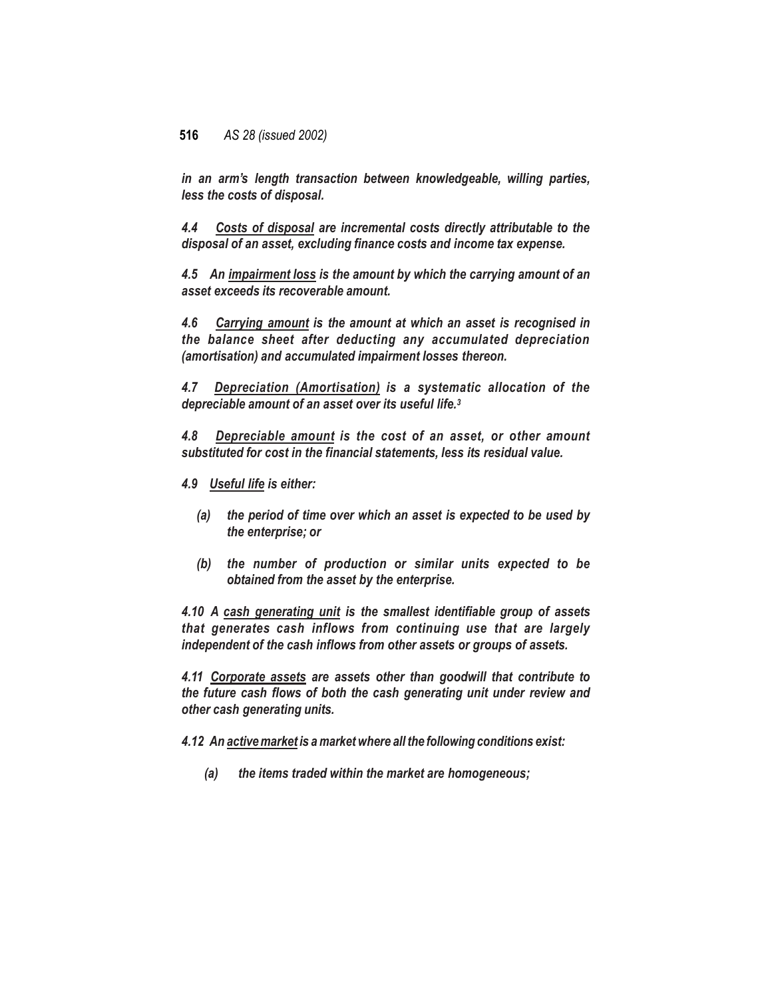*in an arm's length transaction between knowledgeable, willing parties, less the costs of disposal.*

*4.4 Costs of disposal are incremental costs directly attributable to the disposal of an asset, excluding finance costs and income tax expense.*

*4.5 An impairment loss is the amount by which the carrying amount of an asset exceeds its recoverable amount.*

*4.6 Carrying amount is the amount at which an asset is recognised in the balance sheet after deducting any accumulated depreciation (amortisation) and accumulated impairment losses thereon.*

*4.7 Depreciation (Amortisation) is a systematic allocation of the depreciable amount of an asset over its useful life. 3*

*4.8 Depreciable amount is the cost of an asset, or other amount substituted for cost in the financial statements, less its residual value.*

- *4.9 Useful life is either:*
	- *(a) the period of time over which an asset is expected to be used by the enterprise; or*
	- *(b) the number of production or similar units expected to be obtained from the asset by the enterprise.*

*4.10 A cash generating unit is the smallest identifiable group of assets that generates cash inflows from continuing use that are largely independent of the cash inflows from other assets or groups of assets.*

*4.11 Corporate assets are assets other than goodwill that contribute to the future cash flows of both the cash generating unit under review and other cash generating units.*

*4.12 An activemarketis a market where all the following conditions exist:* 

*(a) the items traded within the market are homogeneous;*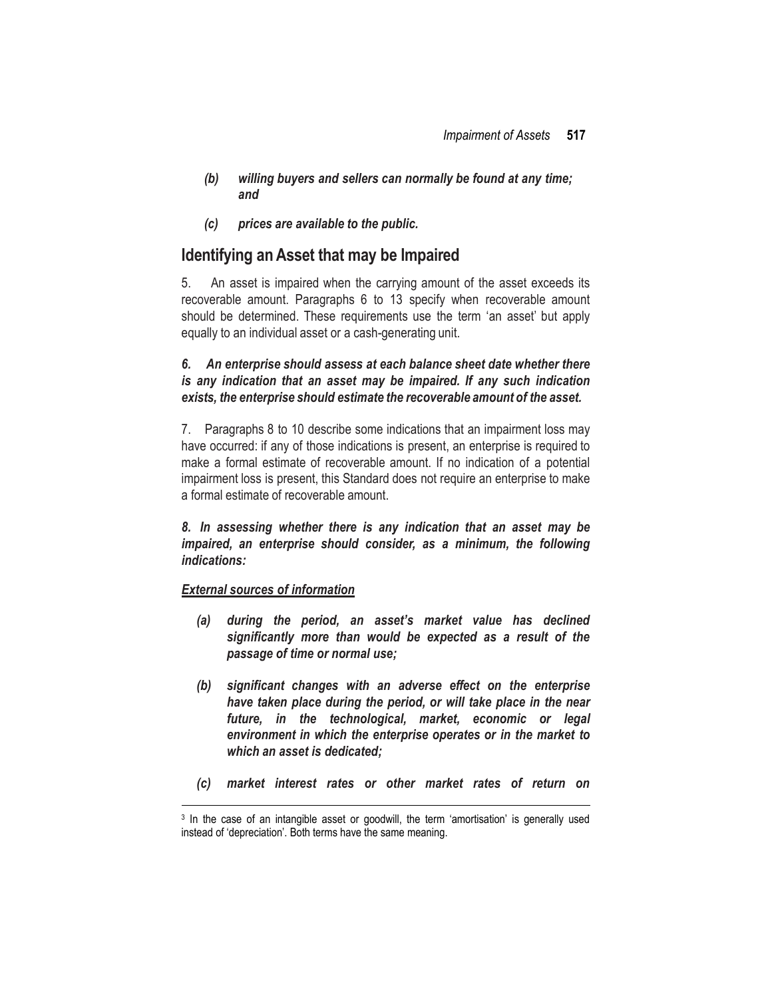- *(b) willing buyers and sellers can normally be found at any time; and*
- *(c) prices are available to the public.*

# **Identifying an Asset that may be Impaired**

5. An asset is impaired when the carrying amount of the asset exceeds its recoverable amount. Paragraphs 6 to 13 specify when recoverable amount should be determined. These requirements use the term 'an asset' but apply equally to an individual asset or a cash-generating unit.

## *6. An enterprise should assess at each balance sheet date whether there is any indication that an asset may be impaired. If any such indication exists, the enterprise should estimate the recoverable amount of the asset.*

7. Paragraphs 8 to 10 describe some indications that an impairment loss may have occurred: if any of those indications is present, an enterprise is required to make a formal estimate of recoverable amount. If no indication of a potential impairment loss is present, this Standard does not require an enterprise to make a formal estimate of recoverable amount.

*8. In assessing whether there is any indication that an asset may be impaired, an enterprise should consider, as a minimum, the following indications:*

#### *External sources of information*

1

- *(a) during the period, an asset's market value has declined significantly more than would be expected as a result of the passage of time or normal use;*
- *(b) significant changes with an adverse effect on the enterprise have taken place during the period, or will take place in the near future, in the technological, market, economic or legal environment in which the enterprise operates or in the market to which an asset is dedicated;*
- *(c) market interest rates or other market rates of return on*

<sup>&</sup>lt;sup>3</sup> In the case of an intangible asset or goodwill, the term 'amortisation' is generally used instead of 'depreciation'. Both terms have the same meaning.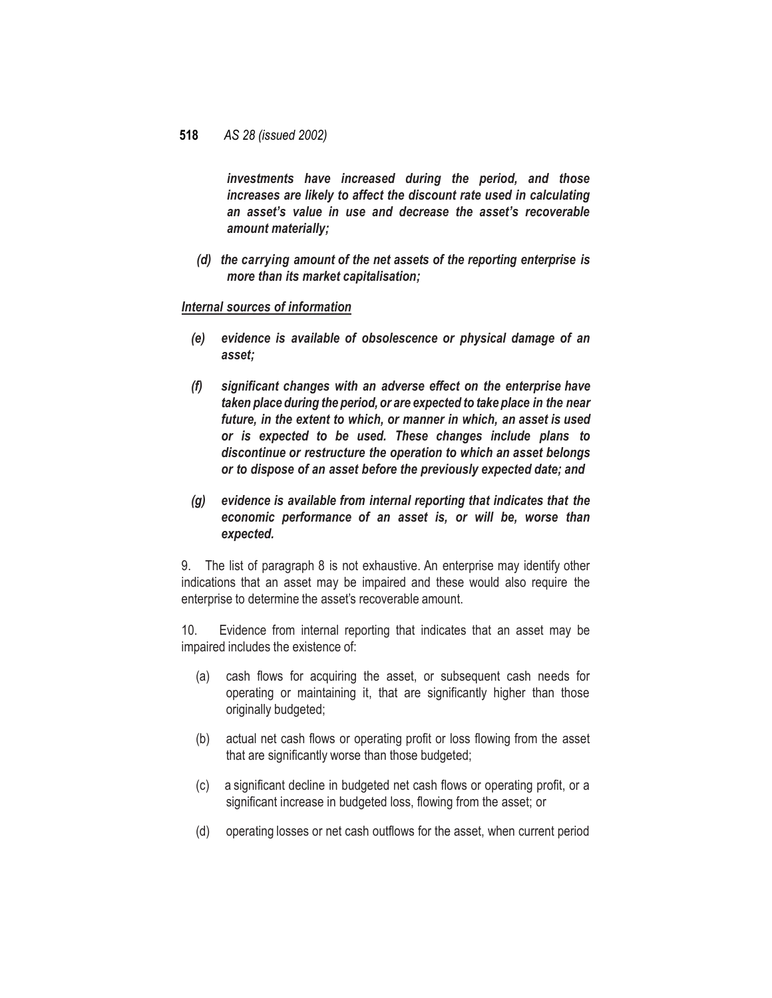*investments have increased during the period, and those increases are likely to affect the discount rate used in calculating an asset's value in use and decrease the asset's recoverable amount materially;*

*(d) the carrying amount of the net assets of the reporting enterprise is more than its market capitalisation;*

#### *Internal sources of information*

- *(e) evidence is available of obsolescence or physical damage of an asset;*
- *(f) significant changes with an adverse effect on the enterprise have taken place during the period, or are expected to take place in the near future, in the extent to which, or manner in which, an asset is used or is expected to be used. These changes include plans to discontinue or restructure the operation to which an asset belongs or to dispose of an asset before the previously expected date; and*
- *(g) evidence is available from internal reporting that indicates that the economic performance of an asset is, or will be, worse than expected.*

9. The list of paragraph 8 is not exhaustive. An enterprise may identify other indications that an asset may be impaired and these would also require the enterprise to determine the asset's recoverable amount.

10. Evidence from internal reporting that indicates that an asset may be impaired includes the existence of:

- (a) cash flows for acquiring the asset, or subsequent cash needs for operating or maintaining it, that are significantly higher than those originally budgeted;
- (b) actual net cash flows or operating profit or loss flowing from the asset that are significantly worse than those budgeted;
- (c) a significant decline in budgeted net cash flows or operating profit, or a significant increase in budgeted loss, flowing from the asset; or
- (d) operating losses or net cash outflows for the asset, when current period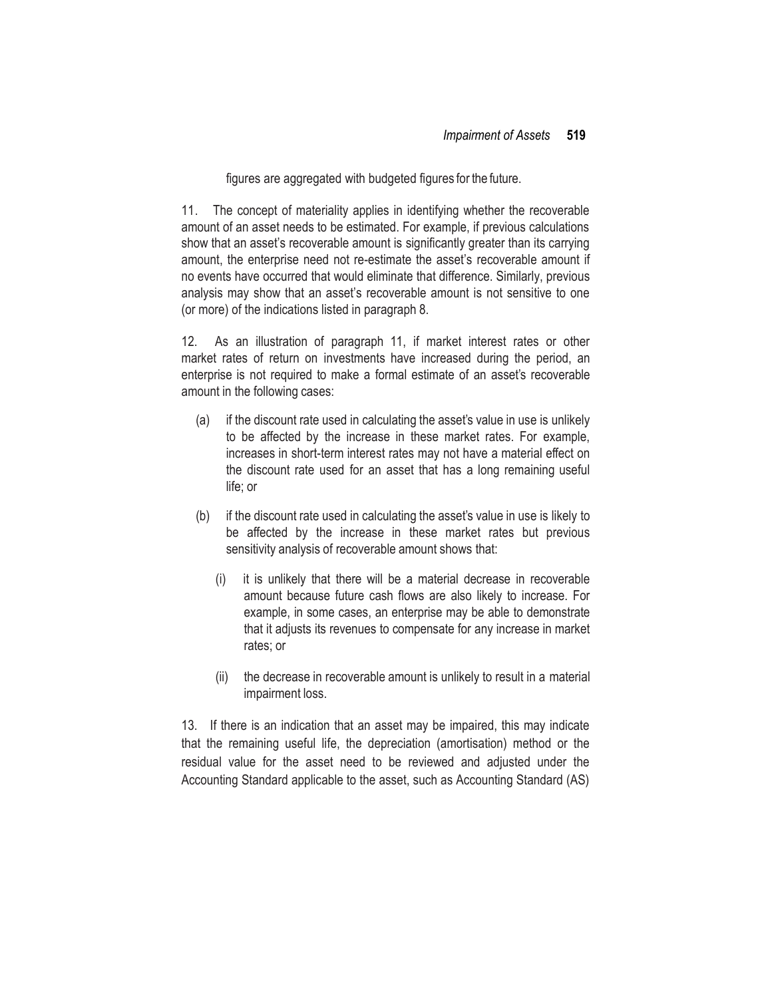figures are aggregated with budgeted figures for the future.

11. The concept of materiality applies in identifying whether the recoverable amount of an asset needs to be estimated. For example, if previous calculations show that an asset's recoverable amount is significantly greater than its carrying amount, the enterprise need not re-estimate the asset's recoverable amount if no events have occurred that would eliminate that difference. Similarly, previous analysis may show that an asset's recoverable amount is not sensitive to one (or more) of the indications listed in paragraph 8.

12. As an illustration of paragraph 11, if market interest rates or other market rates of return on investments have increased during the period, an enterprise is not required to make a formal estimate of an asset's recoverable amount in the following cases:

- (a) if the discount rate used in calculating the asset's value in use is unlikely to be affected by the increase in these market rates. For example, increases in short-term interest rates may not have a material effect on the discount rate used for an asset that has a long remaining useful life; or
- (b) if the discount rate used in calculating the asset's value in use is likely to be affected by the increase in these market rates but previous sensitivity analysis of recoverable amount shows that:
	- (i) it is unlikely that there will be a material decrease in recoverable amount because future cash flows are also likely to increase. For example, in some cases, an enterprise may be able to demonstrate that it adjusts its revenues to compensate for any increase in market rates; or
	- (ii) the decrease in recoverable amount is unlikely to result in a material impairment loss.

13. If there is an indication that an asset may be impaired, this may indicate that the remaining useful life, the depreciation (amortisation) method or the residual value for the asset need to be reviewed and adjusted under the Accounting Standard applicable to the asset, such as Accounting Standard (AS)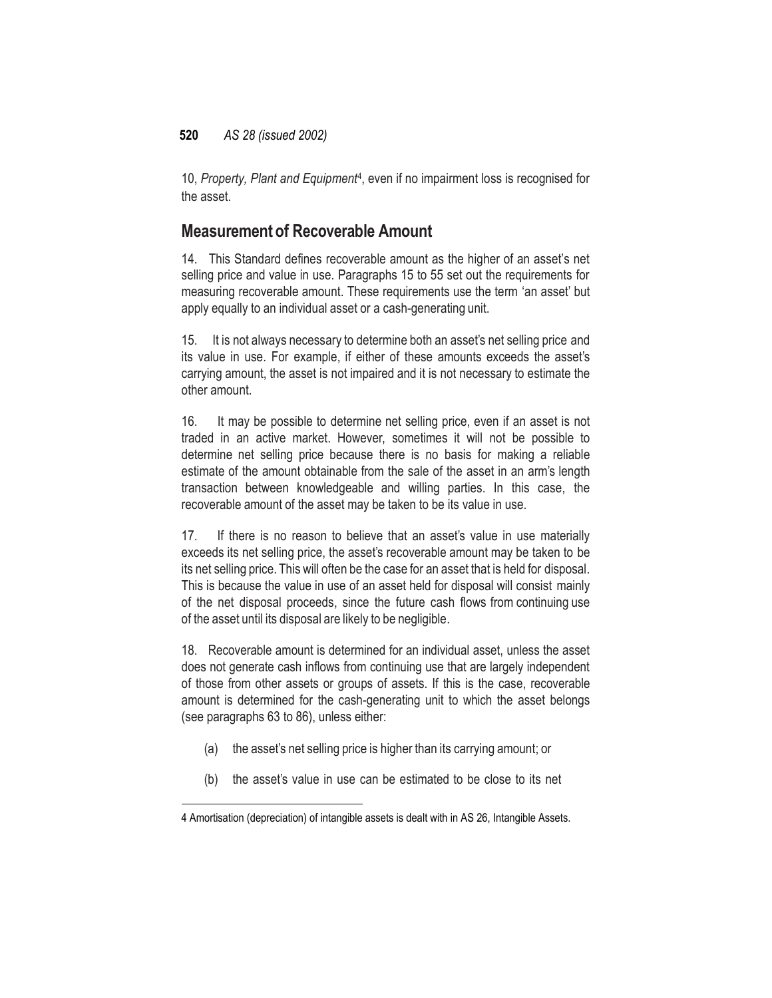10, *Property, Plant and Equipment*<sup>4</sup> , even if no impairment loss is recognised for the asset.

# **Measurement of Recoverable Amount**

14. This Standard defines recoverable amount as the higher of an asset's net selling price and value in use. Paragraphs 15 to 55 set out the requirements for measuring recoverable amount. These requirements use the term 'an asset' but apply equally to an individual asset or a cash-generating unit.

15. It is not always necessary to determine both an asset's net selling price and its value in use. For example, if either of these amounts exceeds the asset's carrying amount, the asset is not impaired and it is not necessary to estimate the other amount.

16. It may be possible to determine net selling price, even if an asset is not traded in an active market. However, sometimes it will not be possible to determine net selling price because there is no basis for making a reliable estimate of the amount obtainable from the sale of the asset in an arm's length transaction between knowledgeable and willing parties. In this case, the recoverable amount of the asset may be taken to be its value in use.

17. If there is no reason to believe that an asset's value in use materially exceeds its net selling price, the asset's recoverable amount may be taken to be its net selling price. This will often be the case for an asset that is held for disposal. This is because the value in use of an asset held for disposal will consist mainly of the net disposal proceeds, since the future cash flows from continuing use of the asset until its disposal are likely to be negligible.

18. Recoverable amount is determined for an individual asset, unless the asset does not generate cash inflows from continuing use that are largely independent of those from other assets or groups of assets. If this is the case, recoverable amount is determined for the cash-generating unit to which the asset belongs (see paragraphs 63 to 86), unless either:

- (a) the asset's net selling price is higher than its carrying amount; or
- (b) the asset's value in use can be estimated to be close to its net

**.** 

<sup>4</sup> Amortisation (depreciation) of intangible assets is dealt with in AS 26, Intangible Assets.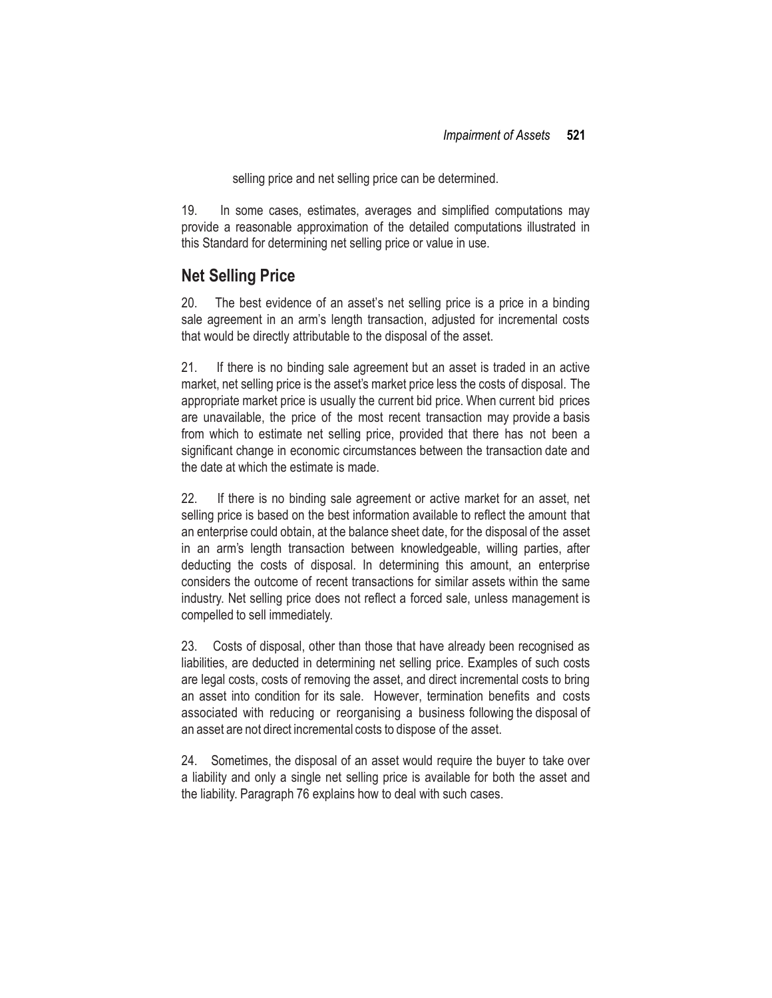selling price and net selling price can be determined.

19. In some cases, estimates, averages and simplified computations may provide a reasonable approximation of the detailed computations illustrated in this Standard for determining net selling price or value in use.

# **Net Selling Price**

20. The best evidence of an asset's net selling price is a price in a binding sale agreement in an arm's length transaction, adjusted for incremental costs that would be directly attributable to the disposal of the asset.

21. If there is no binding sale agreement but an asset is traded in an active market, net selling price is the asset's market price less the costs of disposal. The appropriate market price is usually the current bid price. When current bid prices are unavailable, the price of the most recent transaction may provide a basis from which to estimate net selling price, provided that there has not been a significant change in economic circumstances between the transaction date and the date at which the estimate is made.

22. If there is no binding sale agreement or active market for an asset, net selling price is based on the best information available to reflect the amount that an enterprise could obtain, at the balance sheet date, for the disposal of the asset in an arm's length transaction between knowledgeable, willing parties, after deducting the costs of disposal. In determining this amount, an enterprise considers the outcome of recent transactions for similar assets within the same industry. Net selling price does not reflect a forced sale, unless management is compelled to sell immediately.

23. Costs of disposal, other than those that have already been recognised as liabilities, are deducted in determining net selling price. Examples of such costs are legal costs, costs of removing the asset, and direct incremental costs to bring an asset into condition for its sale. However, termination benefits and costs associated with reducing or reorganising a business following the disposal of an asset are not direct incremental costs to dispose of the asset.

24. Sometimes, the disposal of an asset would require the buyer to take over a liability and only a single net selling price is available for both the asset and the liability. Paragraph 76 explains how to deal with such cases.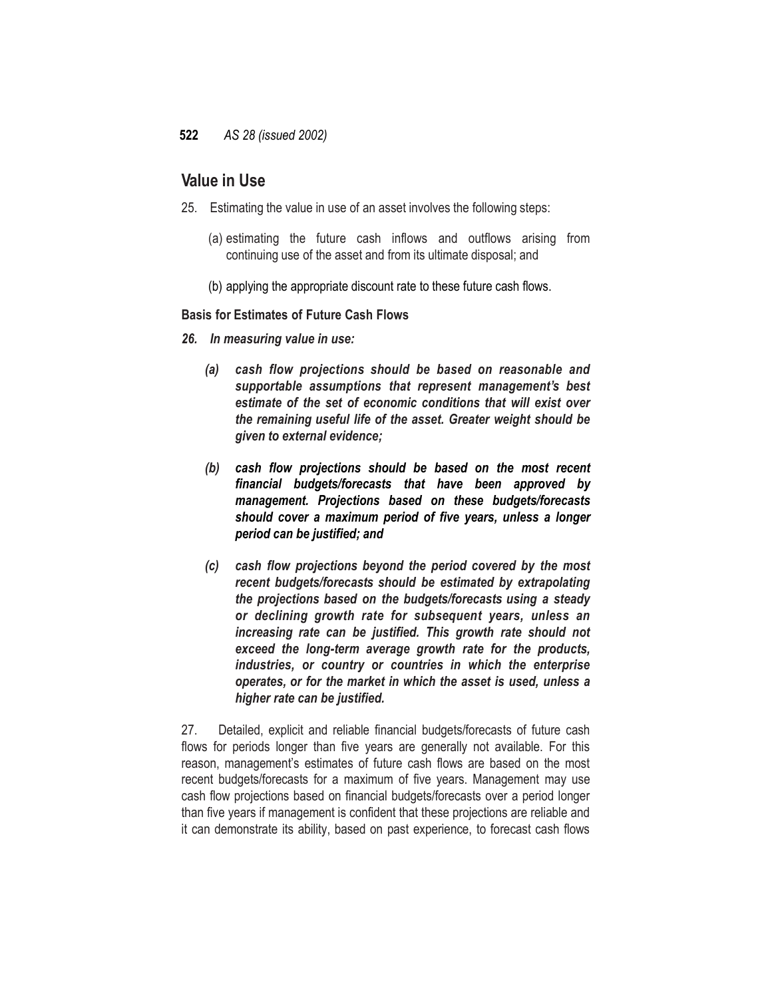## **Value in Use**

- 25. Estimating the value in use of an asset involves the following steps:
	- (a) estimating the future cash inflows and outflows arising from continuing use of the asset and from its ultimate disposal; and
	- (b) applying the appropriate discount rate to these future cash flows.

#### **Basis for Estimates of Future Cash Flows**

- *26. In measuring value in use:*
	- *(a) cash flow projections should be based on reasonable and supportable assumptions that represent management's best estimate of the set of economic conditions that will exist over the remaining useful life of the asset. Greater weight should be given to external evidence;*
	- *(b) cash flow projections should be based on the most recent financial budgets/forecasts that have been approved by management. Projections based on these budgets/forecasts should cover a maximum period of five years, unless a longer period can be justified; and*
	- *(c) cash flow projections beyond the period covered by the most recent budgets/forecasts should be estimated by extrapolating the projections based on the budgets/forecasts using a steady or declining growth rate for subsequent years, unless an increasing rate can be justified. This growth rate should not exceed the long-term average growth rate for the products, industries, or country or countries in which the enterprise operates, or for the market in which the asset is used, unless a higher rate can be justified.*

27. Detailed, explicit and reliable financial budgets/forecasts of future cash flows for periods longer than five years are generally not available. For this reason, management's estimates of future cash flows are based on the most recent budgets/forecasts for a maximum of five years. Management may use cash flow projections based on financial budgets/forecasts over a period longer than five years if management is confident that these projections are reliable and it can demonstrate its ability, based on past experience, to forecast cash flows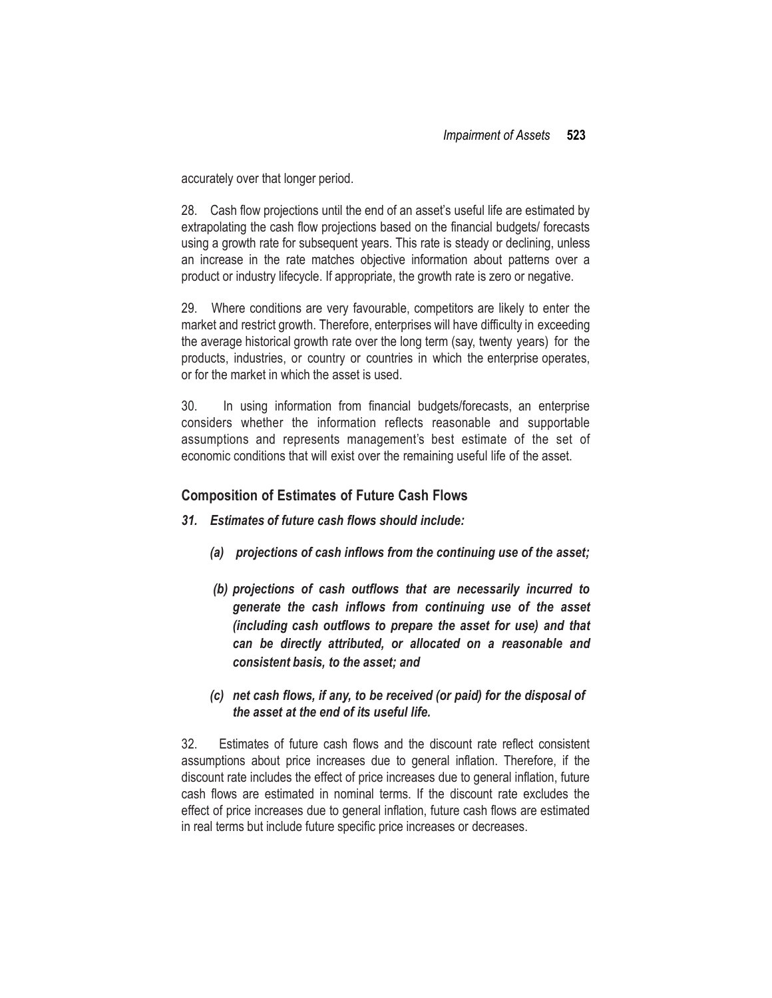accurately over that longer period.

28. Cash flow projections until the end of an asset's useful life are estimated by extrapolating the cash flow projections based on the financial budgets/ forecasts using a growth rate for subsequent years. This rate is steady or declining, unless an increase in the rate matches objective information about patterns over a product or industry lifecycle. If appropriate, the growth rate is zero or negative.

29. Where conditions are very favourable, competitors are likely to enter the market and restrict growth. Therefore, enterprises will have difficulty in exceeding the average historical growth rate over the long term (say, twenty years) for the products, industries, or country or countries in which the enterprise operates, or for the market in which the asset is used.

30. In using information from financial budgets/forecasts, an enterprise considers whether the information reflects reasonable and supportable assumptions and represents management's best estimate of the set of economic conditions that will exist over the remaining useful life of the asset.

#### **Composition of Estimates of Future Cash Flows**

- *31. Estimates of future cash flows should include:*
	- *(a) projections of cash inflows from the continuing use of the asset;*
	- *(b) projections of cash outflows that are necessarily incurred to generate the cash inflows from continuing use of the asset (including cash outflows to prepare the asset for use) and that can be directly attributed, or allocated on a reasonable and consistent basis, to the asset; and*
	- *(c) net cash flows, if any, to be received (or paid) for the disposal of the asset at the end of its useful life.*

32. Estimates of future cash flows and the discount rate reflect consistent assumptions about price increases due to general inflation. Therefore, if the discount rate includes the effect of price increases due to general inflation, future cash flows are estimated in nominal terms. If the discount rate excludes the effect of price increases due to general inflation, future cash flows are estimated in real terms but include future specific price increases or decreases.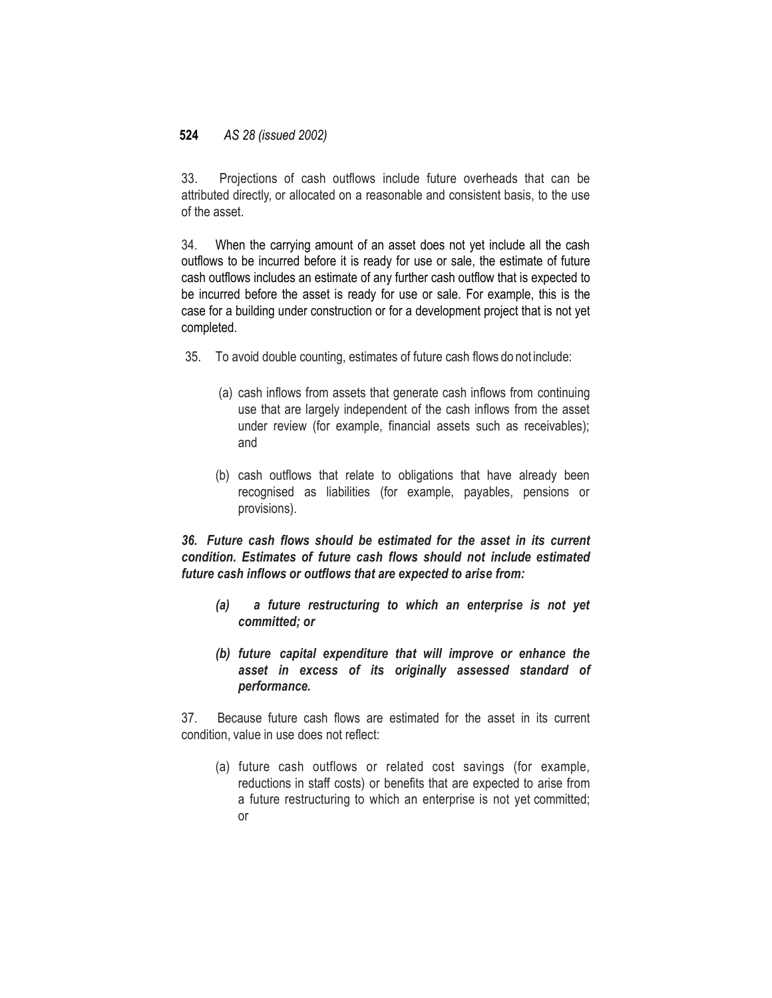33. Projections of cash outflows include future overheads that can be attributed directly, or allocated on a reasonable and consistent basis, to the use of the asset.

34. When the carrying amount of an asset does not yet include all the cash outflows to be incurred before it is ready for use or sale, the estimate of future cash outflows includes an estimate of any further cash outflow that is expected to be incurred before the asset is ready for use or sale. For example, this is the case for a building under construction or for a development project that is not yet completed.

- 35. To avoid double counting, estimates of future cash flows do not include:
	- (a) cash inflows from assets that generate cash inflows from continuing use that are largely independent of the cash inflows from the asset under review (for example, financial assets such as receivables); and
	- (b) cash outflows that relate to obligations that have already been recognised as liabilities (for example, payables, pensions or provisions).

*36. Future cash flows should be estimated for the asset in its current condition. Estimates of future cash flows should not include estimated future cash inflows or outflows that are expected to arise from:*

- *(a) a future restructuring to which an enterprise is not yet committed; or*
- *(b) future capital expenditure that will improve or enhance the asset in excess of its originally assessed standard of performance.*

37. Because future cash flows are estimated for the asset in its current condition, value in use does not reflect:

(a) future cash outflows or related cost savings (for example, reductions in staff costs) or benefits that are expected to arise from a future restructuring to which an enterprise is not yet committed; or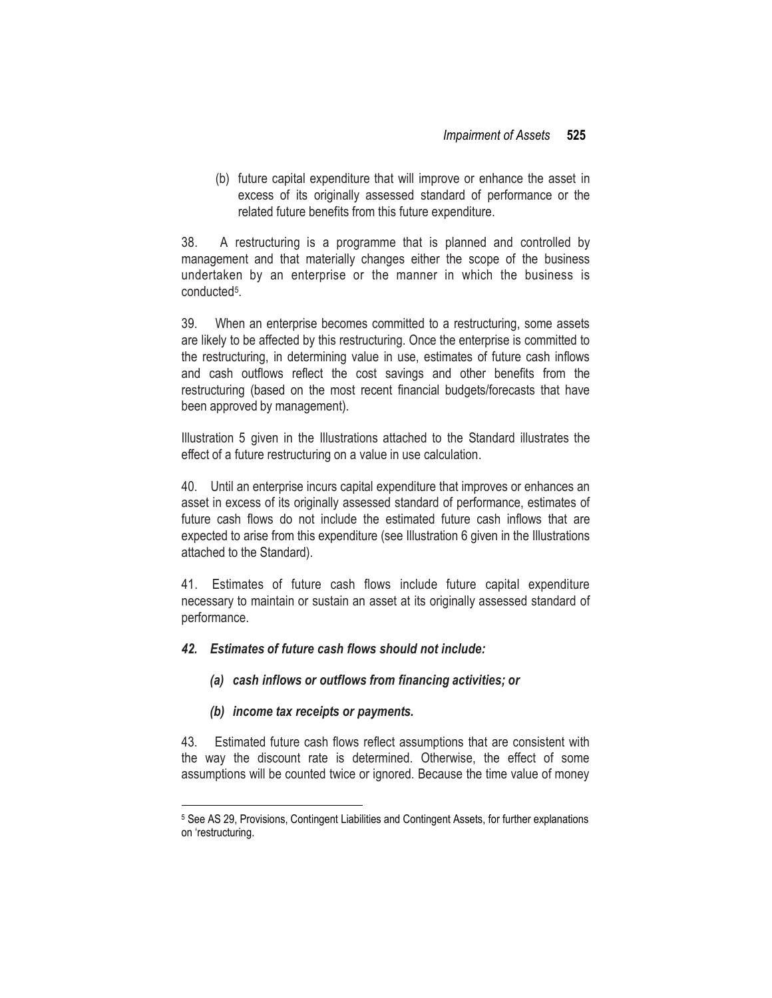(b) future capital expenditure that will improve or enhance the asset in excess of its originally assessed standard of performance or the related future benefits from this future expenditure.

38. A restructuring is a programme that is planned and controlled by management and that materially changes either the scope of the business undertaken by an enterprise or the manner in which the business is conducted<sup>5</sup> .

39. When an enterprise becomes committed to a restructuring, some assets are likely to be affected by this restructuring. Once the enterprise is committed to the restructuring, in determining value in use, estimates of future cash inflows and cash outflows reflect the cost savings and other benefits from the restructuring (based on the most recent financial budgets/forecasts that have been approved by management).

Illustration 5 given in the Illustrations attached to the Standard illustrates the effect of a future restructuring on a value in use calculation.

40. Until an enterprise incurs capital expenditure that improves or enhances an asset in excess of its originally assessed standard of performance, estimates of future cash flows do not include the estimated future cash inflows that are expected to arise from this expenditure (see Illustration 6 given in the Illustrations attached to the Standard).

41. Estimates of future cash flows include future capital expenditure necessary to maintain or sustain an asset at its originally assessed standard of performance.

#### *42. Estimates of future cash flows should not include:*

#### *(a) cash inflows or outflows from financing activities; or*

#### *(b) income tax receipts or payments.*

1

43. Estimated future cash flows reflect assumptions that are consistent with the way the discount rate is determined. Otherwise, the effect of some assumptions will be counted twice or ignored. Because the time value of money

<sup>5</sup> See AS 29, Provisions, Contingent Liabilities and Contingent Assets, for further explanations on 'restructuring.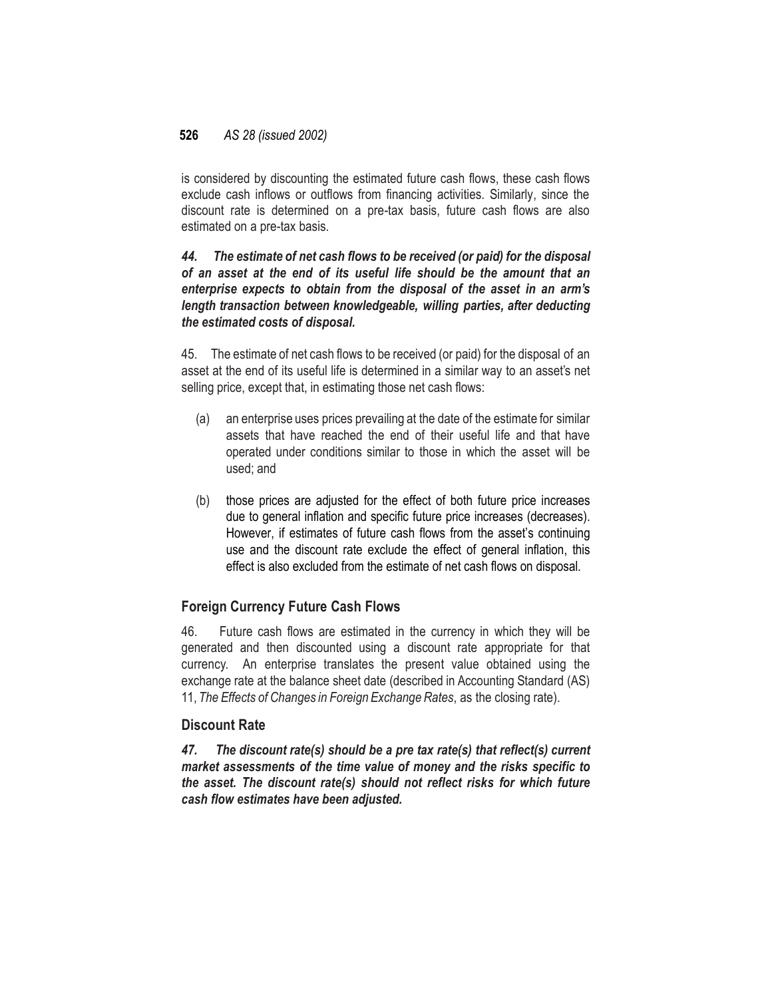is considered by discounting the estimated future cash flows, these cash flows exclude cash inflows or outflows from financing activities. Similarly, since the discount rate is determined on a pre-tax basis, future cash flows are also estimated on a pre-tax basis.

## *44. The estimate of net cash flows to be received (or paid) for the disposal of an asset at the end of its useful life should be the amount that an enterprise expects to obtain from the disposal of the asset in an arm's length transaction between knowledgeable, willing parties, after deducting the estimated costs of disposal.*

45. The estimate of net cash flows to be received (or paid) for the disposal of an asset at the end of its useful life is determined in a similar way to an asset's net selling price, except that, in estimating those net cash flows:

- (a) an enterprise uses prices prevailing at the date of the estimate for similar assets that have reached the end of their useful life and that have operated under conditions similar to those in which the asset will be used; and
- (b) those prices are adjusted for the effect of both future price increases due to general inflation and specific future price increases (decreases). However, if estimates of future cash flows from the asset's continuing use and the discount rate exclude the effect of general inflation, this effect is also excluded from the estimate of net cash flows on disposal.

# **Foreign Currency Future Cash Flows**

46. Future cash flows are estimated in the currency in which they will be generated and then discounted using a discount rate appropriate for that currency. An enterprise translates the present value obtained using the exchange rate at the balance sheet date (described in Accounting Standard (AS) 11, *The Effects of Changes in Foreign Exchange Rates*, as the closing rate).

## **Discount Rate**

*47. The discount rate(s) should be a pre tax rate(s) that reflect(s) current market assessments of the time value of money and the risks specific to the asset. The discount rate(s) should not reflect risks for which future cash flow estimates have been adjusted.*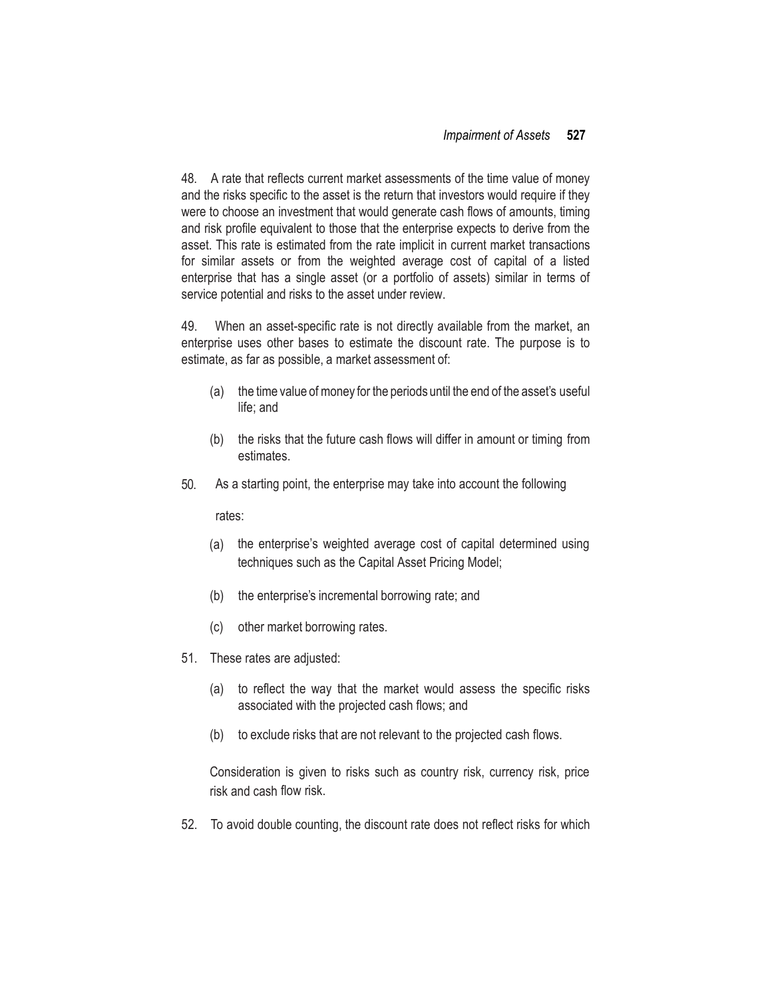48. A rate that reflects current market assessments of the time value of money and the risks specific to the asset is the return that investors would require if they were to choose an investment that would generate cash flows of amounts, timing and risk profile equivalent to those that the enterprise expects to derive from the asset. This rate is estimated from the rate implicit in current market transactions for similar assets or from the weighted average cost of capital of a listed enterprise that has a single asset (or a portfolio of assets) similar in terms of service potential and risks to the asset under review.

49. When an asset-specific rate is not directly available from the market, an enterprise uses other bases to estimate the discount rate. The purpose is to estimate, as far as possible, a market assessment of:

- (a) the time value of money for the periods until the end of the asset's useful life; and
- (b) the risks that the future cash flows will differ in amount or timing from estimates.
- 50. As a starting point, the enterprise may take into account the following

rates:

- (a) the enterprise's weighted average cost of capital determined using techniques such as the Capital Asset Pricing Model;
- (b) the enterprise's incremental borrowing rate; and
- (c) other market borrowing rates.
- 51. These rates are adjusted:
	- (a) to reflect the way that the market would assess the specific risks associated with the projected cash flows; and
	- (b) to exclude risks that are not relevant to the projected cash flows.

Consideration is given to risks such as country risk, currency risk, price risk and cash flow risk.

52. To avoid double counting, the discount rate does not reflect risks for which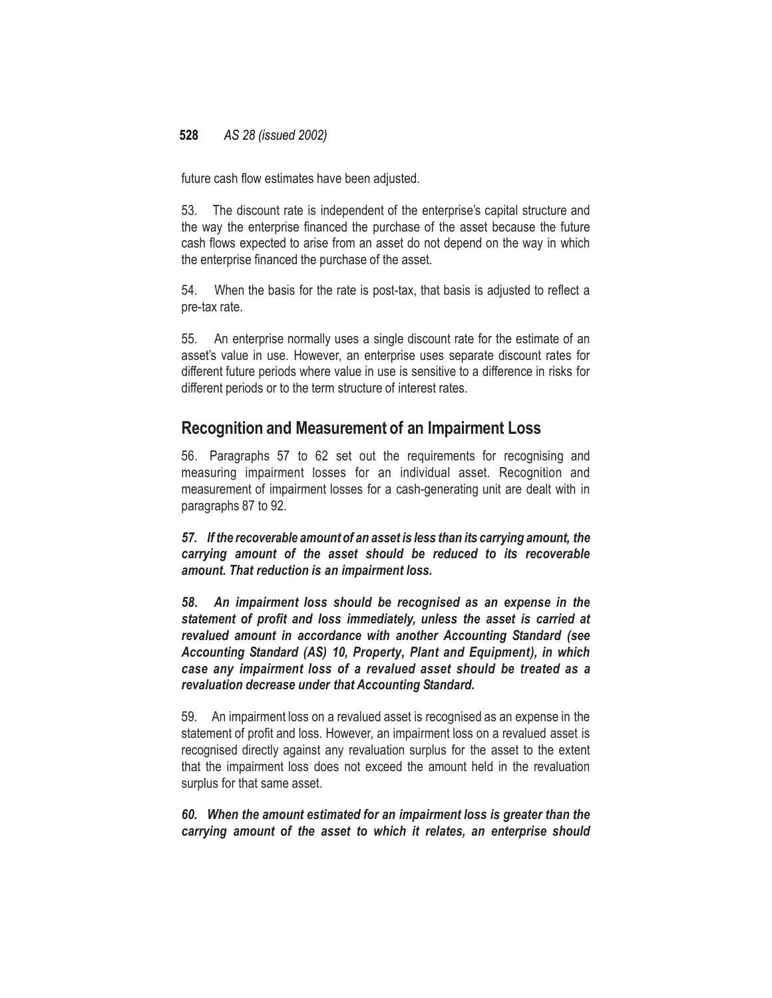future cash flow estimates have been adjusted.

53. The discount rate is independent of the enterprise's capital structure and the way the enterprise financed the purchase of the asset because the future cash flows expected to arise from an asset do not depend on the way in which the enterprise financed the purchase of the asset.

54. When the basis for the rate is post-tax, that basis is adjusted to reflect a pre-tax rate.

55. An enterprise normally uses a single discount rate for the estimate of an asset's value in use. However, an enterprise uses separate discount rates for different future periods where value in use is sensitive to a difference in risks for different periods or to the term structure of interest rates.

# **Recognition and Measurement of an Impairment Loss**

56. Paragraphs 57 to 62 set out the requirements for recognising and measuring impairment losses for an individual asset. Recognition and measurement of impairment losses for a cash-generating unit are dealt with in paragraphs 87 to 92.

*57. If the recoverable amount of an asset is less than its carrying amount, the carrying amount of the asset should be reduced to its recoverable amount. That reduction is an impairment loss.*

*58. An impairment loss should be recognised as an expense in the statement of profit and loss immediately, unless the asset is carried at revalued amount in accordance with another Accounting Standard (see Accounting Standard (AS) 10, Property, Plant and Equipment), in which case any impairment loss of a revalued asset should be treated as a revaluation decrease under that Accounting Standard.*

59. An impairment loss on a revalued asset is recognised as an expense in the statement of profit and loss. However, an impairment loss on a revalued asset is recognised directly against any revaluation surplus for the asset to the extent that the impairment loss does not exceed the amount held in the revaluation surplus for that same asset.

*60. When the amount estimated for an impairment loss is greater than the carrying amount of the asset to which it relates, an enterprise should*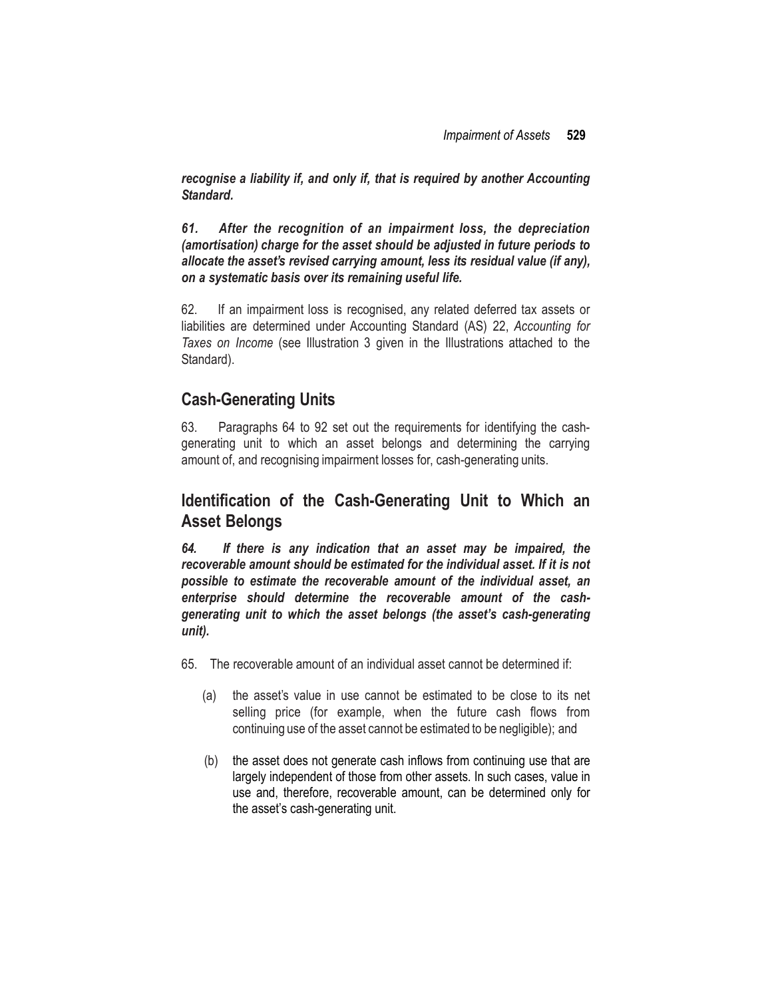*recognise a liability if, and only if, that is required by another Accounting Standard.*

*61. After the recognition of an impairment loss, the depreciation (amortisation) charge for the asset should be adjusted in future periods to allocate the asset's revised carrying amount, less its residual value (if any), on a systematic basis over its remaining useful life.*

62. If an impairment loss is recognised, any related deferred tax assets or liabilities are determined under Accounting Standard (AS) 22, *Accounting for Taxes on Income* (see Illustration 3 given in the Illustrations attached to the Standard).

# **Cash-Generating Units**

63. Paragraphs 64 to 92 set out the requirements for identifying the cashgenerating unit to which an asset belongs and determining the carrying amount of, and recognising impairment losses for, cash-generating units.

# **Identification of the Cash-Generating Unit to Which an Asset Belongs**

*64. If there is any indication that an asset may be impaired, the recoverable amount should be estimated for the individual asset. If it is not possible to estimate the recoverable amount of the individual asset, an enterprise should determine the recoverable amount of the cashgenerating unit to which the asset belongs (the asset's cash-generating unit).*

65. The recoverable amount of an individual asset cannot be determined if:

- (a) the asset's value in use cannot be estimated to be close to its net selling price (for example, when the future cash flows from continuing use of the asset cannot be estimated to be negligible); and
- (b) the asset does not generate cash inflows from continuing use that are largely independent of those from other assets. In such cases, value in use and, therefore, recoverable amount, can be determined only for the asset's cash-generating unit.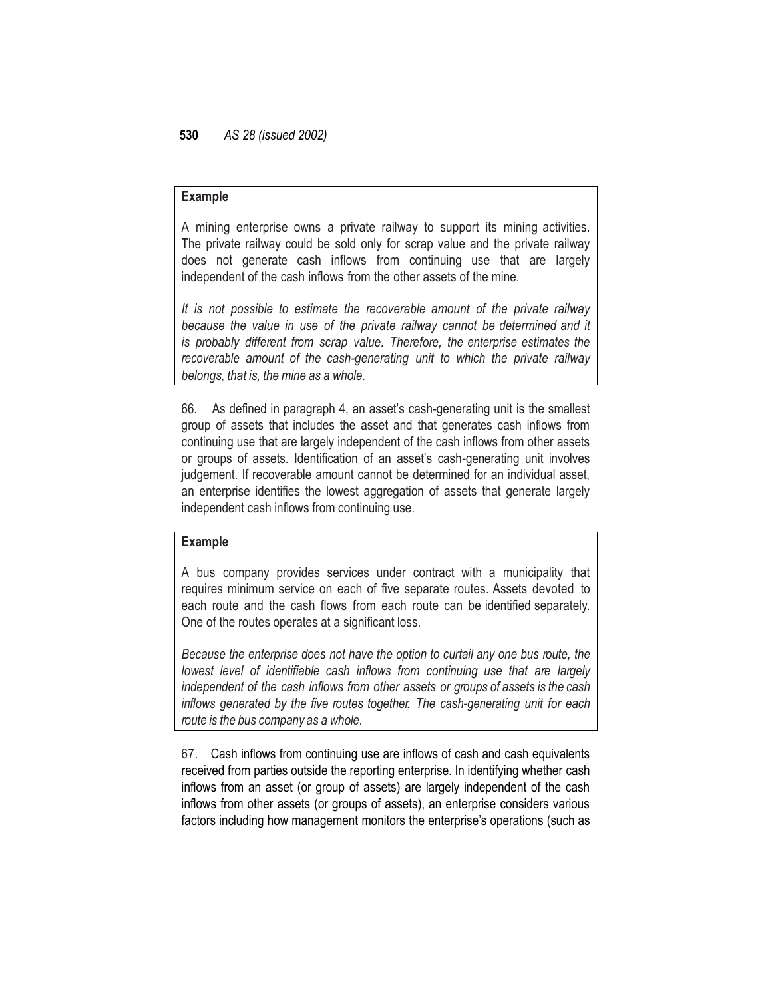#### **Example**

A mining enterprise owns a private railway to support its mining activities. The private railway could be sold only for scrap value and the private railway does not generate cash inflows from continuing use that are largely independent of the cash inflows from the other assets of the mine.

*It is not possible to estimate the recoverable amount of the private railway because the value in use of the private railway cannot be determined and it is probably different from scrap value. Therefore, the enterprise estimates the recoverable amount of the cash-generating unit to which the private railway belongs, that is, the mine as a whole.*

66. As defined in paragraph 4, an asset's cash-generating unit is the smallest group of assets that includes the asset and that generates cash inflows from continuing use that are largely independent of the cash inflows from other assets or groups of assets. Identification of an asset's cash-generating unit involves judgement. If recoverable amount cannot be determined for an individual asset, an enterprise identifies the lowest aggregation of assets that generate largely independent cash inflows from continuing use.

#### **Example**

A bus company provides services under contract with a municipality that requires minimum service on each of five separate routes. Assets devoted to each route and the cash flows from each route can be identified separately. One of the routes operates at a significant loss.

*Because the enterprise does not have the option to curtail any one bus route, the lowest level of identifiable cash inflows from continuing use that are largely independent of the cash inflows from other assets or groups of assets is the cash inflows generated by the five routes together. The cash-generating unit for each route is the bus company as a whole.*

67. Cash inflows from continuing use are inflows of cash and cash equivalents received from parties outside the reporting enterprise. In identifying whether cash inflows from an asset (or group of assets) are largely independent of the cash inflows from other assets (or groups of assets), an enterprise considers various factors including how management monitors the enterprise's operations (such as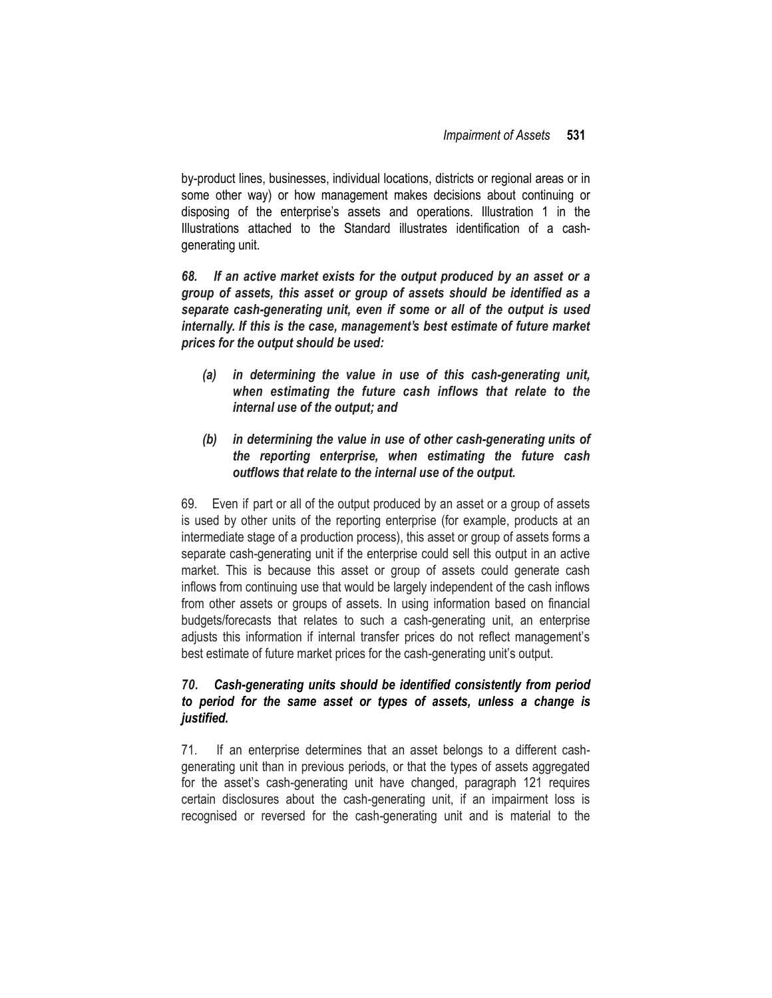by-product lines, businesses, individual locations, districts or regional areas or in some other way) or how management makes decisions about continuing or disposing of the enterprise's assets and operations. Illustration 1 in the Illustrations attached to the Standard illustrates identification of a cashgenerating unit.

*68. If an active market exists for the output produced by an asset or a group of assets, this asset or group of assets should be identified as a separate cash-generating unit, even if some or all of the output is used internally. If this is the case, management's best estimate of future market prices for the output should be used:*

- *(a) in determining the value in use of this cash-generating unit, when estimating the future cash inflows that relate to the internal use of the output; and*
- *(b) in determining the value in use of other cash-generating units of the reporting enterprise, when estimating the future cash outflows that relate to the internal use of the output.*

69. Even if part or all of the output produced by an asset or a group of assets is used by other units of the reporting enterprise (for example, products at an intermediate stage of a production process), this asset or group of assets forms a separate cash-generating unit if the enterprise could sell this output in an active market. This is because this asset or group of assets could generate cash inflows from continuing use that would be largely independent of the cash inflows from other assets or groups of assets. In using information based on financial budgets/forecasts that relates to such a cash-generating unit, an enterprise adjusts this information if internal transfer prices do not reflect management's best estimate of future market prices for the cash-generating unit's output.

## *70. Cash-generating units should be identified consistently from period to period for the same asset or types of assets, unless a change is justified.*

71. If an enterprise determines that an asset belongs to a different cashgenerating unit than in previous periods, or that the types of assets aggregated for the asset's cash-generating unit have changed, paragraph 121 requires certain disclosures about the cash-generating unit, if an impairment loss is recognised or reversed for the cash-generating unit and is material to the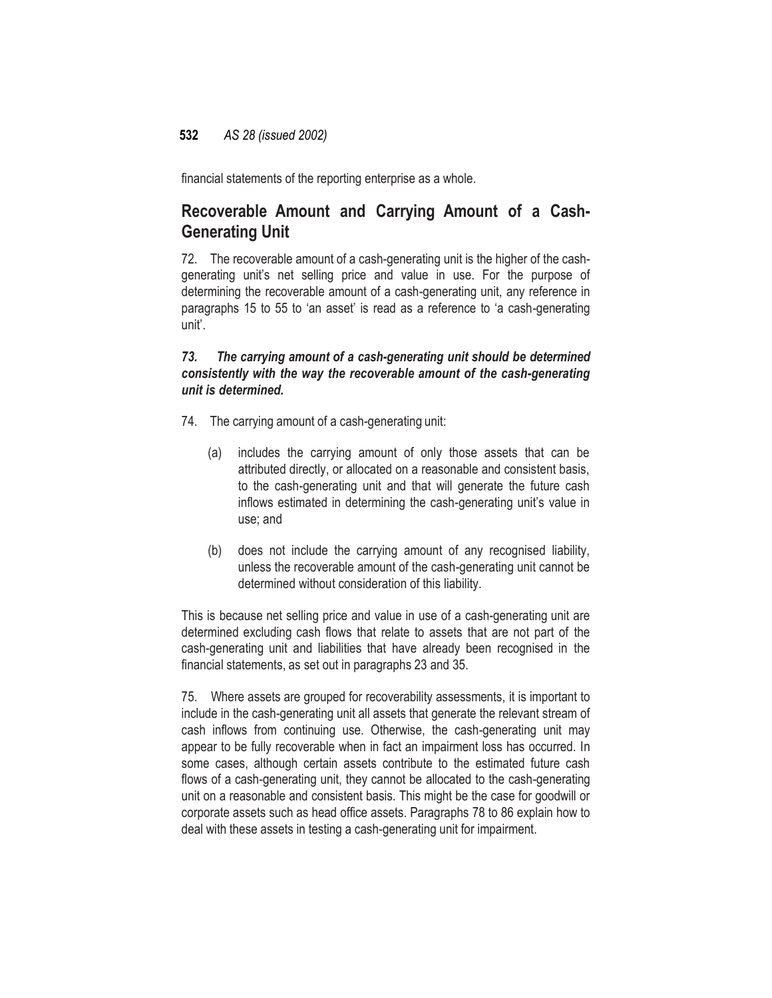financial statements of the reporting enterprise as a whole.

# **Recoverable Amount and Carrying Amount of a Cash-Generating Unit**

72. The recoverable amount of a cash-generating unit is the higher of the cashgenerating unit's net selling price and value in use. For the purpose of determining the recoverable amount of a cash-generating unit, any reference in paragraphs 15 to 55 to 'an asset' is read as a reference to 'a cash-generating unit'.

## *73. The carrying amount of a cash-generating unit should be determined consistently with the way the recoverable amount of the cash-generating unit is determined.*

- 74. The carrying amount of a cash-generating unit:
	- (a) includes the carrying amount of only those assets that can be attributed directly, or allocated on a reasonable and consistent basis, to the cash-generating unit and that will generate the future cash inflows estimated in determining the cash-generating unit's value in use; and
	- (b) does not include the carrying amount of any recognised liability, unless the recoverable amount of the cash-generating unit cannot be determined without consideration of this liability.

This is because net selling price and value in use of a cash-generating unit are determined excluding cash flows that relate to assets that are not part of the cash-generating unit and liabilities that have already been recognised in the financial statements, as set out in paragraphs 23 and 35.

75. Where assets are grouped for recoverability assessments, it is important to include in the cash-generating unit all assets that generate the relevant stream of cash inflows from continuing use. Otherwise, the cash-generating unit may appear to be fully recoverable when in fact an impairment loss has occurred. In some cases, although certain assets contribute to the estimated future cash flows of a cash-generating unit, they cannot be allocated to the cash-generating unit on a reasonable and consistent basis. This might be the case for goodwill or corporate assets such as head office assets. Paragraphs 78 to 86 explain how to deal with these assets in testing a cash-generating unit for impairment.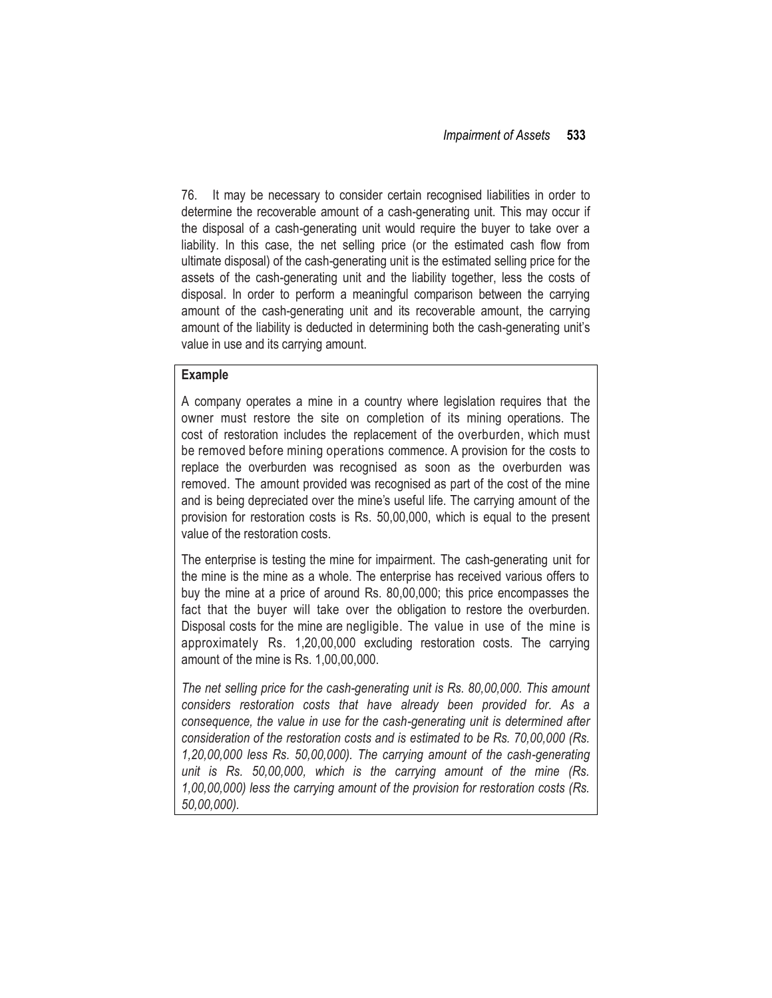76. It may be necessary to consider certain recognised liabilities in order to determine the recoverable amount of a cash-generating unit. This may occur if the disposal of a cash-generating unit would require the buyer to take over a liability. In this case, the net selling price (or the estimated cash flow from ultimate disposal) of the cash-generating unit is the estimated selling price for the assets of the cash-generating unit and the liability together, less the costs of disposal. In order to perform a meaningful comparison between the carrying amount of the cash-generating unit and its recoverable amount, the carrying amount of the liability is deducted in determining both the cash-generating unit's value in use and its carrying amount.

#### **Example**

A company operates a mine in a country where legislation requires that the owner must restore the site on completion of its mining operations. The cost of restoration includes the replacement of the overburden, which must be removed before mining operations commence. A provision for the costs to replace the overburden was recognised as soon as the overburden was removed. The amount provided was recognised as part of the cost of the mine and is being depreciated over the mine's useful life. The carrying amount of the provision for restoration costs is Rs. 50,00,000, which is equal to the present value of the restoration costs.

The enterprise is testing the mine for impairment. The cash-generating unit for the mine is the mine as a whole. The enterprise has received various offers to buy the mine at a price of around Rs. 80,00,000; this price encompasses the fact that the buyer will take over the obligation to restore the overburden. Disposal costs for the mine are negligible. The value in use of the mine is approximately Rs. 1,20,00,000 excluding restoration costs. The carrying amount of the mine is Rs. 1,00,00,000.

*The net selling price for the cash-generating unit is Rs. 80,00,000. This amount considers restoration costs that have already been provided for. As a consequence, the value in use for the cash-generating unit is determined after consideration of the restoration costs and is estimated to be Rs. 70,00,000 (Rs. 1,20,00,000 less Rs. 50,00,000). The carrying amount of the cash-generating unit is Rs. 50,00,000, which is the carrying amount of the mine (Rs. 1,00,00,000) less the carrying amount of the provision for restoration costs (Rs. 50,00,000).*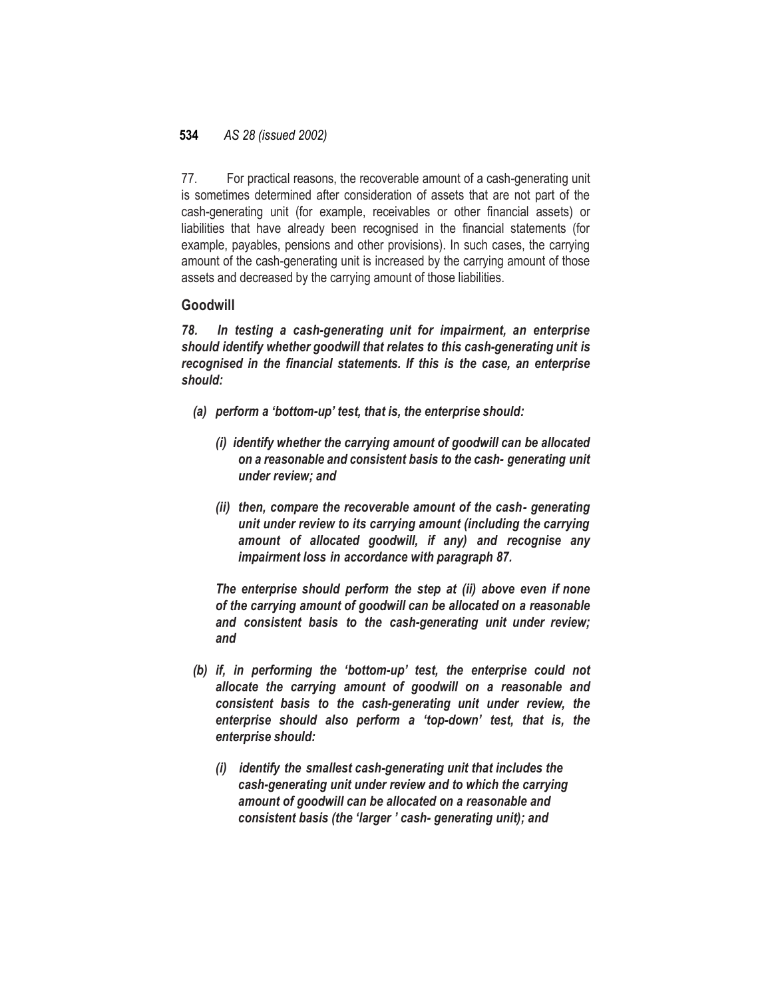77. For practical reasons, the recoverable amount of a cash-generating unit is sometimes determined after consideration of assets that are not part of the cash-generating unit (for example, receivables or other financial assets) or liabilities that have already been recognised in the financial statements (for example, payables, pensions and other provisions). In such cases, the carrying amount of the cash-generating unit is increased by the carrying amount of those assets and decreased by the carrying amount of those liabilities.

#### **Goodwill**

*78. In testing a cash-generating unit for impairment, an enterprise should identify whether goodwill that relates to this cash-generating unit is recognised in the financial statements. If this is the case, an enterprise should:*

- *(a) perform a 'bottom-up' test, that is, the enterprise should:*
	- *(i) identify whether the carrying amount of goodwill can be allocated on a reasonable and consistent basis to the cash- generating unit under review; and*
	- *(ii) then, compare the recoverable amount of the cash- generating unit under review to its carrying amount (including the carrying amount of allocated goodwill, if any) and recognise any impairment loss in accordance with paragraph 87.*

*The enterprise should perform the step at (ii) above even if none of the carrying amount of goodwill can be allocated on a reasonable and consistent basis to the cash-generating unit under review; and*

- *(b) if, in performing the 'bottom-up' test, the enterprise could not allocate the carrying amount of goodwill on a reasonable and consistent basis to the cash-generating unit under review, the enterprise should also perform a 'top-down' test, that is, the enterprise should:*
	- *(i) identify the smallest cash-generating unit that includes the cash-generating unit under review and to which the carrying amount of goodwill can be allocated on a reasonable and consistent basis (the 'larger ' cash- generating unit); and*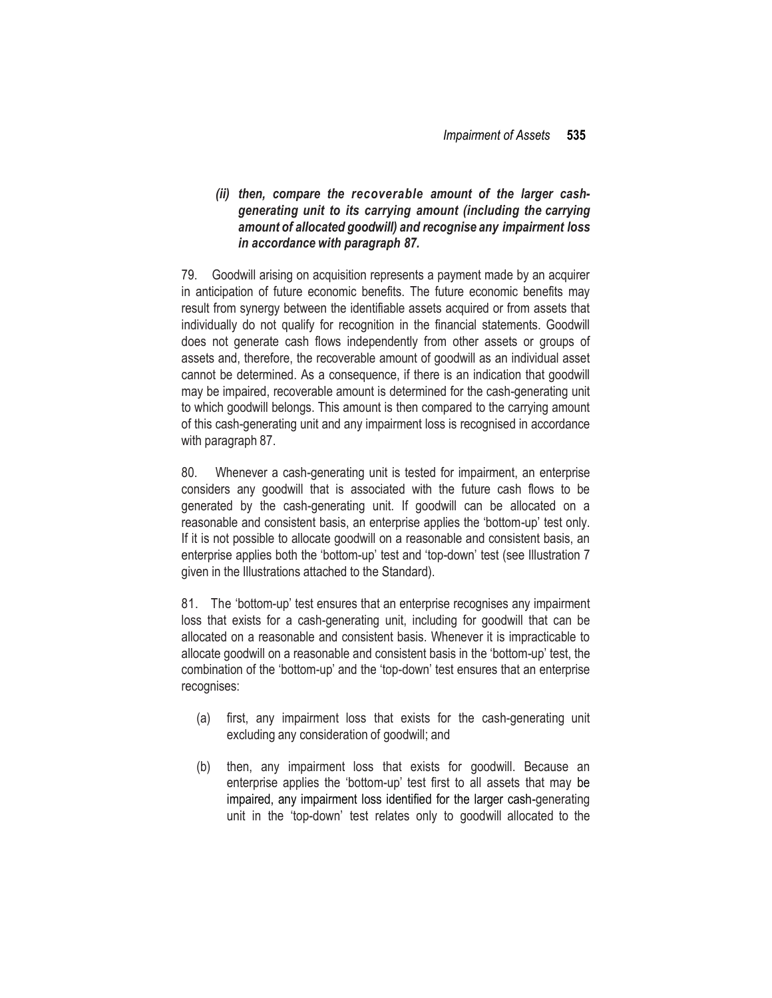## *(ii) then, compare the recoverable amount of the larger cashgenerating unit to its carrying amount (including the carrying amount of allocated goodwill) and recognise any impairment loss in accordance with paragraph 87.*

79. Goodwill arising on acquisition represents a payment made by an acquirer in anticipation of future economic benefits. The future economic benefits may result from synergy between the identifiable assets acquired or from assets that individually do not qualify for recognition in the financial statements. Goodwill does not generate cash flows independently from other assets or groups of assets and, therefore, the recoverable amount of goodwill as an individual asset cannot be determined. As a consequence, if there is an indication that goodwill may be impaired, recoverable amount is determined for the cash-generating unit to which goodwill belongs. This amount is then compared to the carrying amount of this cash-generating unit and any impairment loss is recognised in accordance with paragraph 87.

80. Whenever a cash-generating unit is tested for impairment, an enterprise considers any goodwill that is associated with the future cash flows to be generated by the cash-generating unit. If goodwill can be allocated on a reasonable and consistent basis, an enterprise applies the 'bottom-up' test only. If it is not possible to allocate goodwill on a reasonable and consistent basis, an enterprise applies both the 'bottom-up' test and 'top-down' test (see Illustration 7 given in the Illustrations attached to the Standard).

81. The 'bottom-up' test ensures that an enterprise recognises any impairment loss that exists for a cash-generating unit, including for goodwill that can be allocated on a reasonable and consistent basis. Whenever it is impracticable to allocate goodwill on a reasonable and consistent basis in the 'bottom-up' test, the combination of the 'bottom-up' and the 'top-down' test ensures that an enterprise recognises:

- (a) first, any impairment loss that exists for the cash-generating unit excluding any consideration of goodwill; and
- (b) then, any impairment loss that exists for goodwill. Because an enterprise applies the 'bottom-up' test first to all assets that may be impaired, any impairment loss identified for the larger cash-generating unit in the 'top-down' test relates only to goodwill allocated to the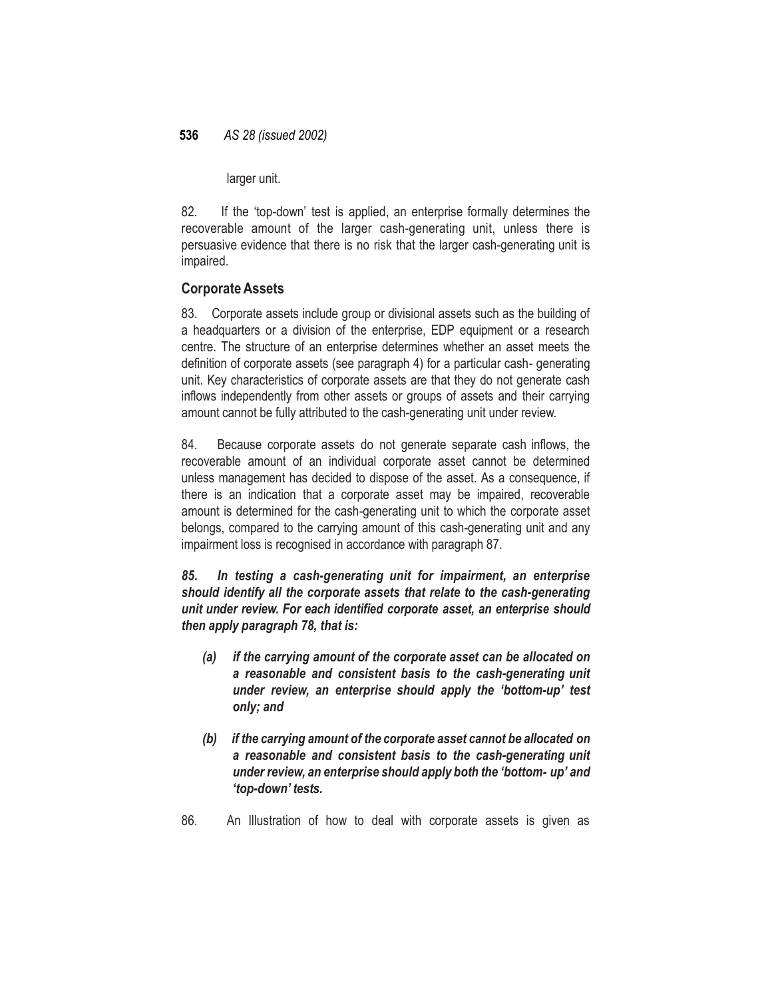larger unit.

82. If the 'top-down' test is applied, an enterprise formally determines the recoverable amount of the larger cash-generating unit, unless there is persuasive evidence that there is no risk that the larger cash-generating unit is impaired.

## **Corporate Assets**

83. Corporate assets include group or divisional assets such as the building of a headquarters or a division of the enterprise, EDP equipment or a research centre. The structure of an enterprise determines whether an asset meets the definition of corporate assets (see paragraph 4) for a particular cash- generating unit. Key characteristics of corporate assets are that they do not generate cash inflows independently from other assets or groups of assets and their carrying amount cannot be fully attributed to the cash-generating unit under review.

84. Because corporate assets do not generate separate cash inflows, the recoverable amount of an individual corporate asset cannot be determined unless management has decided to dispose of the asset. As a consequence, if there is an indication that a corporate asset may be impaired, recoverable amount is determined for the cash-generating unit to which the corporate asset belongs, compared to the carrying amount of this cash-generating unit and any impairment loss is recognised in accordance with paragraph 87.

*85. In testing a cash-generating unit for impairment, an enterprise should identify all the corporate assets that relate to the cash-generating unit under review. For each identified corporate asset, an enterprise should then apply paragraph 78, that is:*

- *(a) if the carrying amount of the corporate asset can be allocated on a reasonable and consistent basis to the cash-generating unit under review, an enterprise should apply the 'bottom-up' test only; and*
- *(b) if the carrying amount of the corporate asset cannot be allocated on a reasonable and consistent basis to the cash-generating unit under review, an enterprise should apply both the 'bottom- up' and 'top-down' tests.*
- 86. An Illustration of how to deal with corporate assets is given as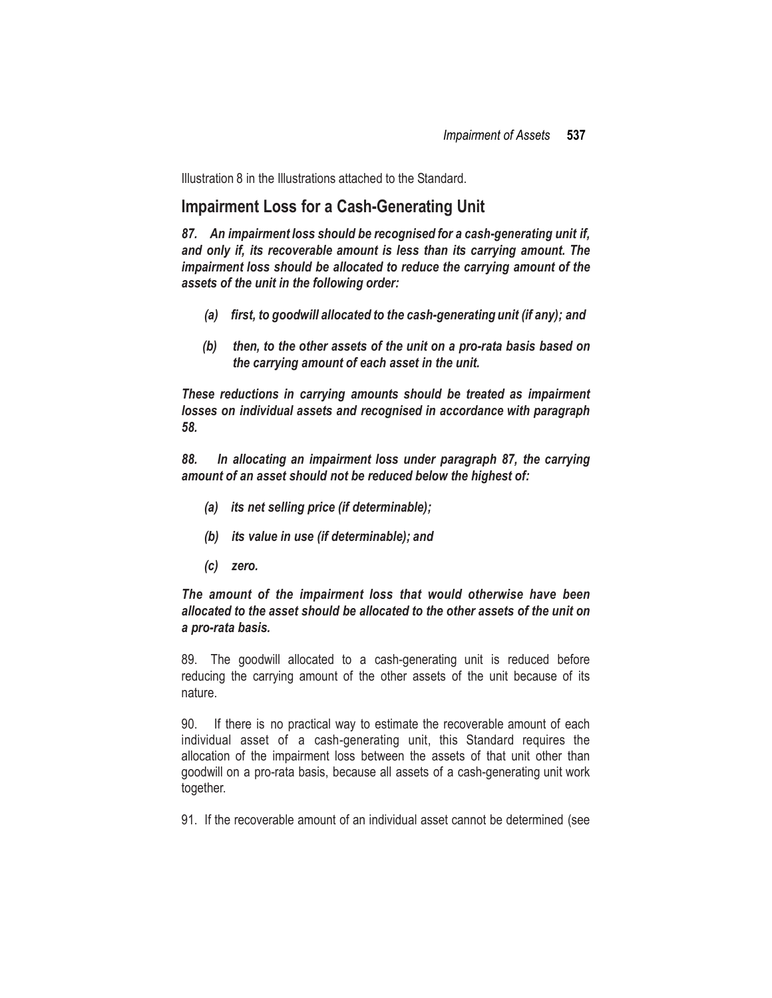Illustration 8 in the Illustrations attached to the Standard.

## **Impairment Loss for a Cash-Generating Unit**

*87. An impairment loss should be recognised for a cash-generating unit if, and only if, its recoverable amount is less than its carrying amount. The impairment loss should be allocated to reduce the carrying amount of the assets of the unit in the following order:*

- *(a) first, to goodwill allocated to the cash-generating unit (if any); and*
- *(b) then, to the other assets of the unit on a pro-rata basis based on the carrying amount of each asset in the unit.*

*These reductions in carrying amounts should be treated as impairment losses on individual assets and recognised in accordance with paragraph 58.*

*88. In allocating an impairment loss under paragraph 87, the carrying amount of an asset should not be reduced below the highest of:*

- *(a) its net selling price (if determinable);*
- *(b) its value in use (if determinable); and*
- *(c) zero.*

*The amount of the impairment loss that would otherwise have been allocated to the asset should be allocated to the other assets of the unit on a pro-rata basis.*

89. The goodwill allocated to a cash-generating unit is reduced before reducing the carrying amount of the other assets of the unit because of its nature.

90. If there is no practical way to estimate the recoverable amount of each individual asset of a cash-generating unit, this Standard requires the allocation of the impairment loss between the assets of that unit other than goodwill on a pro-rata basis, because all assets of a cash-generating unit work together.

91. If the recoverable amount of an individual asset cannot be determined (see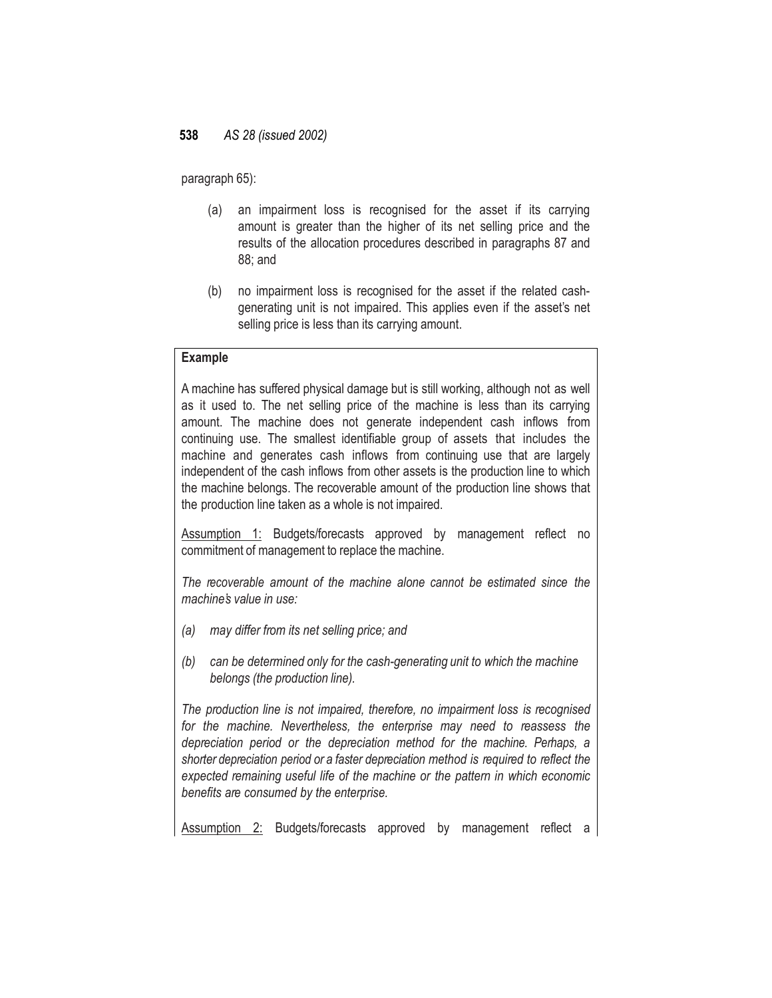paragraph 65):

- (a) an impairment loss is recognised for the asset if its carrying amount is greater than the higher of its net selling price and the results of the allocation procedures described in paragraphs 87 and 88; and
- (b) no impairment loss is recognised for the asset if the related cashgenerating unit is not impaired. This applies even if the asset's net selling price is less than its carrying amount.

#### **Example**

A machine has suffered physical damage but is still working, although not as well as it used to. The net selling price of the machine is less than its carrying amount. The machine does not generate independent cash inflows from continuing use. The smallest identifiable group of assets that includes the machine and generates cash inflows from continuing use that are largely independent of the cash inflows from other assets is the production line to which the machine belongs. The recoverable amount of the production line shows that the production line taken as a whole is not impaired.

Assumption 1: Budgets/forecasts approved by management reflect no commitment of management to replace the machine.

*The recoverable amount of the machine alone cannot be estimated since the machine's value in use:*

- *(a) may differ from its net selling price; and*
- *(b) can be determined only for the cash-generating unit to which the machine belongs (the production line).*

*The production line is not impaired, therefore, no impairment loss is recognised for the machine. Nevertheless, the enterprise may need to reassess the depreciation period or the depreciation method for the machine. Perhaps, a shorter depreciation period or a faster depreciation method is required to reflect the expected remaining useful life of the machine or the pattern in which economic benefits are consumed by the enterprise.*

Assumption 2: Budgets/forecasts approved by management reflect a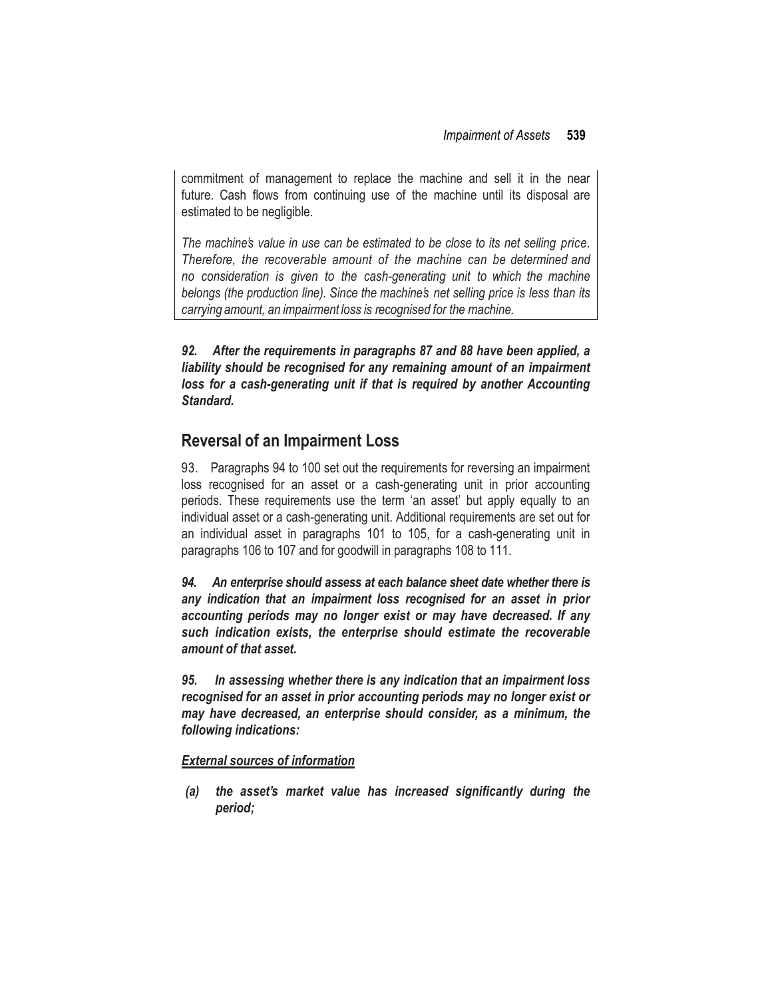commitment of management to replace the machine and sell it in the near future. Cash flows from continuing use of the machine until its disposal are estimated to be negligible.

*The machine's value in use can be estimated to be close to its net selling price. Therefore, the recoverable amount of the machine can be determined and no consideration is given to the cash-generating unit to which the machine belongs (the production line). Since the machine's net selling price is less than its carrying amount, an impairment loss is recognised for the machine.*

*92. After the requirements in paragraphs 87 and 88 have been applied, a liability should be recognised for any remaining amount of an impairment*  loss for a cash-generating unit if that is required by another Accounting *Standard.*

# **Reversal of an Impairment Loss**

93. Paragraphs 94 to 100 set out the requirements for reversing an impairment loss recognised for an asset or a cash-generating unit in prior accounting periods. These requirements use the term 'an asset' but apply equally to an individual asset or a cash-generating unit. Additional requirements are set out for an individual asset in paragraphs 101 to 105, for a cash-generating unit in paragraphs 106 to 107 and for goodwill in paragraphs 108 to 111.

*94. An enterprise should assess at each balance sheet date whether there is any indication that an impairment loss recognised for an asset in prior accounting periods may no longer exist or may have decreased. If any such indication exists, the enterprise should estimate the recoverable amount of that asset.*

*95. In assessing whether there is any indication that an impairment loss recognised for an asset in prior accounting periods may no longer exist or may have decreased, an enterprise should consider, as a minimum, the following indications:*

#### *External sources of information*

*(a) the asset's market value has increased significantly during the period;*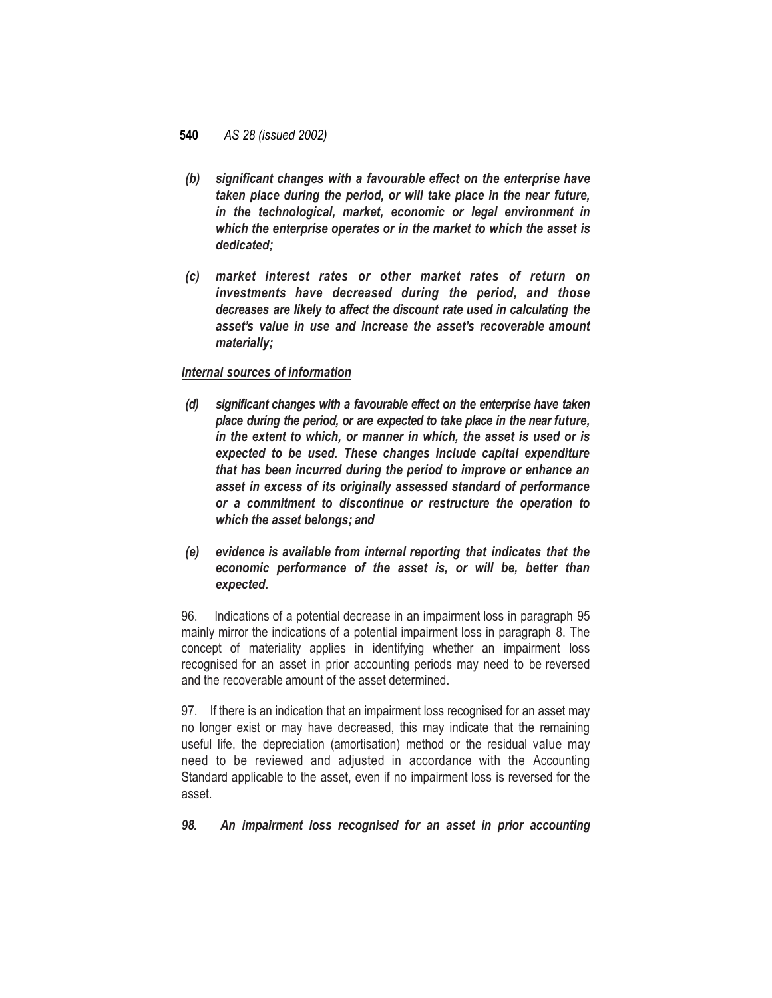- *(b) significant changes with a favourable effect on the enterprise have taken place during the period, or will take place in the near future, in the technological, market, economic or legal environment in which the enterprise operates or in the market to which the asset is dedicated;*
- *(c) market interest rates or other market rates of return on investments have decreased during the period, and those decreases are likely to affect the discount rate used in calculating the asset's value in use and increase the asset's recoverable amount materially;*

#### *Internal sources of information*

- *(d) significant changes with a favourable effect on the enterprise have taken place during the period, or are expected to take place in the near future, in the extent to which, or manner in which, the asset is used or is expected to be used. These changes include capital expenditure that has been incurred during the period to improve or enhance an asset in excess of its originally assessed standard of performance or a commitment to discontinue or restructure the operation to which the asset belongs; and*
- *(e) evidence is available from internal reporting that indicates that the economic performance of the asset is, or will be, better than expected.*

96. Indications of a potential decrease in an impairment loss in paragraph 95 mainly mirror the indications of a potential impairment loss in paragraph 8. The concept of materiality applies in identifying whether an impairment loss recognised for an asset in prior accounting periods may need to be reversed and the recoverable amount of the asset determined.

97. If there is an indication that an impairment loss recognised for an asset may no longer exist or may have decreased, this may indicate that the remaining useful life, the depreciation (amortisation) method or the residual value may need to be reviewed and adjusted in accordance with the Accounting Standard applicable to the asset, even if no impairment loss is reversed for the asset.

#### *98. An impairment loss recognised for an asset in prior accounting*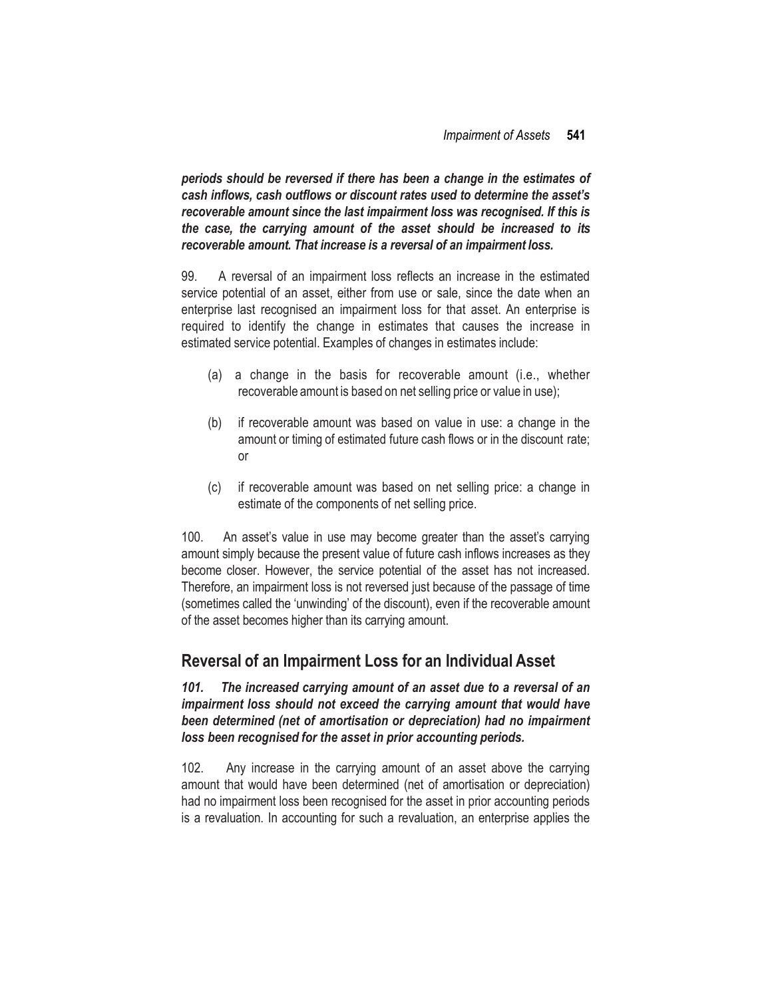*periods should be reversed if there has been a change in the estimates of cash inflows, cash outflows or discount rates used to determine the asset's recoverable amount since the last impairment loss was recognised. If this is the case, the carrying amount of the asset should be increased to its recoverable amount. That increase is a reversal of an impairment loss.*

99. A reversal of an impairment loss reflects an increase in the estimated service potential of an asset, either from use or sale, since the date when an enterprise last recognised an impairment loss for that asset. An enterprise is required to identify the change in estimates that causes the increase in estimated service potential. Examples of changes in estimates include:

- (a) a change in the basis for recoverable amount (i.e., whether recoverable amount is based on net selling price or value in use);
- (b) if recoverable amount was based on value in use: a change in the amount or timing of estimated future cash flows or in the discount rate; or
- (c) if recoverable amount was based on net selling price: a change in estimate of the components of net selling price.

100. An asset's value in use may become greater than the asset's carrying amount simply because the present value of future cash inflows increases as they become closer. However, the service potential of the asset has not increased. Therefore, an impairment loss is not reversed just because of the passage of time (sometimes called the 'unwinding' of the discount), even if the recoverable amount of the asset becomes higher than its carrying amount.

# **Reversal of an Impairment Loss for an Individual Asset**

*101. The increased carrying amount of an asset due to a reversal of an impairment loss should not exceed the carrying amount that would have been determined (net of amortisation or depreciation) had no impairment loss been recognised for the asset in prior accounting periods.*

102. Any increase in the carrying amount of an asset above the carrying amount that would have been determined (net of amortisation or depreciation) had no impairment loss been recognised for the asset in prior accounting periods is a revaluation. In accounting for such a revaluation, an enterprise applies the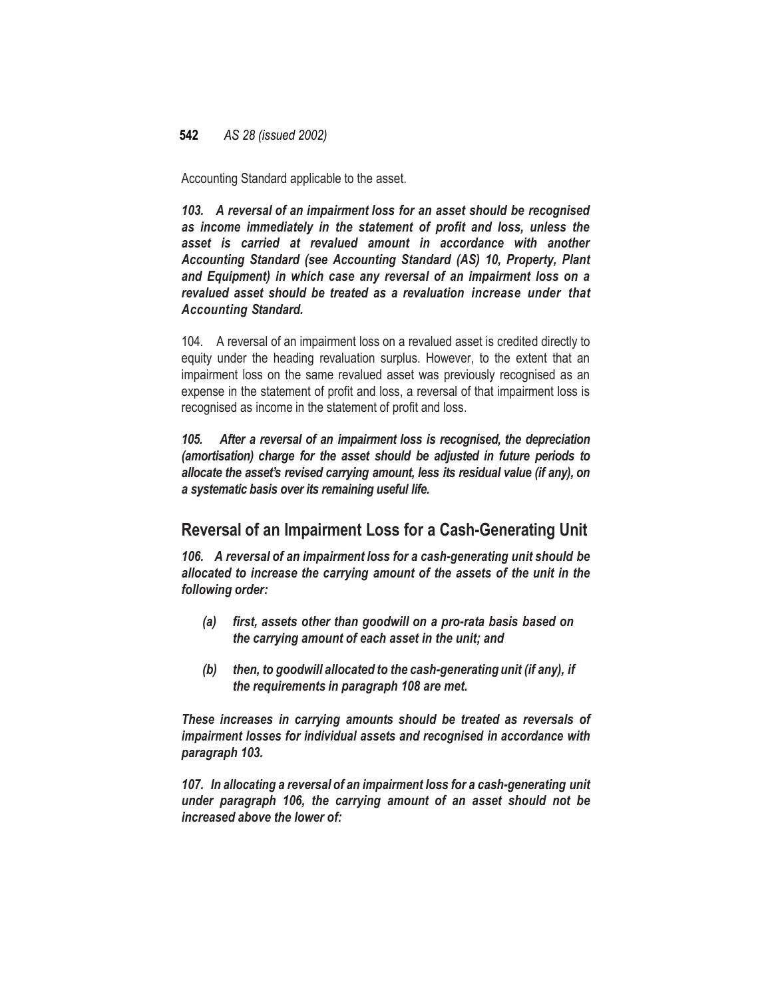Accounting Standard applicable to the asset.

*103. A reversal of an impairment loss for an asset should be recognised as income immediately in the statement of profit and loss, unless the*  asset is carried at revalued amount in accordance with another *Accounting Standard (see Accounting Standard (AS) 10, Property, Plant and Equipment) in which case any reversal of an impairment loss on a revalued asset should be treated as a revaluation increase under that Accounting Standard.*

104. A reversal of an impairment loss on a revalued asset is credited directly to equity under the heading revaluation surplus. However, to the extent that an impairment loss on the same revalued asset was previously recognised as an expense in the statement of profit and loss, a reversal of that impairment loss is recognised as income in the statement of profit and loss.

*105. After a reversal of an impairment loss is recognised, the depreciation (amortisation) charge for the asset should be adjusted in future periods to allocate the asset's revised carrying amount, less its residual value (if any), on a systematic basis over its remaining useful life.*

# **Reversal of an Impairment Loss for a Cash-Generating Unit**

*106. A reversal of an impairment loss for a cash-generating unit should be allocated to increase the carrying amount of the assets of the unit in the following order:*

- *(a) first, assets other than goodwill on a pro-rata basis based on the carrying amount of each asset in the unit; and*
- *(b) then, to goodwill allocated to the cash-generating unit (if any), if the requirements in paragraph 108 are met.*

*These increases in carrying amounts should be treated as reversals of impairment losses for individual assets and recognised in accordance with paragraph 103.*

*107. In allocating a reversal of an impairment loss for a cash-generating unit under paragraph 106, the carrying amount of an asset should not be increased above the lower of:*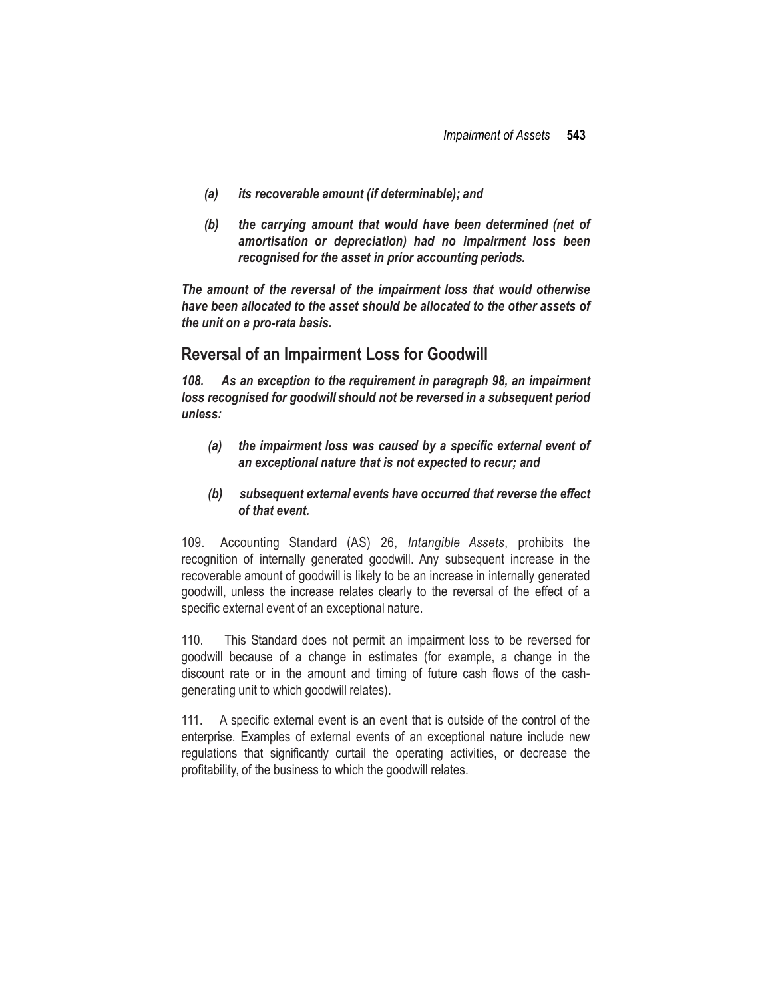- *(a) its recoverable amount (if determinable); and*
- *(b) the carrying amount that would have been determined (net of amortisation or depreciation) had no impairment loss been recognised for the asset in prior accounting periods.*

*The amount of the reversal of the impairment loss that would otherwise have been allocated to the asset should be allocated to the other assets of the unit on a pro-rata basis.*

## **Reversal of an Impairment Loss for Goodwill**

*108. As an exception to the requirement in paragraph 98, an impairment loss recognised for goodwill should not be reversed in a subsequent period unless:*

- *(a) the impairment loss was caused by a specific external event of an exceptional nature that is not expected to recur; and*
- *(b) subsequent external events have occurred that reverse the effect of that event.*

109. Accounting Standard (AS) 26, *Intangible Assets*, prohibits the recognition of internally generated goodwill. Any subsequent increase in the recoverable amount of goodwill is likely to be an increase in internally generated goodwill, unless the increase relates clearly to the reversal of the effect of a specific external event of an exceptional nature.

110. This Standard does not permit an impairment loss to be reversed for goodwill because of a change in estimates (for example, a change in the discount rate or in the amount and timing of future cash flows of the cashgenerating unit to which goodwill relates).

111. A specific external event is an event that is outside of the control of the enterprise. Examples of external events of an exceptional nature include new regulations that significantly curtail the operating activities, or decrease the profitability, of the business to which the goodwill relates.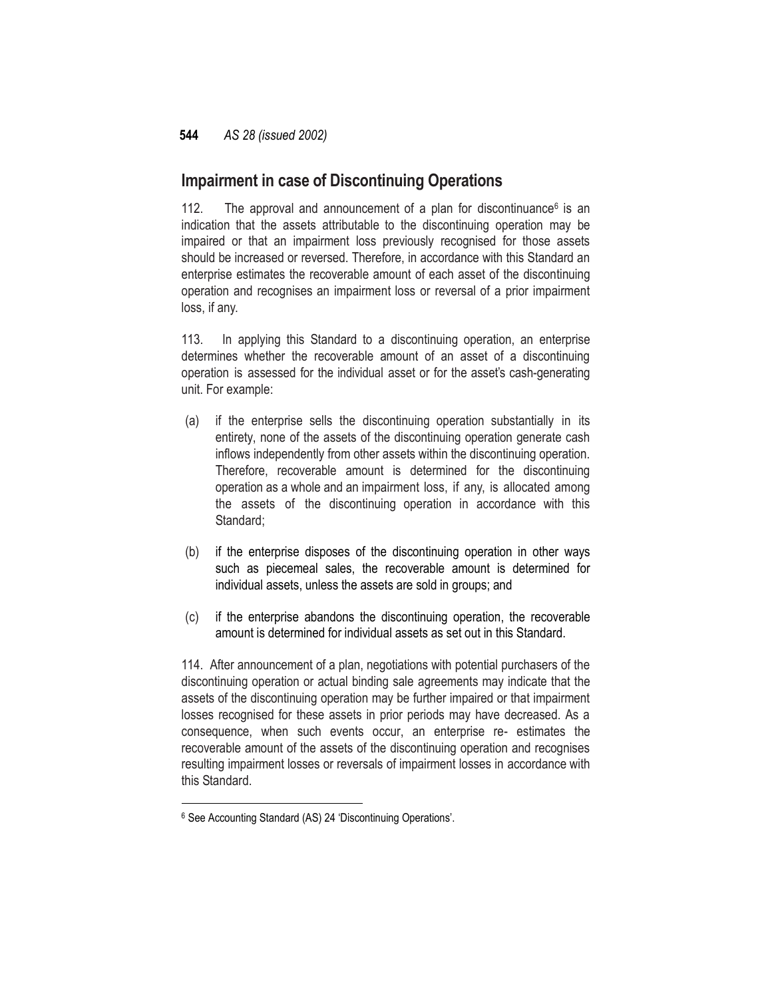# **Impairment in case of Discontinuing Operations**

112. The approval and announcement of a plan for discontinuance $6$  is an indication that the assets attributable to the discontinuing operation may be impaired or that an impairment loss previously recognised for those assets should be increased or reversed. Therefore, in accordance with this Standard an enterprise estimates the recoverable amount of each asset of the discontinuing operation and recognises an impairment loss or reversal of a prior impairment loss, if any.

113. In applying this Standard to a discontinuing operation, an enterprise determines whether the recoverable amount of an asset of a discontinuing operation is assessed for the individual asset or for the asset's cash-generating unit. For example:

- (a) if the enterprise sells the discontinuing operation substantially in its entirety, none of the assets of the discontinuing operation generate cash inflows independently from other assets within the discontinuing operation. Therefore, recoverable amount is determined for the discontinuing operation as a whole and an impairment loss, if any, is allocated among the assets of the discontinuing operation in accordance with this Standard;
- (b) if the enterprise disposes of the discontinuing operation in other ways such as piecemeal sales, the recoverable amount is determined for individual assets, unless the assets are sold in groups; and
- (c) if the enterprise abandons the discontinuing operation, the recoverable amount is determined for individual assets as set out in this Standard.

114. After announcement of a plan, negotiations with potential purchasers of the discontinuing operation or actual binding sale agreements may indicate that the assets of the discontinuing operation may be further impaired or that impairment losses recognised for these assets in prior periods may have decreased. As a consequence, when such events occur, an enterprise re- estimates the recoverable amount of the assets of the discontinuing operation and recognises resulting impairment losses or reversals of impairment losses in accordance with this Standard.

-

<sup>6</sup> See Accounting Standard (AS) 24 'Discontinuing Operations'.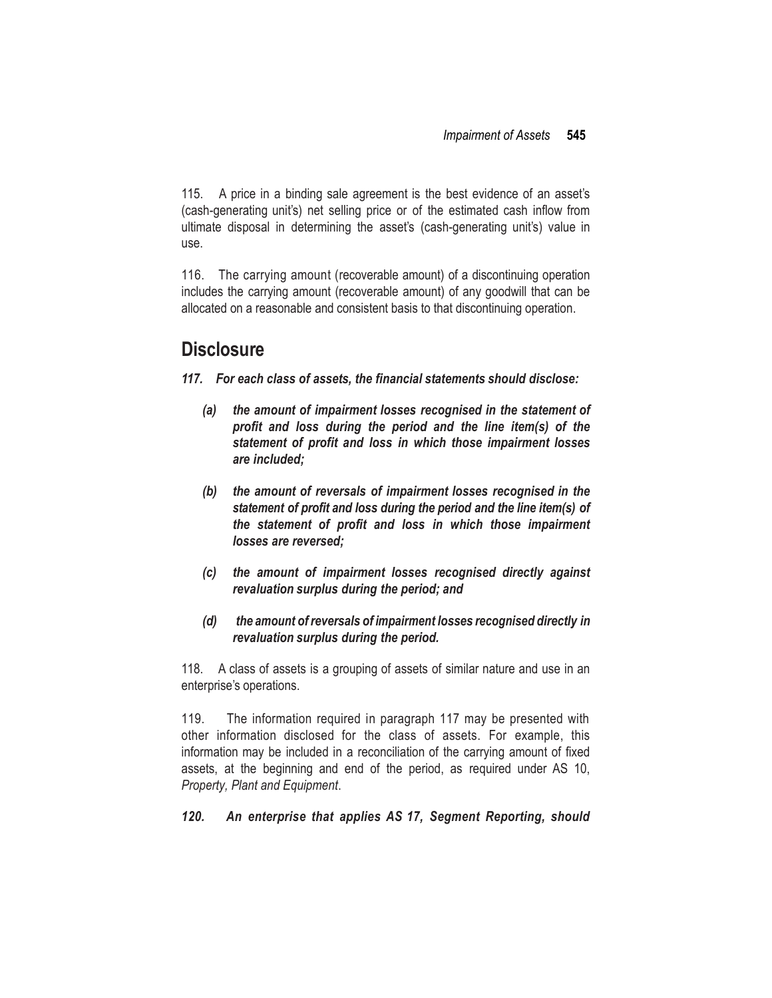115. A price in a binding sale agreement is the best evidence of an asset's (cash-generating unit's) net selling price or of the estimated cash inflow from ultimate disposal in determining the asset's (cash-generating unit's) value in use.

116. The carrying amount (recoverable amount) of a discontinuing operation includes the carrying amount (recoverable amount) of any goodwill that can be allocated on a reasonable and consistent basis to that discontinuing operation.

# **Disclosure**

*117. For each class of assets, the financial statements should disclose:*

- *(a) the amount of impairment losses recognised in the statement of profit and loss during the period and the line item(s) of the statement of profit and loss in which those impairment losses are included;*
- *(b) the amount of reversals of impairment losses recognised in the statement of profit and loss during the period and the line item(s) of the statement of profit and loss in which those impairment losses are reversed;*
- *(c) the amount of impairment losses recognised directly against revaluation surplus during the period; and*
- *(d) the amount of reversals of impairment losses recognised directly in revaluation surplus during the period.*

118. A class of assets is a grouping of assets of similar nature and use in an enterprise's operations.

119. The information required in paragraph 117 may be presented with other information disclosed for the class of assets. For example, this information may be included in a reconciliation of the carrying amount of fixed assets, at the beginning and end of the period, as required under AS 10, *Property, Plant and Equipment*.

*120. An enterprise that applies AS 17, Segment Reporting, should*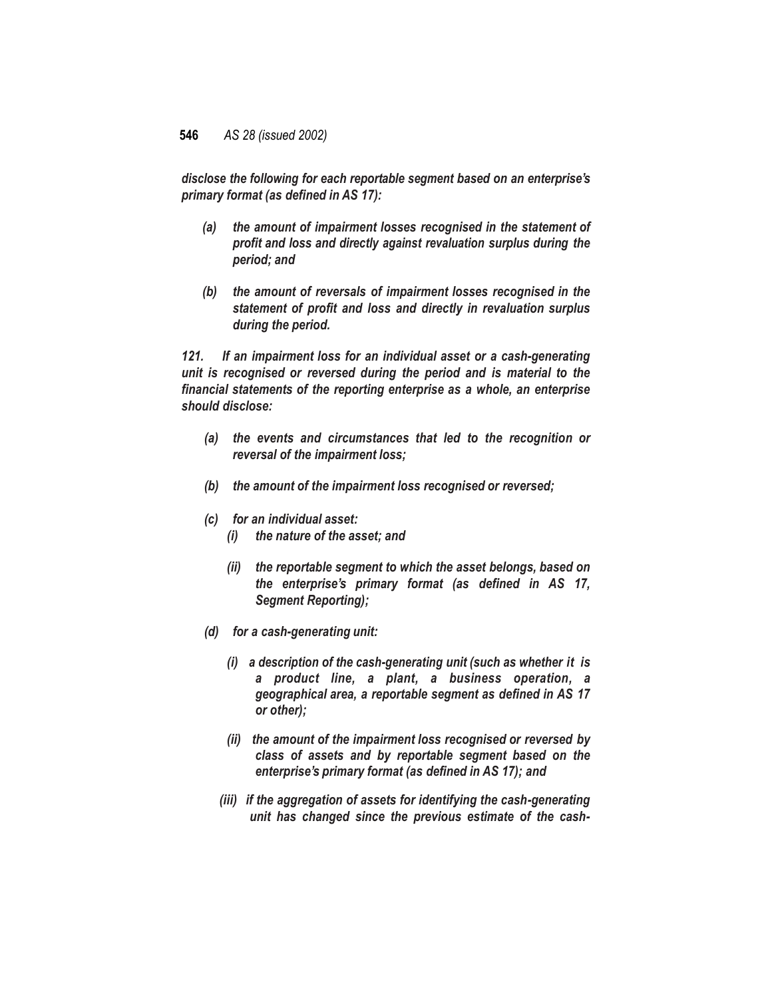*disclose the following for each reportable segment based on an enterprise's primary format (as defined in AS 17):*

- *(a) the amount of impairment losses recognised in the statement of profit and loss and directly against revaluation surplus during the period; and*
- *(b) the amount of reversals of impairment losses recognised in the statement of profit and loss and directly in revaluation surplus during the period.*

*121. If an impairment loss for an individual asset or a cash-generating unit is recognised or reversed during the period and is material to the financial statements of the reporting enterprise as a whole, an enterprise should disclose:*

- *(a) the events and circumstances that led to the recognition or reversal of the impairment loss;*
- *(b) the amount of the impairment loss recognised or reversed;*
- *(c) for an individual asset:*
	- *(i) the nature of the asset; and*
	- *(ii) the reportable segment to which the asset belongs, based on the enterprise's primary format (as defined in AS 17, Segment Reporting);*
- *(d) for a cash-generating unit:*
	- *(i) a description of the cash-generating unit (such as whether it is a product line, a plant, a business operation, a geographical area, a reportable segment as defined in AS 17 or other);*
	- *(ii) the amount of the impairment loss recognised or reversed by class of assets and by reportable segment based on the enterprise's primary format (as defined in AS 17); and*
	- *(iii) if the aggregation of assets for identifying the cash-generating unit has changed since the previous estimate of the cash-*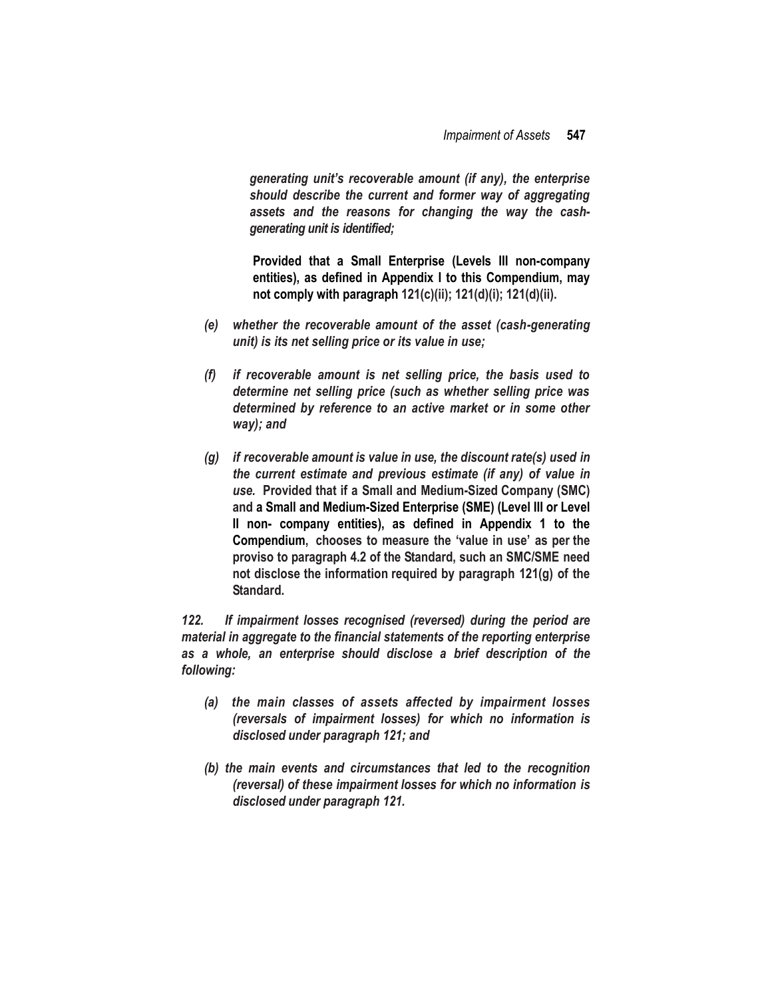*generating unit's recoverable amount (if any), the enterprise should describe the current and former way of aggregating assets and the reasons for changing the way the cashgenerating unit is identified;*

**Provided that a Small Enterprise (Levels III non-company entities), as defined in Appendix I to this Compendium, may not comply with paragraph 121(c)(ii); 121(d)(i); 121(d)(ii).**

- *(e) whether the recoverable amount of the asset (cash-generating unit) is its net selling price or its value in use;*
- *(f) if recoverable amount is net selling price, the basis used to determine net selling price (such as whether selling price was determined by reference to an active market or in some other way); and*
- *(g) if recoverable amount is value in use, the discount rate(s) used in the current estimate and previous estimate (if any) of value in use.* **Provided that if a Small and Medium-Sized Company (SMC) and a Small and Medium-Sized Enterprise (SME) (Level III or Level II non- company entities), as defined in Appendix 1 to the Compendium, chooses to measure the 'value in use' as per the proviso to paragraph 4.2 of the Standard, such an SMC/SME need not disclose the information required by paragraph 121(g) of the Standard.**

*122. If impairment losses recognised (reversed) during the period are material in aggregate to the financial statements of the reporting enterprise as a whole, an enterprise should disclose a brief description of the following:*

- *(a) the main classes of assets affected by impairment losses (reversals of impairment losses) for which no information is disclosed under paragraph 121; and*
- *(b) the main events and circumstances that led to the recognition (reversal) of these impairment losses for which no information is disclosed under paragraph 121.*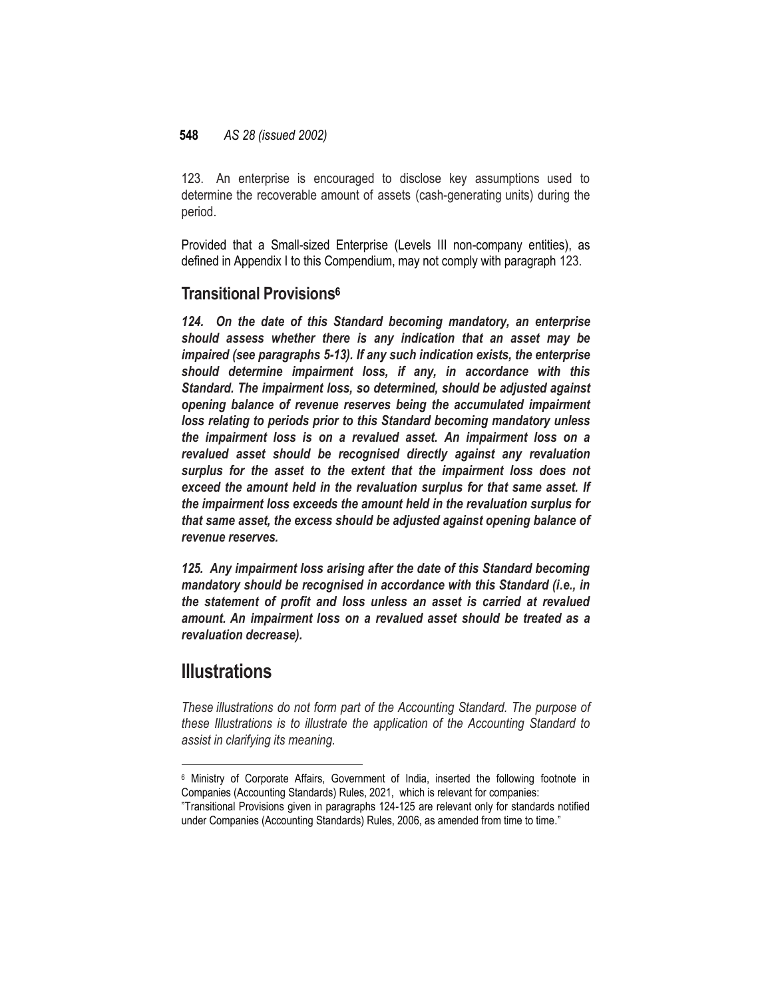123. An enterprise is encouraged to disclose key assumptions used to determine the recoverable amount of assets (cash-generating units) during the period.

Provided that a Small-sized Enterprise (Levels III non-company entities), as defined in Appendix I to this Compendium, may not comply with paragraph 123.

## **Transitional Provisions<sup>6</sup>**

*124. On the date of this Standard becoming mandatory, an enterprise should assess whether there is any indication that an asset may be impaired (see paragraphs 5-13). If any such indication exists, the enterprise should determine impairment loss, if any, in accordance with this Standard. The impairment loss, so determined, should be adjusted against opening balance of revenue reserves being the accumulated impairment loss relating to periods prior to this Standard becoming mandatory unless the impairment loss is on a revalued asset. An impairment loss on a revalued asset should be recognised directly against any revaluation surplus for the asset to the extent that the impairment loss does not exceed the amount held in the revaluation surplus for that same asset. If the impairment loss exceeds the amount held in the revaluation surplus for that same asset, the excess should be adjusted against opening balance of revenue reserves.*

*125. Any impairment loss arising after the date of this Standard becoming mandatory should be recognised in accordance with this Standard (i.e., in the statement of profit and loss unless an asset is carried at revalued amount. An impairment loss on a revalued asset should be treated as a revaluation decrease).*

# **Illustrations**

**.** 

*These illustrations do not form part of the Accounting Standard. The purpose of these Illustrations is to illustrate the application of the Accounting Standard to assist in clarifying its meaning.*

<sup>6</sup> Ministry of Corporate Affairs, Government of India, inserted the following footnote in Companies (Accounting Standards) Rules, 2021, which is relevant for companies:

<sup>&</sup>quot;Transitional Provisions given in paragraphs 124-125 are relevant only for standards notified under Companies (Accounting Standards) Rules, 2006, as amended from time to time."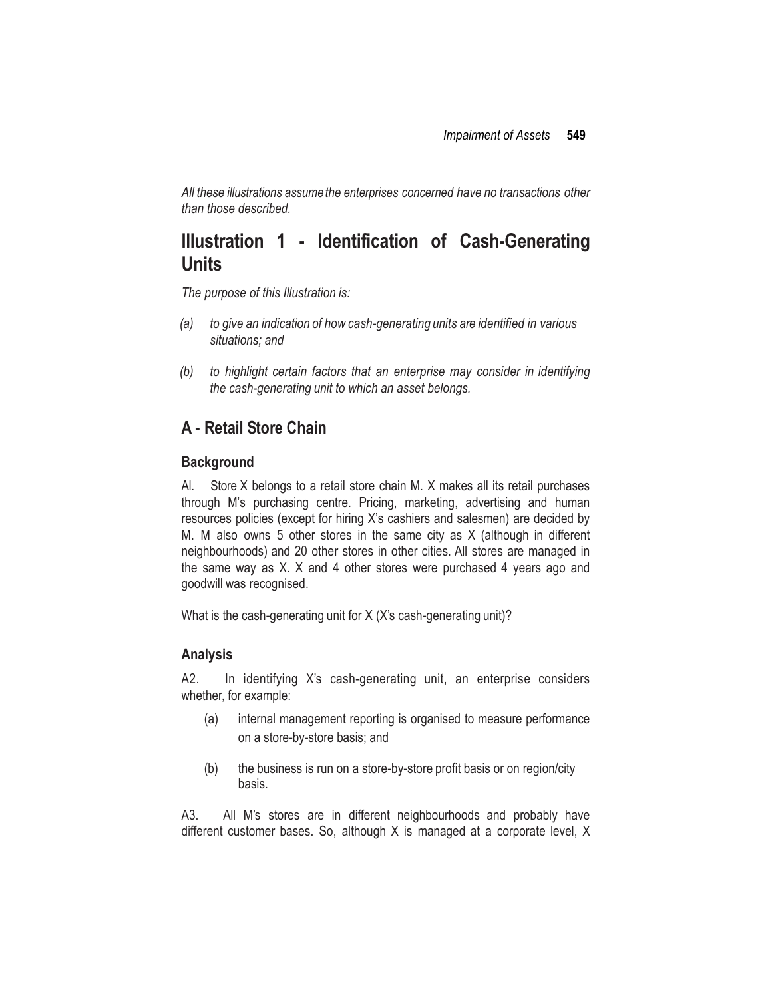*All these illustrations assume the enterprises concerned have no transactions other than those described.*

# **Illustration 1 - Identification of Cash-Generating Units**

*The purpose of this Illustration is:*

- *(a) to give an indication of how cash-generating units are identified in various situations; and*
- *(b) to highlight certain factors that an enterprise may consider in identifying the cash-generating unit to which an asset belongs.*

# **A - Retail Store Chain**

#### **Background**

Al. Store X belongs to a retail store chain M. X makes all its retail purchases through M's purchasing centre. Pricing, marketing, advertising and human resources policies (except for hiring X's cashiers and salesmen) are decided by M. M also owns 5 other stores in the same city as X (although in different neighbourhoods) and 20 other stores in other cities. All stores are managed in the same way as X. X and 4 other stores were purchased 4 years ago and goodwill was recognised.

What is the cash-generating unit for X (X's cash-generating unit)?

#### **Analysis**

A2. In identifying X's cash-generating unit, an enterprise considers whether, for example:

- (a) internal management reporting is organised to measure performance on a store-by-store basis; and
- (b) the business is run on a store-by-store profit basis or on region/city basis.

A3. All M's stores are in different neighbourhoods and probably have different customer bases. So, although X is managed at a corporate level, X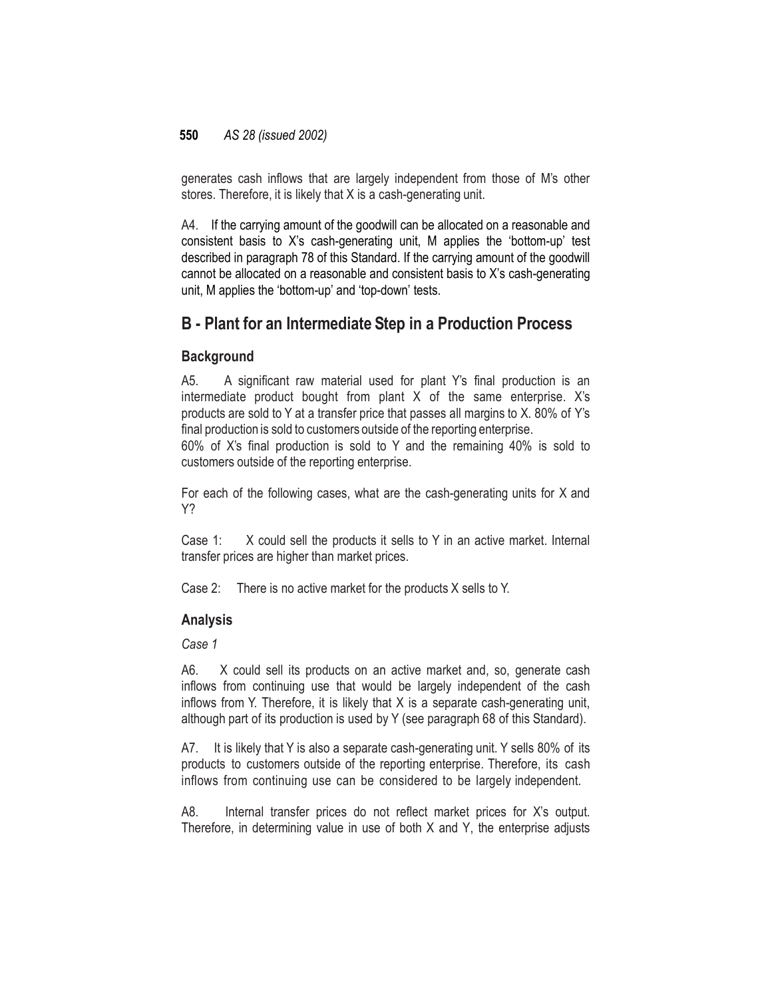generates cash inflows that are largely independent from those of M's other stores. Therefore, it is likely that X is a cash-generating unit.

A4. If the carrying amount of the goodwill can be allocated on a reasonable and consistent basis to X's cash-generating unit, M applies the 'bottom-up' test described in paragraph 78 of this Standard. If the carrying amount of the goodwill cannot be allocated on a reasonable and consistent basis to X's cash-generating unit, M applies the 'bottom-up' and 'top-down' tests.

# **B - Plant for an Intermediate Step in a Production Process**

## **Background**

A5. A significant raw material used for plant Y's final production is an intermediate product bought from plant X of the same enterprise. X's products are sold to Y at a transfer price that passes all margins to X. 80% of Y's final production is sold to customers outside of the reporting enterprise.

60% of X's final production is sold to Y and the remaining 40% is sold to customers outside of the reporting enterprise.

For each of the following cases, what are the cash-generating units for X and Y?

Case 1: X could sell the products it sells to Y in an active market. Internal transfer prices are higher than market prices.

Case 2: There is no active market for the products X sells to Y.

## **Analysis**

*Case 1*

A6. X could sell its products on an active market and, so, generate cash inflows from continuing use that would be largely independent of the cash inflows from Y. Therefore, it is likely that X is a separate cash-generating unit, although part of its production is used by Y (see paragraph 68 of this Standard).

A7. It is likely that Y is also a separate cash-generating unit. Y sells 80% of its products to customers outside of the reporting enterprise. Therefore, its cash inflows from continuing use can be considered to be largely independent.

A8. Internal transfer prices do not reflect market prices for X's output. Therefore, in determining value in use of both X and Y, the enterprise adjusts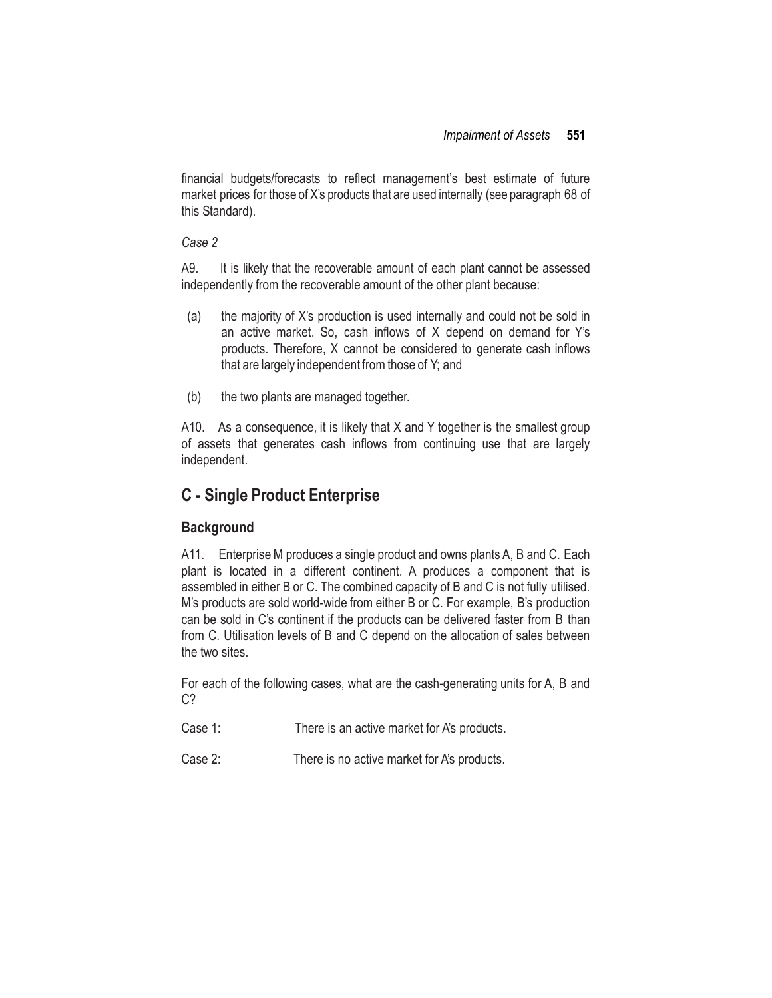financial budgets/forecasts to reflect management's best estimate of future market prices for those of X's products that are used internally (see paragraph 68 of this Standard).

*Case 2*

A9. It is likely that the recoverable amount of each plant cannot be assessed independently from the recoverable amount of the other plant because:

- (a) the majority of X's production is used internally and could not be sold in an active market. So, cash inflows of X depend on demand for Y's products. Therefore, X cannot be considered to generate cash inflows that are largely independent from those of Y; and
- (b) the two plants are managed together.

A10. As a consequence, it is likely that X and Y together is the smallest group of assets that generates cash inflows from continuing use that are largely independent.

# **C - Single Product Enterprise**

## **Background**

A11. Enterprise M produces a single product and owns plants A, B and C. Each plant is located in a different continent. A produces a component that is assembled in either B or C. The combined capacity of B and C is not fully utilised. M's products are sold world-wide from either B or C. For example, B's production can be sold in C's continent if the products can be delivered faster from B than from C. Utilisation levels of B and C depend on the allocation of sales between the two sites.

For each of the following cases, what are the cash-generating units for A, B and  $C<sub>2</sub>$ 

Case 1: There is an active market for A's products.

Case 2: There is no active market for A's products.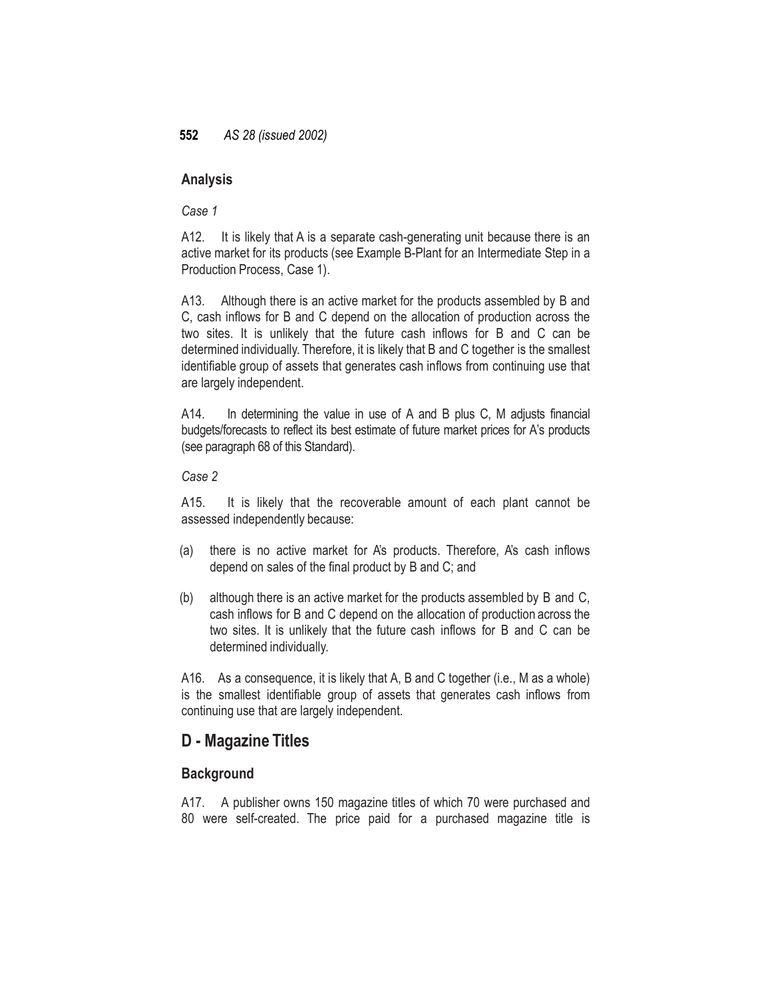## **Analysis**

*Case 1*

A12. It is likely that A is a separate cash-generating unit because there is an active market for its products (see Example B-Plant for an Intermediate Step in a Production Process, Case 1).

A13. Although there is an active market for the products assembled by B and C, cash inflows for B and C depend on the allocation of production across the two sites. It is unlikely that the future cash inflows for B and C can be determined individually. Therefore, it is likely that B and C together is the smallest identifiable group of assets that generates cash inflows from continuing use that are largely independent.

A14. In determining the value in use of A and B plus C, M adjusts financial budgets/forecasts to reflect its best estimate of future market prices for A's products (see paragraph 68 of this Standard).

#### *Case 2*

A15. It is likely that the recoverable amount of each plant cannot be assessed independently because:

- (a) there is no active market for A's products. Therefore, A's cash inflows depend on sales of the final product by B and C; and
- (b) although there is an active market for the products assembled by B and C, cash inflows for B and C depend on the allocation of production across the two sites. It is unlikely that the future cash inflows for B and C can be determined individually.

A16. As a consequence, it is likely that A, B and C together (i.e., M as a whole) is the smallest identifiable group of assets that generates cash inflows from continuing use that are largely independent.

# **D - Magazine Titles**

## **Background**

A17. A publisher owns 150 magazine titles of which 70 were purchased and 80 were self-created. The price paid for a purchased magazine title is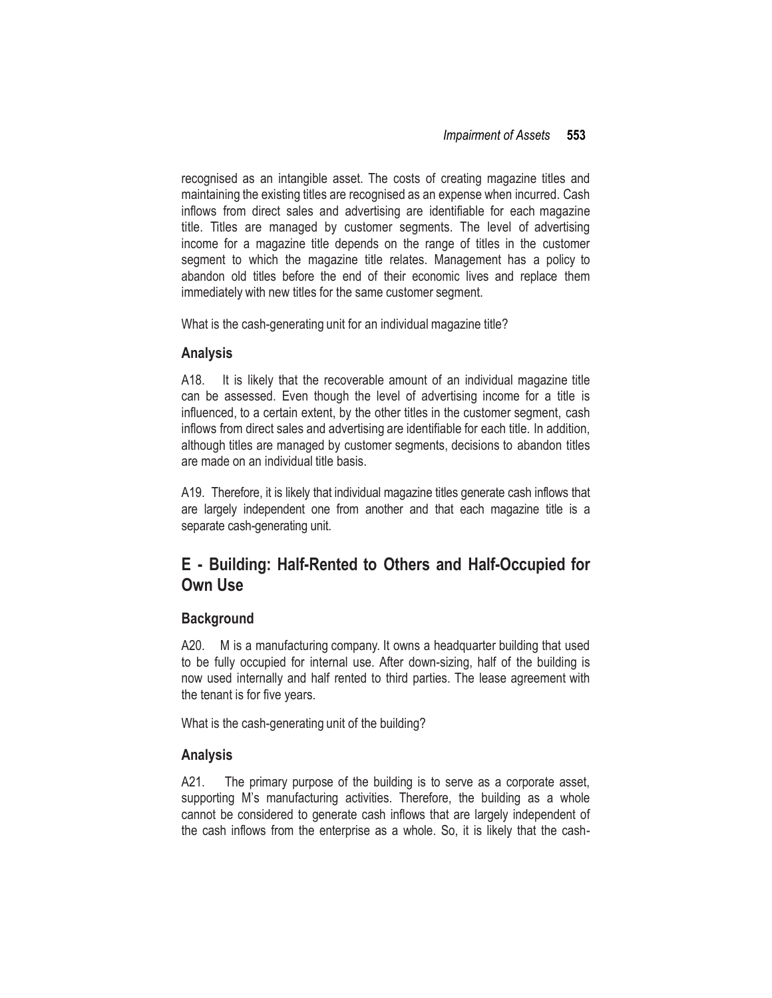recognised as an intangible asset. The costs of creating magazine titles and maintaining the existing titles are recognised as an expense when incurred. Cash inflows from direct sales and advertising are identifiable for each magazine title. Titles are managed by customer segments. The level of advertising income for a magazine title depends on the range of titles in the customer segment to which the magazine title relates. Management has a policy to abandon old titles before the end of their economic lives and replace them immediately with new titles for the same customer segment.

What is the cash-generating unit for an individual magazine title?

## **Analysis**

A18. It is likely that the recoverable amount of an individual magazine title can be assessed. Even though the level of advertising income for a title is influenced, to a certain extent, by the other titles in the customer segment, cash inflows from direct sales and advertising are identifiable for each title. In addition, although titles are managed by customer segments, decisions to abandon titles are made on an individual title basis.

A19. Therefore, it is likely that individual magazine titles generate cash inflows that are largely independent one from another and that each magazine title is a separate cash-generating unit.

# **E - Building: Half-Rented to Others and Half-Occupied for Own Use**

## **Background**

A20. M is a manufacturing company. It owns a headquarter building that used to be fully occupied for internal use. After down-sizing, half of the building is now used internally and half rented to third parties. The lease agreement with the tenant is for five years.

What is the cash-generating unit of the building?

## **Analysis**

A21. The primary purpose of the building is to serve as a corporate asset, supporting M's manufacturing activities. Therefore, the building as a whole cannot be considered to generate cash inflows that are largely independent of the cash inflows from the enterprise as a whole. So, it is likely that the cash-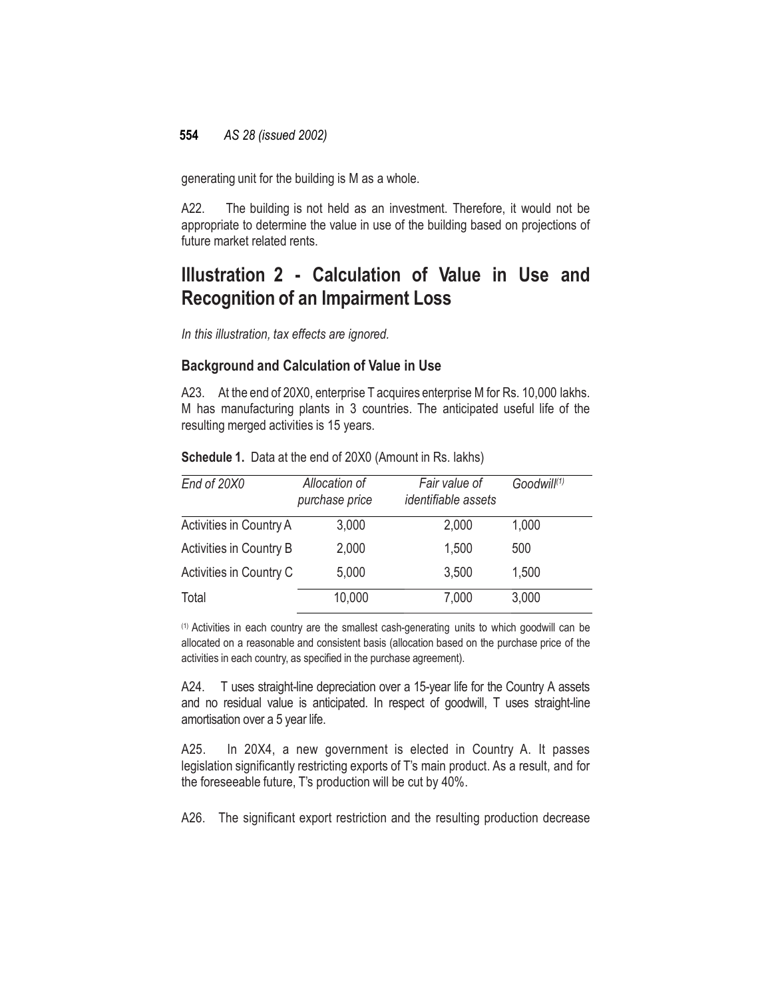generating unit for the building is M as a whole.

A22. The building is not held as an investment. Therefore, it would not be appropriate to determine the value in use of the building based on projections of future market related rents.

# **Illustration 2 - Calculation of Value in Use and Recognition of an Impairment Loss**

*In this illustration, tax effects are ignored.*

#### **Background and Calculation of Value in Use**

A23. At the end of 20X0, enterprise T acquires enterprise M for Rs. 10,000 lakhs. M has manufacturing plants in 3 countries. The anticipated useful life of the resulting merged activities is 15 years.

| End of 20X0             | Allocation of<br>purchase price | Fair value of<br><i>identifiable</i> assets | Goodwill <sup>(1)</sup> |
|-------------------------|---------------------------------|---------------------------------------------|-------------------------|
| Activities in Country A | 3,000                           | 2,000                                       | 1,000                   |
| Activities in Country B | 2,000                           | 1,500                                       | 500                     |
| Activities in Country C | 5,000                           | 3,500                                       | 1,500                   |
| Total                   | 10,000                          | 7,000                                       | 3,000                   |

**Schedule 1.** Data at the end of 20X0 (Amount in Rs. lakhs)

(1) Activities in each country are the smallest cash-generating units to which goodwill can be allocated on a reasonable and consistent basis (allocation based on the purchase price of the activities in each country, as specified in the purchase agreement).

A24. T uses straight-line depreciation over a 15-year life for the Country A assets and no residual value is anticipated. In respect of goodwill, T uses straight-line amortisation over a 5 year life.

A25. In 20X4, a new government is elected in Country A. It passes legislation significantly restricting exports of T's main product. As a result, and for the foreseeable future, T's production will be cut by 40%.

A26. The significant export restriction and the resulting production decrease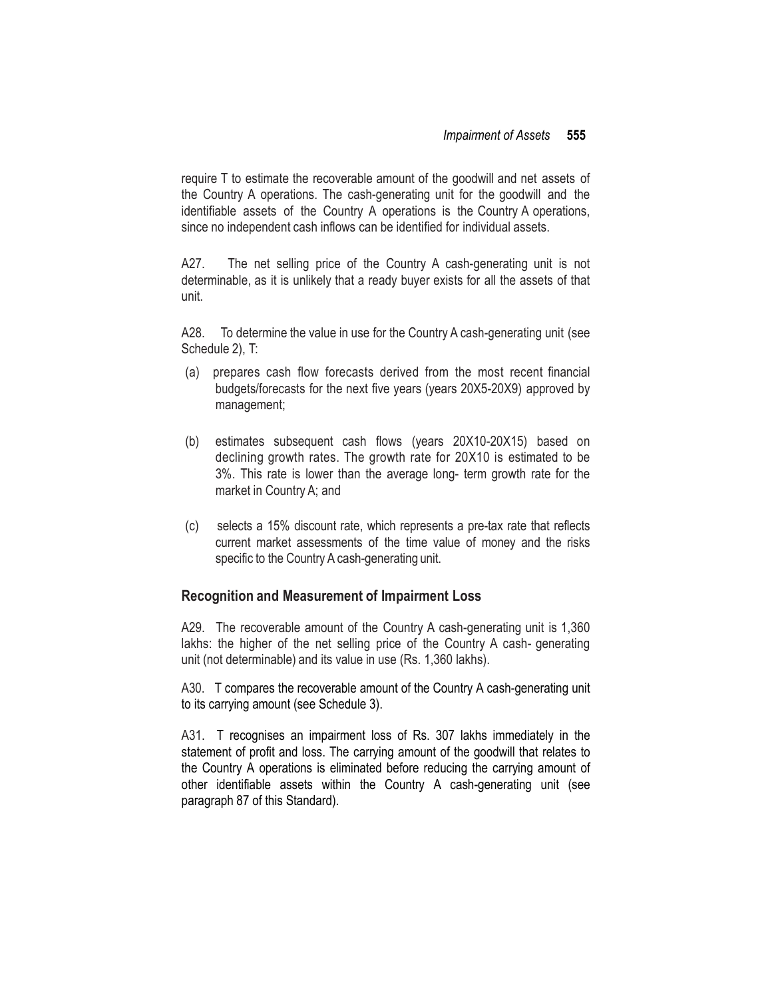require T to estimate the recoverable amount of the goodwill and net assets of the Country A operations. The cash-generating unit for the goodwill and the identifiable assets of the Country A operations is the Country A operations, since no independent cash inflows can be identified for individual assets.

A27. The net selling price of the Country A cash-generating unit is not determinable, as it is unlikely that a ready buyer exists for all the assets of that unit.

A28. To determine the value in use for the Country A cash-generating unit (see Schedule 2), T:

- (a) prepares cash flow forecasts derived from the most recent financial budgets/forecasts for the next five years (years 20X5-20X9) approved by management;
- (b) estimates subsequent cash flows (years 20X10-20X15) based on declining growth rates. The growth rate for 20X10 is estimated to be 3%. This rate is lower than the average long- term growth rate for the market in Country A; and
- (c) selects a 15% discount rate, which represents a pre-tax rate that reflects current market assessments of the time value of money and the risks specific to the Country A cash-generating unit.

#### **Recognition and Measurement of Impairment Loss**

A29. The recoverable amount of the Country A cash-generating unit is 1,360 lakhs: the higher of the net selling price of the Country A cash- generating unit (not determinable) and its value in use (Rs. 1,360 lakhs).

A30. T compares the recoverable amount of the Country A cash-generating unit to its carrying amount (see Schedule 3).

A31. T recognises an impairment loss of Rs. 307 lakhs immediately in the statement of profit and loss. The carrying amount of the goodwill that relates to the Country A operations is eliminated before reducing the carrying amount of other identifiable assets within the Country A cash-generating unit (see paragraph 87 of this Standard).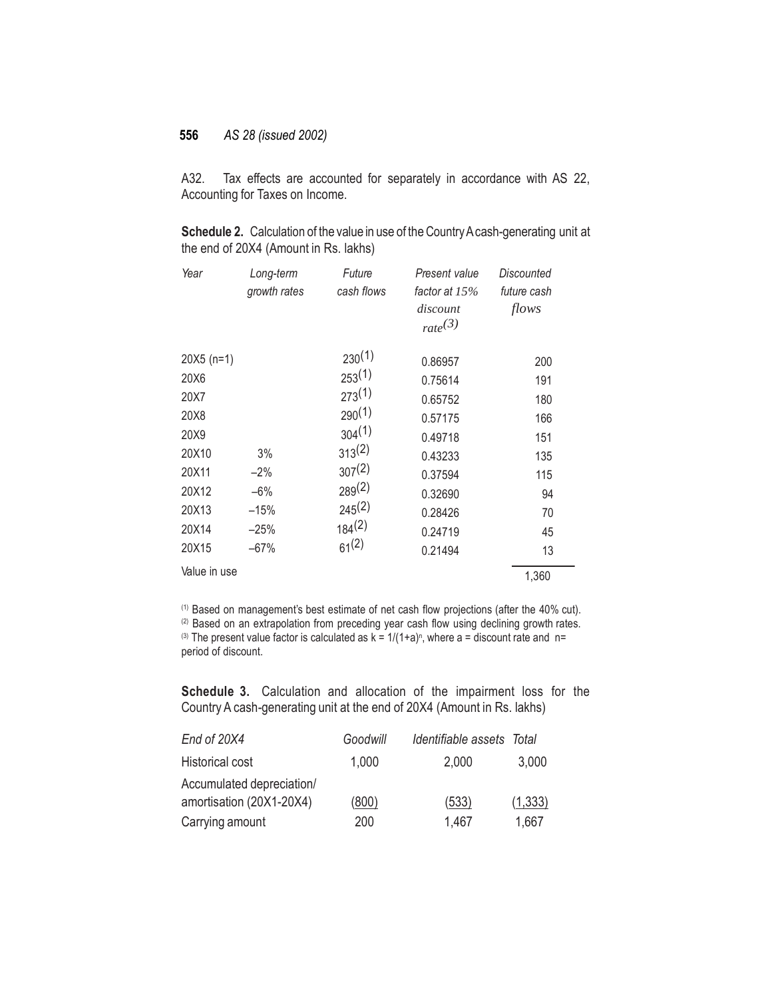A32. Tax effects are accounted for separately in accordance with AS 22, Accounting for Taxes on Income.

**Schedule 2.** Calculation of the value in use of the Country A cash-generating unit at the end of 20X4 (Amount in Rs. lakhs)

| Year                                                                                      | Long-term<br>growth rates                | Future<br>cash flows                                                                                                      | Present value<br>factor at $15%$<br>discount<br>rate <sup>(3)</sup>                                        | Discounted<br>future cash<br>flows                              |
|-------------------------------------------------------------------------------------------|------------------------------------------|---------------------------------------------------------------------------------------------------------------------------|------------------------------------------------------------------------------------------------------------|-----------------------------------------------------------------|
| $20X5$ (n=1)<br>20X6<br>20X7<br>20X8<br>20X9<br>20X10<br>20X11<br>20X12<br>20X13<br>20X14 | 3%<br>$-2%$<br>$-6%$<br>$-15%$<br>$-25%$ | $230^{(1)}$<br>253(1)<br>273(1)<br>$290^{(1)}$<br>304(1)<br>$313^{(2)}$<br>$307^{(2)}$<br>289(2)<br>$245^{(2)}$<br>184(2) | 0.86957<br>0.75614<br>0.65752<br>0.57175<br>0.49718<br>0.43233<br>0.37594<br>0.32690<br>0.28426<br>0.24719 | 200<br>191<br>180<br>166<br>151<br>135<br>115<br>94<br>70<br>45 |
| 20X15                                                                                     | $-67%$                                   | $61^{(2)}$                                                                                                                | 0.21494                                                                                                    | 13                                                              |
| Value in use                                                                              |                                          |                                                                                                                           |                                                                                                            | 1,360                                                           |

(1) Based on management's best estimate of net cash flow projections (after the 40% cut). <sup>(2)</sup> Based on an extrapolation from preceding year cash flow using declining growth rates. <sup>(3)</sup> The present value factor is calculated as  $k = 1/(1+a)^n$ , where a = discount rate and n= period of discount.

**Schedule 3.** Calculation and allocation of the impairment loss for the Country A cash-generating unit at the end of 20X4 (Amount in Rs. lakhs)

| End of 20X4               | Goodwill | Identifiable assets Total |          |
|---------------------------|----------|---------------------------|----------|
| Historical cost           | 1,000    | 2,000                     | 3,000    |
| Accumulated depreciation/ |          |                           |          |
| amortisation (20X1-20X4)  | (800)    | (533)                     | (1, 333) |
| Carrying amount           | 200      | 1,467                     | 1,667    |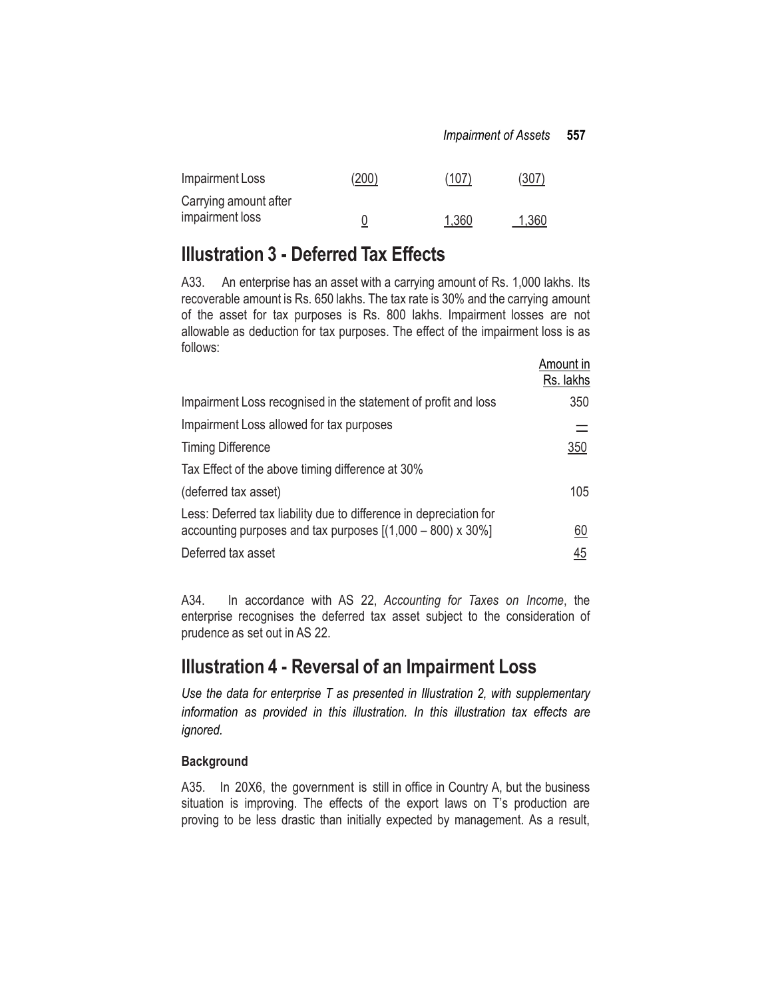| Impairment Loss       | (200) | (107) | (307  |
|-----------------------|-------|-------|-------|
| Carrying amount after |       |       |       |
| impairment loss       |       | 1,360 | 1,360 |

# **Illustration 3 - Deferred Tax Effects**

A33. An enterprise has an asset with a carrying amount of Rs. 1,000 lakhs. Its recoverable amount is Rs. 650 lakhs. The tax rate is 30% and the carrying amount of the asset for tax purposes is Rs. 800 lakhs. Impairment losses are not allowable as deduction for tax purposes. The effect of the impairment loss is as follows:

|                                                                                                                                          | Amount in<br>Rs. lakhs |
|------------------------------------------------------------------------------------------------------------------------------------------|------------------------|
| Impairment Loss recognised in the statement of profit and loss                                                                           | 350                    |
| Impairment Loss allowed for tax purposes                                                                                                 |                        |
| <b>Timing Difference</b>                                                                                                                 | 350                    |
| Tax Effect of the above timing difference at 30%                                                                                         |                        |
| (deferred tax asset)                                                                                                                     | 105                    |
| Less: Deferred tax liability due to difference in depreciation for<br>accounting purposes and tax purposes $[(1,000 - 800) \times 30\%]$ | 60                     |
| Deferred tax asset                                                                                                                       | 45                     |

A34. In accordance with AS 22, *Accounting for Taxes on Income*, the enterprise recognises the deferred tax asset subject to the consideration of prudence as set out in AS 22.

# **Illustration 4 - Reversal of an Impairment Loss**

*Use the data for enterprise T as presented in Illustration 2, with supplementary information as provided in this illustration. In this illustration tax effects are ignored.*

#### **Background**

A35. In 20X6, the government is still in office in Country A, but the business situation is improving. The effects of the export laws on T's production are proving to be less drastic than initially expected by management. As a result,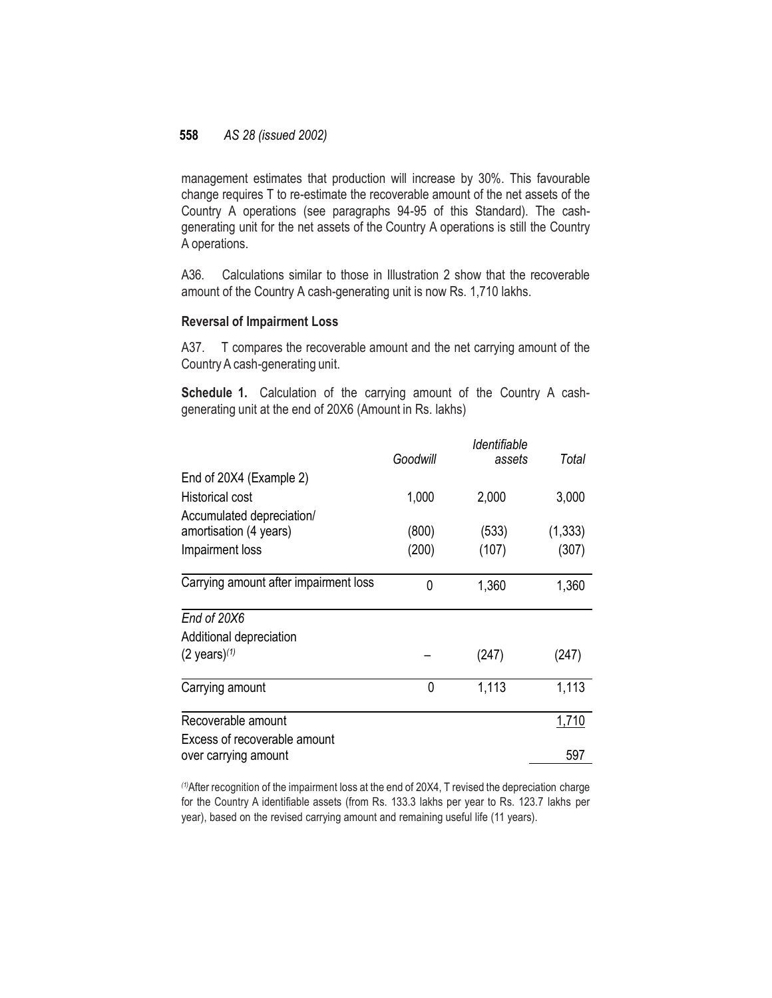management estimates that production will increase by 30%. This favourable change requires T to re-estimate the recoverable amount of the net assets of the Country A operations (see paragraphs 94-95 of this Standard). The cashgenerating unit for the net assets of the Country A operations is still the Country A operations.

A36. Calculations similar to those in Illustration 2 show that the recoverable amount of the Country A cash-generating unit is now Rs. 1,710 lakhs.

#### **Reversal of Impairment Loss**

A37. T compares the recoverable amount and the net carrying amount of the Country A cash-generating unit.

**Schedule 1.** Calculation of the carrying amount of the Country A cashgenerating unit at the end of 20X6 (Amount in Rs. lakhs)

|                                       | Goodwill | Identifiable<br>assets | Total    |
|---------------------------------------|----------|------------------------|----------|
| End of 20X4 (Example 2)               |          |                        |          |
| Historical cost                       | 1,000    | 2,000                  | 3,000    |
| Accumulated depreciation/             |          |                        |          |
| amortisation (4 years)                | (800)    | (533)                  | (1, 333) |
| Impairment loss                       | (200)    | (107)                  | (307)    |
| Carrying amount after impairment loss | 0        | 1,360                  | 1,360    |
| End of 20X6                           |          |                        |          |
| Additional depreciation               |          |                        |          |
| $(2 \text{ years})^{(1)}$             |          | (247)                  | (247)    |
| Carrying amount                       | 0        | 1,113                  | 1,113    |
| Recoverable amount                    |          |                        | 1,710    |
| Excess of recoverable amount          |          |                        |          |
| over carrying amount                  |          |                        | 597      |

*(1)*After recognition of the impairment loss at the end of 20X4, T revised the depreciation charge for the Country A identifiable assets (from Rs. 133.3 lakhs per year to Rs. 123.7 lakhs per year), based on the revised carrying amount and remaining useful life (11 years).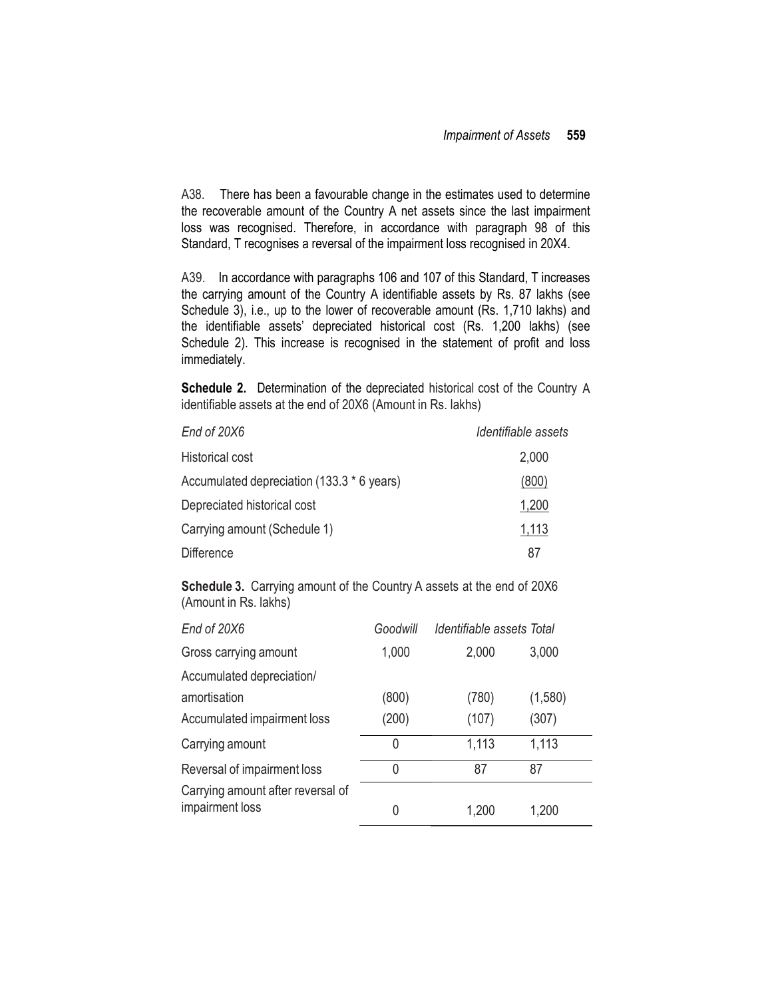A38. There has been a favourable change in the estimates used to determine the recoverable amount of the Country A net assets since the last impairment loss was recognised. Therefore, in accordance with paragraph 98 of this Standard, T recognises a reversal of the impairment loss recognised in 20X4.

A39. In accordance with paragraphs 106 and 107 of this Standard, T increases the carrying amount of the Country A identifiable assets by Rs. 87 lakhs (see Schedule 3), i.e., up to the lower of recoverable amount (Rs. 1,710 lakhs) and the identifiable assets' depreciated historical cost (Rs. 1,200 lakhs) (see Schedule 2). This increase is recognised in the statement of profit and loss immediately.

**Schedule 2.** Determination of the depreciated historical cost of the Country A identifiable assets at the end of 20X6 (Amount in Rs. lakhs)

| End of 20X6                                | Identifiable assets |
|--------------------------------------------|---------------------|
| Historical cost                            | 2,000               |
| Accumulated depreciation (133.3 * 6 years) | (800)               |
| Depreciated historical cost                | 1,200               |
| Carrying amount (Schedule 1)               | 1,113               |
| <b>Difference</b>                          | 87                  |

**Schedule 3.** Carrying amount of the Country A assets at the end of 20X6 (Amount in Rs. lakhs)

| End of 20X6                                          | Goodwill | Identifiable assets Total |         |
|------------------------------------------------------|----------|---------------------------|---------|
| Gross carrying amount                                | 1,000    | 2,000                     | 3,000   |
| Accumulated depreciation/                            |          |                           |         |
| amortisation                                         | (800)    | (780)                     | (1,580) |
| Accumulated impairment loss                          | (200)    | (107)                     | (307)   |
| Carrying amount                                      | 0        | 1,113                     | 1,113   |
| Reversal of impairment loss                          | 0        | 87                        | 87      |
| Carrying amount after reversal of<br>impairment loss | 0        | 1,200                     | 1,200   |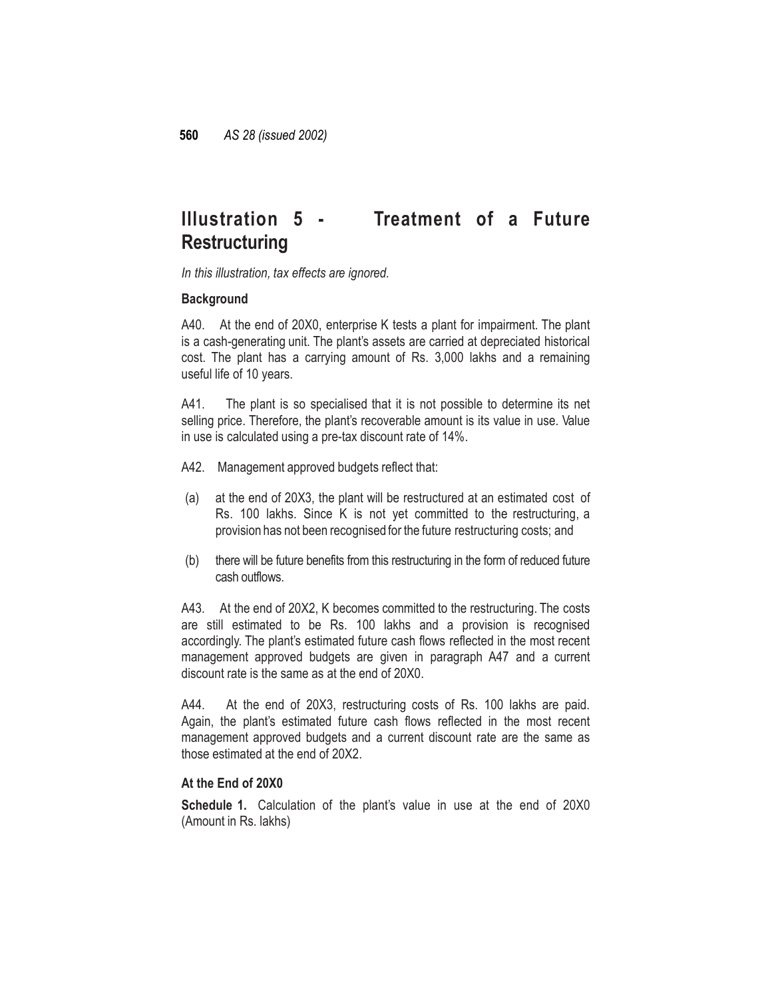# **Illustration 5 - Treatment of a Future Restructuring**

*In this illustration, tax effects are ignored.*

#### **Background**

A40. At the end of 20X0, enterprise K tests a plant for impairment. The plant is a cash-generating unit. The plant's assets are carried at depreciated historical cost. The plant has a carrying amount of Rs. 3,000 lakhs and a remaining useful life of 10 years.

A41. The plant is so specialised that it is not possible to determine its net selling price. Therefore, the plant's recoverable amount is its value in use. Value in use is calculated using a pre-tax discount rate of 14%.

- A42. Management approved budgets reflect that:
- (a) at the end of 20X3, the plant will be restructured at an estimated cost of Rs. 100 lakhs. Since K is not yet committed to the restructuring, a provision has not been recognised for the future restructuring costs; and
- (b) there will be future benefits from this restructuring in the form of reduced future cash outflows.

A43. At the end of 20X2, K becomes committed to the restructuring. The costs are still estimated to be Rs. 100 lakhs and a provision is recognised accordingly. The plant's estimated future cash flows reflected in the most recent management approved budgets are given in paragraph A47 and a current discount rate is the same as at the end of 20X0.

A44. At the end of 20X3, restructuring costs of Rs. 100 lakhs are paid. Again, the plant's estimated future cash flows reflected in the most recent management approved budgets and a current discount rate are the same as those estimated at the end of 20X2.

#### **At the End of 20X0**

**Schedule 1.** Calculation of the plant's value in use at the end of 20X0 (Amount in Rs. lakhs)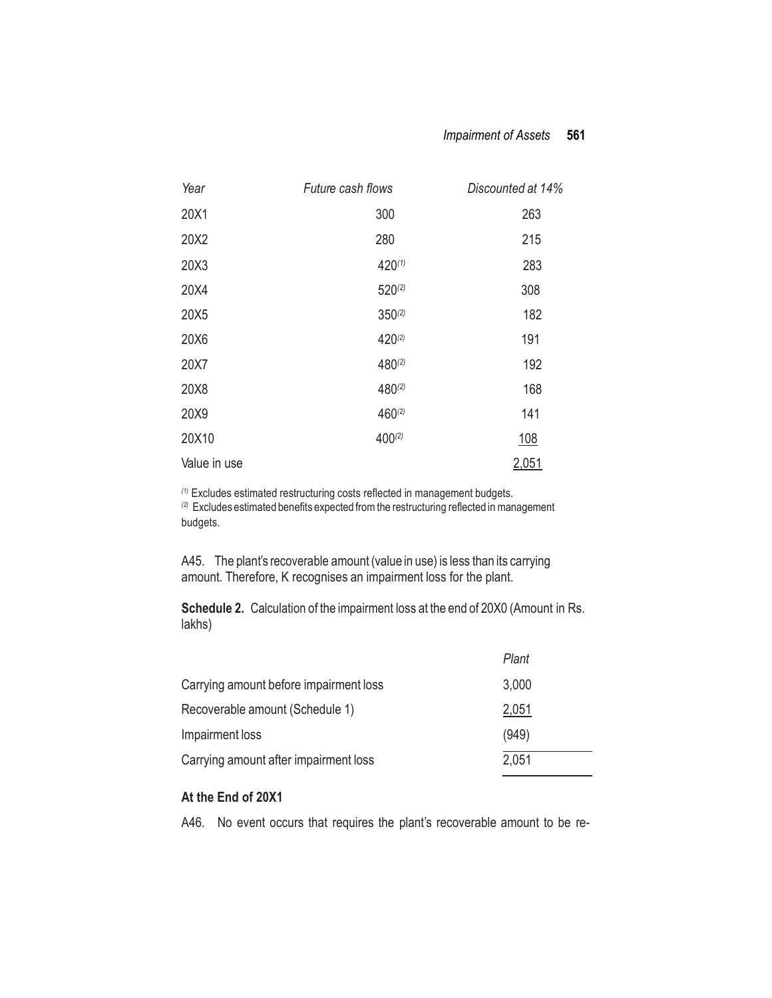| Year         | Future cash flows | Discounted at 14% |
|--------------|-------------------|-------------------|
| 20X1         | 300               | 263               |
| 20X2         | 280               | 215               |
| 20X3         | $420^{(1)}$       | 283               |
| 20X4         | $520^{(2)}$       | 308               |
| 20X5         | $350^{(2)}$       | 182               |
| 20X6         | 420(2)            | 191               |
| 20X7         | 480(2)            | 192               |
| 20X8         | 480(2)            | 168               |
| 20X9         | 460(2)            | 141               |
| 20X10        | $400^{(2)}$       | <u>108</u>        |
| Value in use |                   | 2,051             |

*(1)* Excludes estimated restructuring costs reflected in management budgets.

<sup>(2)</sup> Excludes estimated benefits expected from the restructuring reflected in management budgets.

A45. The plant's recoverable amount(value in use) is less than its carrying amount. Therefore, K recognises an impairment loss for the plant.

**Schedule 2.** Calculation of the impairment loss at the end of 20X0 (Amount in Rs. lakhs)

|                                        | Plant |
|----------------------------------------|-------|
| Carrying amount before impairment loss | 3,000 |
| Recoverable amount (Schedule 1)        | 2,051 |
| Impairment loss                        | (949) |
| Carrying amount after impairment loss  | 2,051 |

## **At the End of 20X1**

A46. No event occurs that requires the plant's recoverable amount to be re-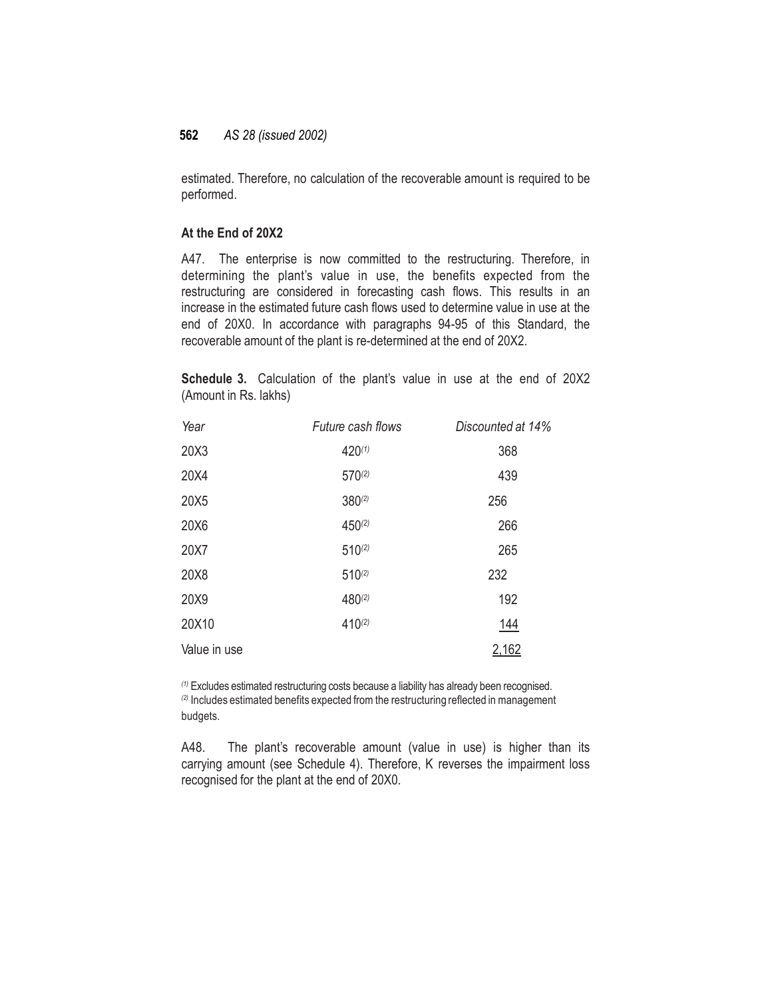estimated. Therefore, no calculation of the recoverable amount is required to be performed.

#### **At the End of 20X2**

A47. The enterprise is now committed to the restructuring. Therefore, in determining the plant's value in use, the benefits expected from the restructuring are considered in forecasting cash flows. This results in an increase in the estimated future cash flows used to determine value in use at the end of 20X0. In accordance with paragraphs 94-95 of this Standard, the recoverable amount of the plant is re-determined at the end of 20X2.

| Year         | Future cash flows | Discounted at 14% |
|--------------|-------------------|-------------------|
| 20X3         | $420^{(1)}$       | 368               |
| 20X4         | $570^{(2)}$       | 439               |
| 20X5         | $380^{(2)}$       | 256               |
| 20X6         | $450^{(2)}$       | 266               |
| 20X7         | $510^{(2)}$       | 265               |
| 20X8         | $510^{(2)}$       | 232               |
| 20X9         | $480^{(2)}$       | 192               |
| 20X10        | $410^{(2)}$       | 144               |
| Value in use |                   | 2,162             |

**Schedule 3.** Calculation of the plant's value in use at the end of 20X2 (Amount in Rs. lakhs)

*(1)* Excludes estimated restructuring costs because a liability has already been recognised. *(2)* Includes estimated benefits expected from the restructuring reflected in management budgets.

A48. The plant's recoverable amount (value in use) is higher than its carrying amount (see Schedule 4). Therefore, K reverses the impairment loss recognised for the plant at the end of 20X0.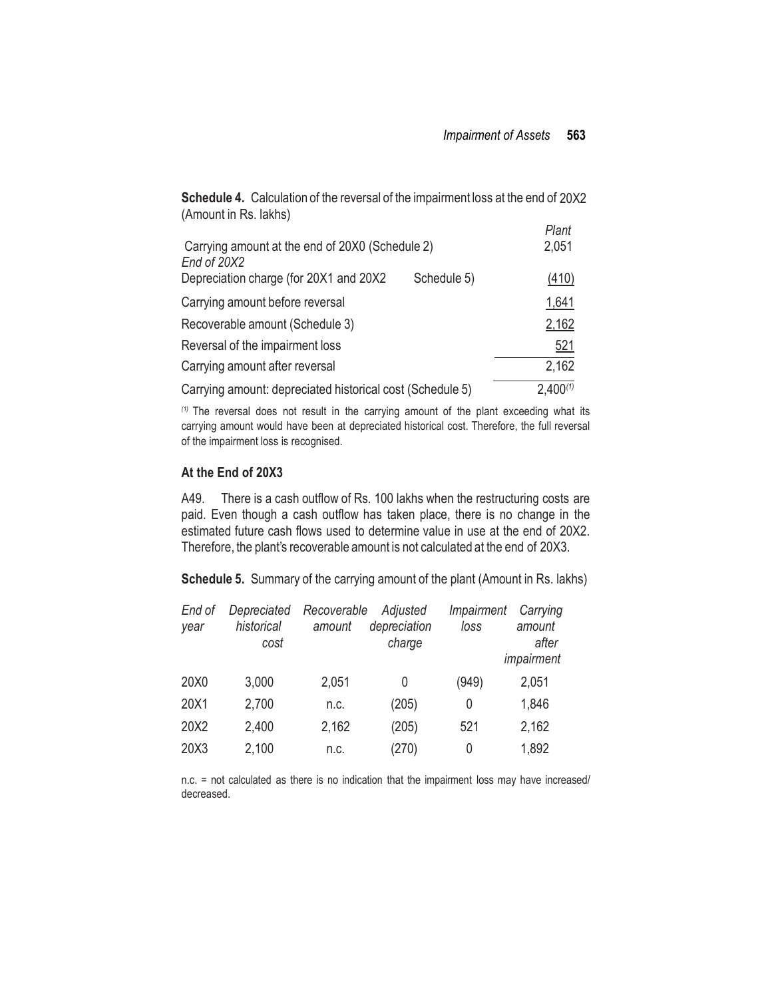| Carrying amount at the end of 20X0 (Schedule 2)<br>End of 20X2 |             | Plant<br>2,051 |
|----------------------------------------------------------------|-------------|----------------|
| Depreciation charge (for 20X1 and 20X2                         | Schedule 5) | (410)          |
| Carrying amount before reversal                                |             | 1,641          |
| Recoverable amount (Schedule 3)                                |             | 2,162          |
| Reversal of the impairment loss                                |             | <u>521</u>     |
| Carrying amount after reversal                                 |             | 2,162          |
| Carrying amount: depreciated historical cost (Schedule 5)      |             | $2,400^{(1)}$  |

**Schedule 4.** Calculation of the reversal of the impairment loss at the end of 20X2 (Amount in Rs. lakhs)

*(1)* The reversal does not result in the carrying amount of the plant exceeding what its carrying amount would have been at depreciated historical cost. Therefore, the full reversal of the impairment loss is recognised.

#### **At the End of 20X3**

A49. There is a cash outflow of Rs. 100 lakhs when the restructuring costs are paid. Even though a cash outflow has taken place, there is no change in the estimated future cash flows used to determine value in use at the end of 20X2. Therefore, the plant's recoverable amount is not calculated at the end of 20X3.

**Schedule 5.** Summary of the carrying amount of the plant (Amount in Rs. lakhs)

| End of<br>year | Depreciated<br>historical | Recoverable<br>amount | Adjusted<br>depreciation | Impairment<br>loss | Carrying<br>amount |
|----------------|---------------------------|-----------------------|--------------------------|--------------------|--------------------|
|                | cost                      |                       | charge                   |                    | after              |
|                |                           |                       |                          |                    | impairment         |
| 20X0           | 3,000                     | 2,051                 | 0                        | (949)              | 2,051              |
| 20X1           | 2,700                     | n.c.                  | (205)                    | 0                  | 1,846              |
| 20X2           | 2,400                     | 2,162                 | (205)                    | 521                | 2,162              |
| 20X3           | 2,100                     | n.c.                  | (270)                    | 0                  | 1,892              |

n.c. = not calculated as there is no indication that the impairment loss may have increased/ decreased.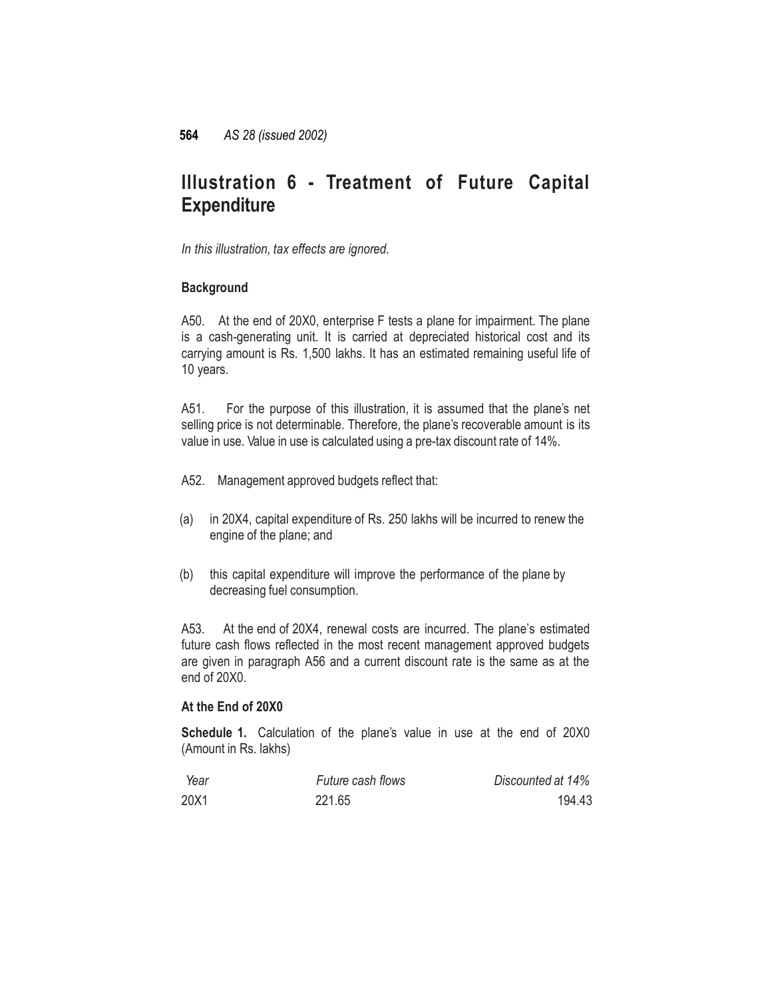# **Illustration 6 - Treatment of Future Capital Expenditure**

*In this illustration, tax effects are ignored.*

## **Background**

A50. At the end of 20X0, enterprise F tests a plane for impairment. The plane is a cash-generating unit. It is carried at depreciated historical cost and its carrying amount is Rs. 1,500 lakhs. It has an estimated remaining useful life of 10 years.

A51. For the purpose of this illustration, it is assumed that the plane's net selling price is not determinable. Therefore, the plane's recoverable amount is its value in use. Value in use is calculated using a pre-tax discount rate of 14%.

- A52. Management approved budgets reflect that:
- (a) in 20X4, capital expenditure of Rs. 250 lakhs will be incurred to renew the engine of the plane; and
- (b) this capital expenditure will improve the performance of the plane by decreasing fuel consumption.

A53. At the end of 20X4, renewal costs are incurred. The plane's estimated future cash flows reflected in the most recent management approved budgets are given in paragraph A56 and a current discount rate is the same as at the end of 20X0.

## **At the End of 20X0**

**Schedule 1.** Calculation of the plane's value in use at the end of 20X0 (Amount in Rs. lakhs)

| Year | Future cash flows | Discounted at 14% |
|------|-------------------|-------------------|
| 20X1 | 221.65            | 194.43            |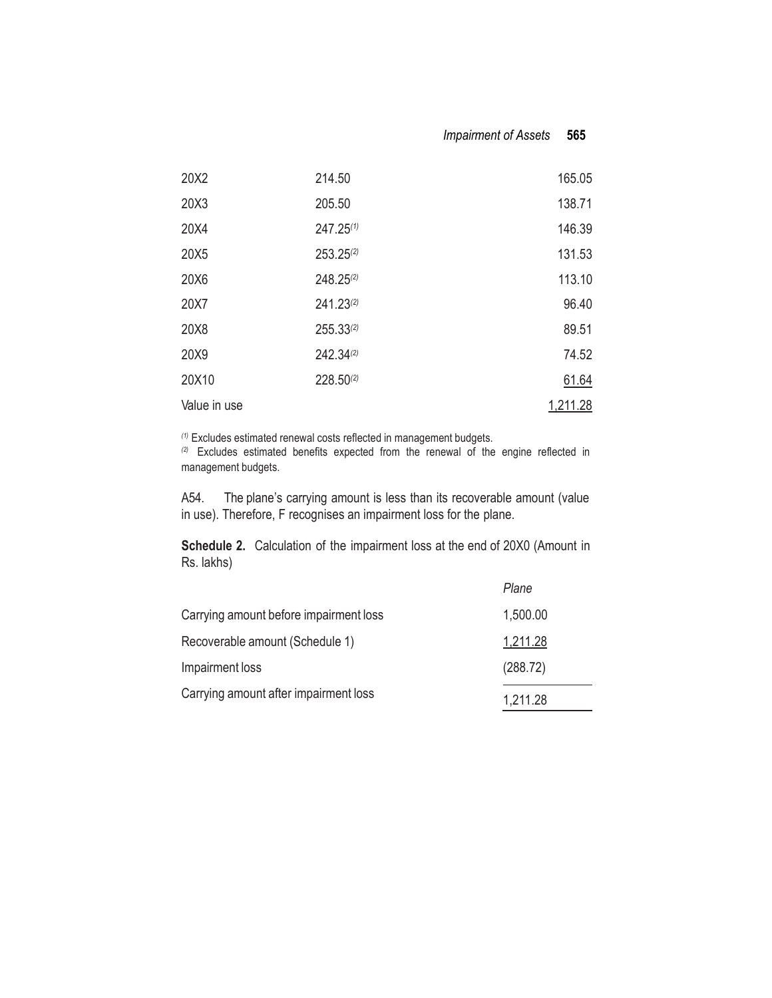| 20X2         | 214.50         | 165.05   |
|--------------|----------------|----------|
| 20X3         | 205.50         | 138.71   |
| 20X4         | $247.25^{(1)}$ | 146.39   |
| 20X5         | $253.25^{(2)}$ | 131.53   |
| 20X6         | $248.25^{(2)}$ | 113.10   |
| 20X7         | $241.23^{(2)}$ | 96.40    |
| 20X8         | $255.33^{(2)}$ | 89.51    |
| 20X9         | $242.34^{(2)}$ | 74.52    |
| 20X10        | $228.50^{(2)}$ | 61.64    |
| Value in use |                | 1,211.28 |

*(1)* Excludes estimated renewal costs reflected in management budgets.

*(2)* Excludes estimated benefits expected from the renewal of the engine reflected in management budgets.

A54. The plane's carrying amount is less than its recoverable amount (value in use). Therefore, F recognises an impairment loss for the plane.

**Schedule 2.** Calculation of the impairment loss at the end of 20X0 (Amount in Rs. lakhs)

|                                        | Plane    |
|----------------------------------------|----------|
| Carrying amount before impairment loss | 1,500.00 |
| Recoverable amount (Schedule 1)        | 1,211.28 |
| Impairment loss                        | (288.72) |
| Carrying amount after impairment loss  | 1,211.28 |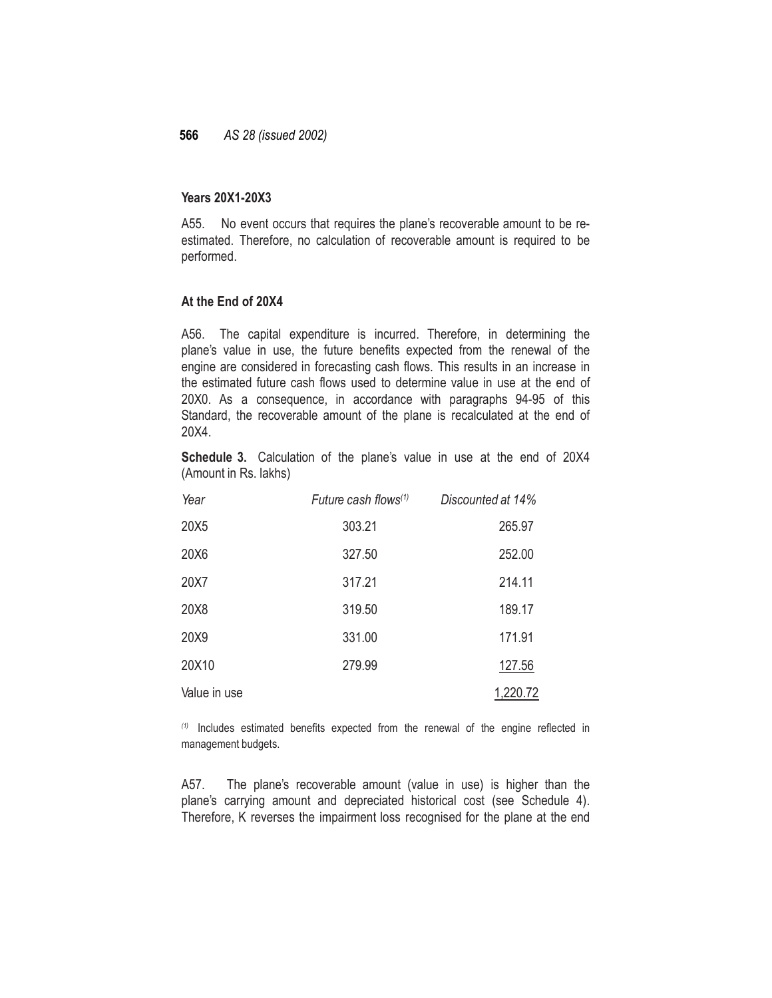#### **Years 20X1-20X3**

A55. No event occurs that requires the plane's recoverable amount to be reestimated. Therefore, no calculation of recoverable amount is required to be performed.

#### **At the End of 20X4**

A56. The capital expenditure is incurred. Therefore, in determining the plane's value in use, the future benefits expected from the renewal of the engine are considered in forecasting cash flows. This results in an increase in the estimated future cash flows used to determine value in use at the end of 20X0. As a consequence, in accordance with paragraphs 94-95 of this Standard, the recoverable amount of the plane is recalculated at the end of 20X4.

**Schedule 3.** Calculation of the plane's value in use at the end of 20X4 (Amount in Rs. lakhs)

| Year         | Future cash flows <sup>(1)</sup> | Discounted at 14% |
|--------------|----------------------------------|-------------------|
| 20X5         | 303.21                           | 265.97            |
| 20X6         | 327.50                           | 252.00            |
| 20X7         | 317.21                           | 214.11            |
| 20X8         | 319.50                           | 189.17            |
| 20X9         | 331.00                           | 171.91            |
| 20X10        | 279.99                           | 127.56            |
| Value in use |                                  | 1,220.72          |

*(1)* Includes estimated benefits expected from the renewal of the engine reflected in management budgets.

A57. The plane's recoverable amount (value in use) is higher than the plane's carrying amount and depreciated historical cost (see Schedule 4). Therefore, K reverses the impairment loss recognised for the plane at the end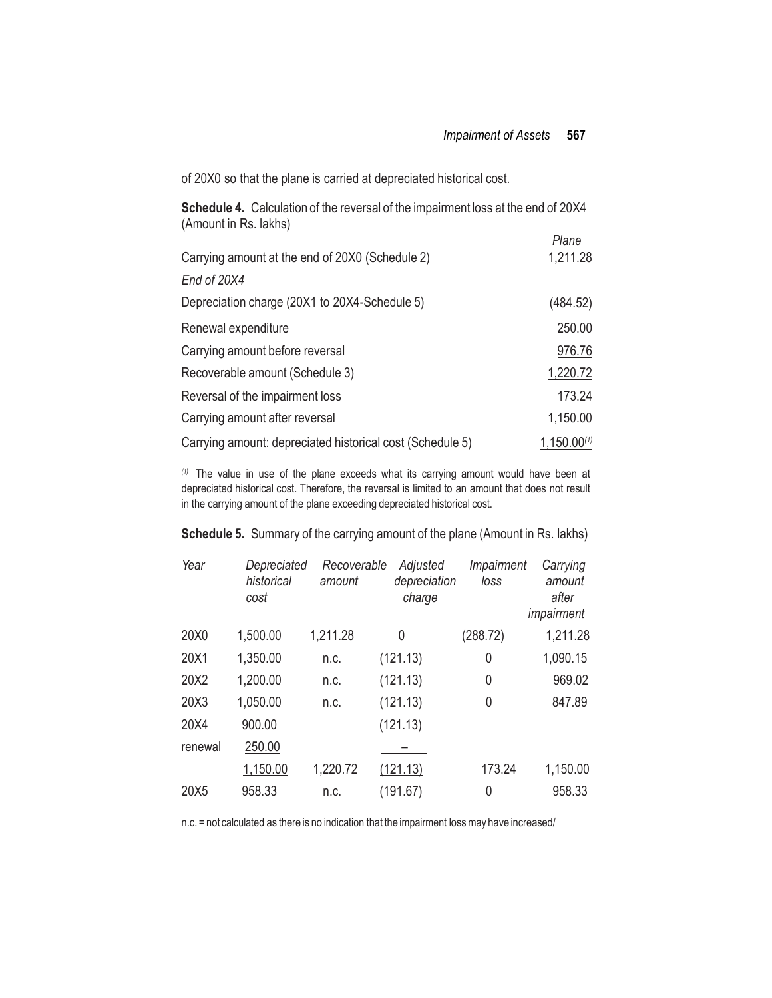of 20X0 so that the plane is carried at depreciated historical cost.

| <b>Schedule 4.</b> Calculation of the reversal of the impairment loss at the end of 20X4 |          |
|------------------------------------------------------------------------------------------|----------|
| (Amount in Rs. lakhs)                                                                    |          |
|                                                                                          | Plane    |
| Carrying amount at the end of $20X0$ (Schedule $2)$ )                                    | 1 211 28 |

| <u>Uditivility diffusified end of European controduce F</u> | .           |
|-------------------------------------------------------------|-------------|
| End of 20X4                                                 |             |
| Depreciation charge (20X1 to 20X4-Schedule 5)               | (484.52)    |
| Renewal expenditure                                         | 250.00      |
| Carrying amount before reversal                             | 976.76      |
| Recoverable amount (Schedule 3)                             | 1,220.72    |
| Reversal of the impairment loss                             | 173.24      |
| Carrying amount after reversal                              | 1,150.00    |
| Carrying amount: depreciated historical cost (Schedule 5)   | 1,150.00(1) |

*(1)* The value in use of the plane exceeds what its carrying amount would have been at depreciated historical cost. Therefore, the reversal is limited to an amount that does not result in the carrying amount of the plane exceeding depreciated historical cost.

**Schedule 5.** Summary of the carrying amount of the plane (Amount in Rs. lakhs)

| Year    | Depreciated<br>historical<br>cost | Recoverable<br>amount | Adjusted<br>depreciation<br>charge | <i>Impairment</i><br>loss | Carrying<br>amount<br>after<br>impairment |
|---------|-----------------------------------|-----------------------|------------------------------------|---------------------------|-------------------------------------------|
| 20X0    | 1,500.00                          | 1,211.28              | 0                                  | (288.72)                  | 1,211.28                                  |
| 20X1    | 1,350.00                          | n.c.                  | (121.13)                           | 0                         | 1,090.15                                  |
| 20X2    | 1,200.00                          | n.c.                  | (121.13)                           | 0                         | 969.02                                    |
| 20X3    | 1,050.00                          | n.c.                  | (121.13)                           | 0                         | 847.89                                    |
| 20X4    | 900.00                            |                       | (121.13)                           |                           |                                           |
| renewal | 250.00                            |                       |                                    |                           |                                           |
|         | 1,150.00                          | 1,220.72              | (121.13)                           | 173.24                    | 1,150.00                                  |
| 20X5    | 958.33                            | n.c.                  | (191.67)                           | 0                         | 958.33                                    |

n.c. = not calculated as there is no indication that the impairment lossmay have increased/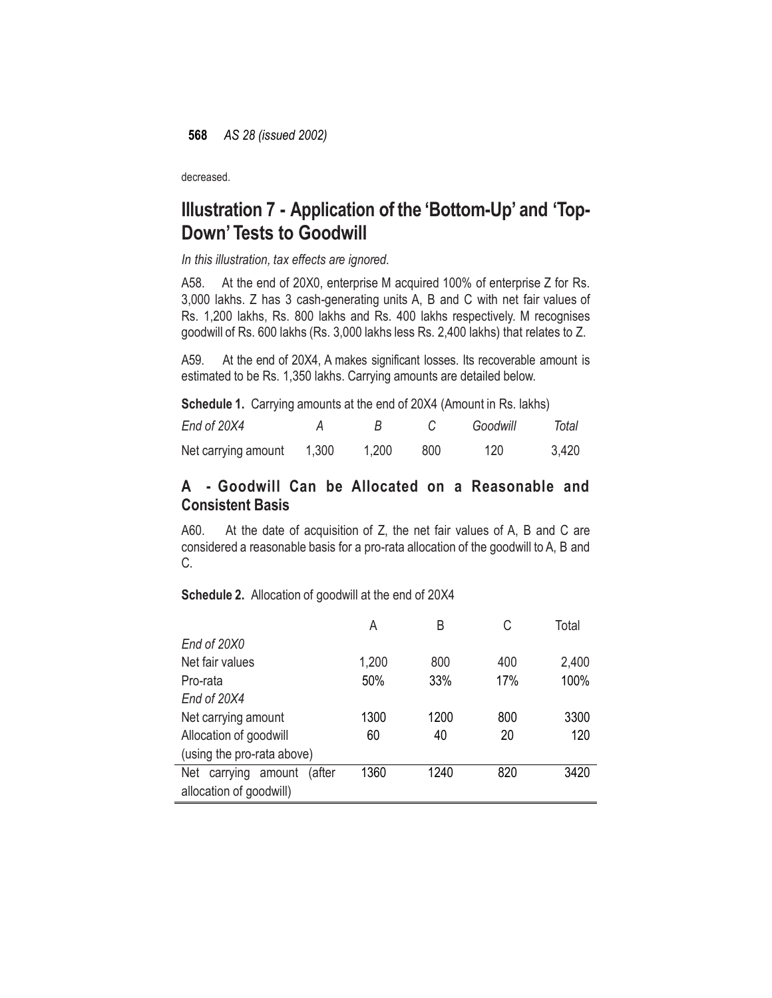decreased.

# **Illustration 7 - Application of the 'Bottom-Up' and 'Top-Down' Tests to Goodwill**

*In this illustration, tax effects are ignored.*

A58. At the end of 20X0, enterprise M acquired 100% of enterprise Z for Rs. 3,000 lakhs. Z has 3 cash-generating units A, B and C with net fair values of Rs. 1,200 lakhs, Rs. 800 lakhs and Rs. 400 lakhs respectively. M recognises goodwill of Rs. 600 lakhs (Rs. 3,000 lakhs less Rs. 2,400 lakhs) that relates to Z.

A59. At the end of 20X4, A makes significant losses. Its recoverable amount is estimated to be Rs. 1,350 lakhs. Carrying amounts are detailed below.

**Schedule 1.** Carrying amounts at the end of 20X4 (Amount in Rs. lakhs)

| End of 20X4               |       |      | Goodwill | Total |
|---------------------------|-------|------|----------|-------|
| Net carrying amount 1,300 | 1.200 | -800 | 120      | 3,420 |

# **A - Goodwill Can be Allocated on a Reasonable and Consistent Basis**

A60. At the date of acquisition of Z, the net fair values of A, B and C are considered a reasonable basis for a pro-rata allocation of the goodwill to A, B and C.

**Schedule 2.** Allocation of goodwill at the end of 20X4

|                                  | А     | B    |     | Total |
|----------------------------------|-------|------|-----|-------|
| End of 20X0                      |       |      |     |       |
| Net fair values                  | 1,200 | 800  | 400 | 2,400 |
| Pro-rata                         | 50%   | 33%  | 17% | 100%  |
| End of 20X4                      |       |      |     |       |
| Net carrying amount              | 1300  | 1200 | 800 | 3300  |
| Allocation of goodwill           | 60    | 40   | 20  | 120   |
| (using the pro-rata above)       |       |      |     |       |
| carrying amount<br>Net<br>(after | 1360  | 1240 | 820 | 3420  |
| allocation of goodwill)          |       |      |     |       |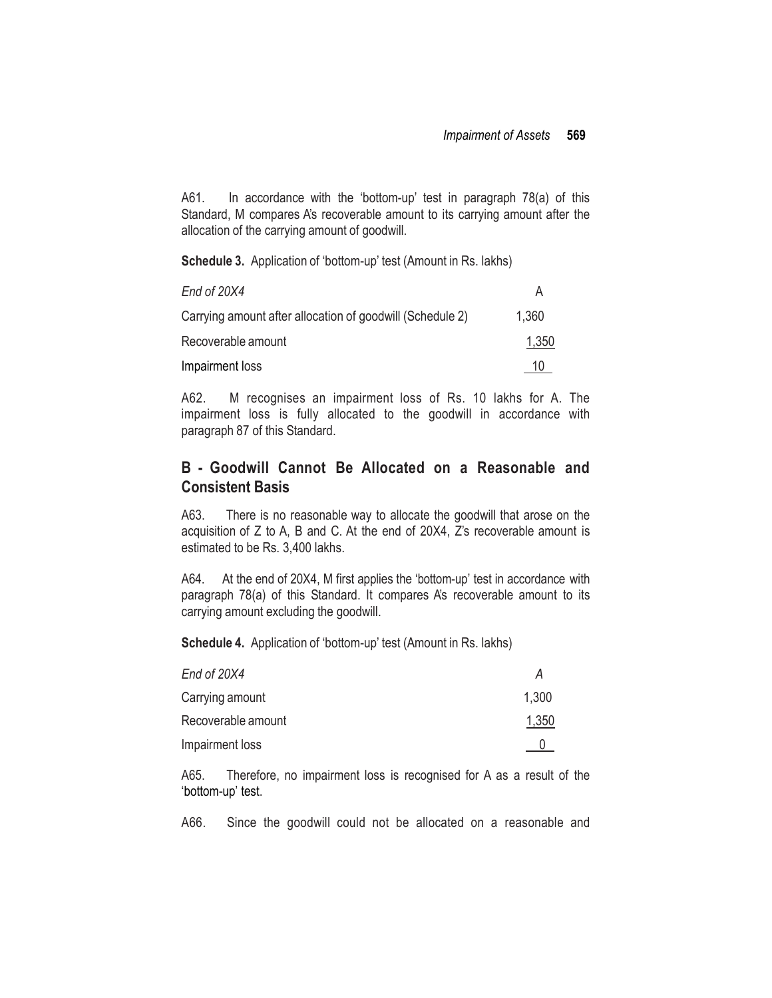A61. In accordance with the 'bottom-up' test in paragraph 78(a) of this Standard, M compares A's recoverable amount to its carrying amount after the allocation of the carrying amount of goodwill.

**Schedule 3.** Application of 'bottom-up' test (Amount in Rs. lakhs)

| End of 20X4                                               |       |
|-----------------------------------------------------------|-------|
| Carrying amount after allocation of goodwill (Schedule 2) | 1,360 |
| Recoverable amount                                        | 1,350 |
| Impairment loss                                           | 10    |

A62. M recognises an impairment loss of Rs. 10 lakhs for A. The impairment loss is fully allocated to the goodwill in accordance with paragraph 87 of this Standard.

# **B - Goodwill Cannot Be Allocated on a Reasonable and Consistent Basis**

A63. There is no reasonable way to allocate the goodwill that arose on the acquisition of Z to A, B and C. At the end of 20X4, Z's recoverable amount is estimated to be Rs. 3,400 lakhs.

A64. At the end of 20X4, M first applies the 'bottom-up' test in accordance with paragraph 78(a) of this Standard. It compares A's recoverable amount to its carrying amount excluding the goodwill.

**Schedule 4.** Application of 'bottom-up' test (Amount in Rs. lakhs)

| End of 20X4        |       |
|--------------------|-------|
| Carrying amount    | 1,300 |
| Recoverable amount | 1,350 |
| Impairment loss    |       |

A65. Therefore, no impairment loss is recognised for A as a result of the 'bottom-up' test.

A66. Since the goodwill could not be allocated on a reasonable and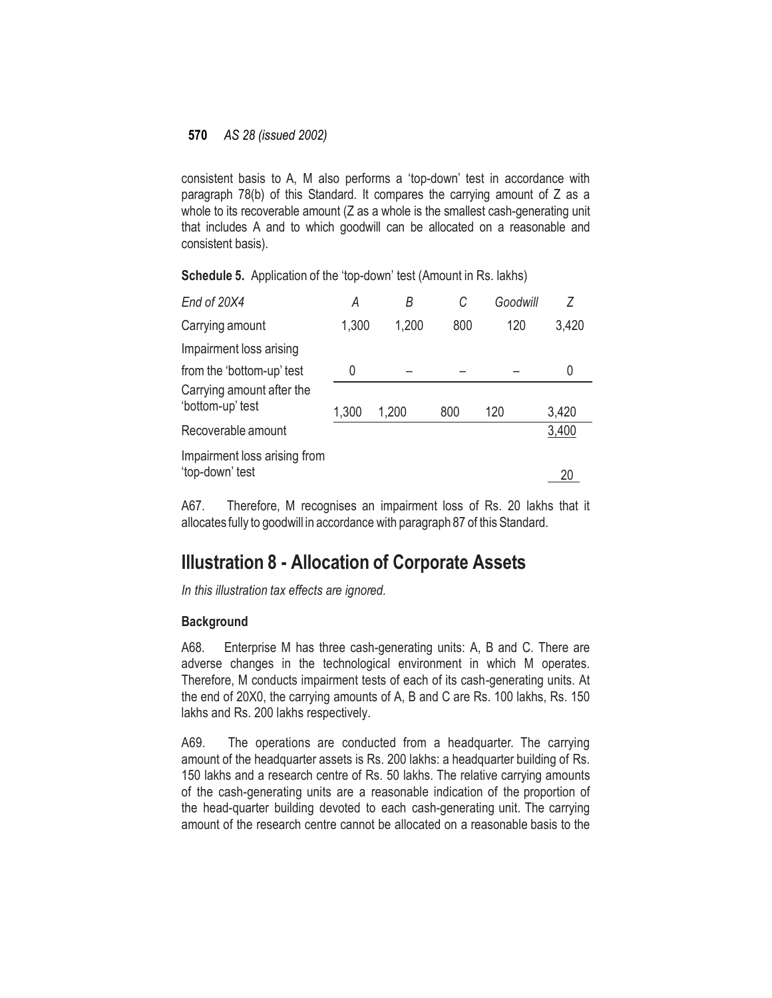consistent basis to A, M also performs a 'top-down' test in accordance with paragraph 78(b) of this Standard. It compares the carrying amount of Z as a whole to its recoverable amount (Z as a whole is the smallest cash-generating unit that includes A and to which goodwill can be allocated on a reasonable and consistent basis).

| End of 20X4                                     | А     | Β     | C   | Goodwill | 7     |
|-------------------------------------------------|-------|-------|-----|----------|-------|
| Carrying amount                                 | 1,300 | 1,200 | 800 | 120      | 3,420 |
| Impairment loss arising                         |       |       |     |          |       |
| from the 'bottom-up' test                       | O     |       |     |          | 0     |
| Carrying amount after the<br>'bottom-up' test   | 1,300 | 1,200 | 800 | 120      | 3,420 |
| Recoverable amount                              |       |       |     |          | 3,400 |
| Impairment loss arising from<br>'top-down' test |       |       |     |          | 20    |

**Schedule 5.** Application of the 'top-down' test (Amount in Rs. lakhs)

A67. Therefore, M recognises an impairment loss of Rs. 20 lakhs that it allocates fully to goodwill in accordance with paragraph 87 of this Standard.

# **Illustration 8 - Allocation of Corporate Assets**

*In this illustration tax effects are ignored.*

#### **Background**

A68. Enterprise M has three cash-generating units: A, B and C. There are adverse changes in the technological environment in which M operates. Therefore, M conducts impairment tests of each of its cash-generating units. At the end of 20X0, the carrying amounts of A, B and C are Rs. 100 lakhs, Rs. 150 lakhs and Rs. 200 lakhs respectively.

A69. The operations are conducted from a headquarter. The carrying amount of the headquarter assets is Rs. 200 lakhs: a headquarter building of Rs. 150 lakhs and a research centre of Rs. 50 lakhs. The relative carrying amounts of the cash-generating units are a reasonable indication of the proportion of the head-quarter building devoted to each cash-generating unit. The carrying amount of the research centre cannot be allocated on a reasonable basis to the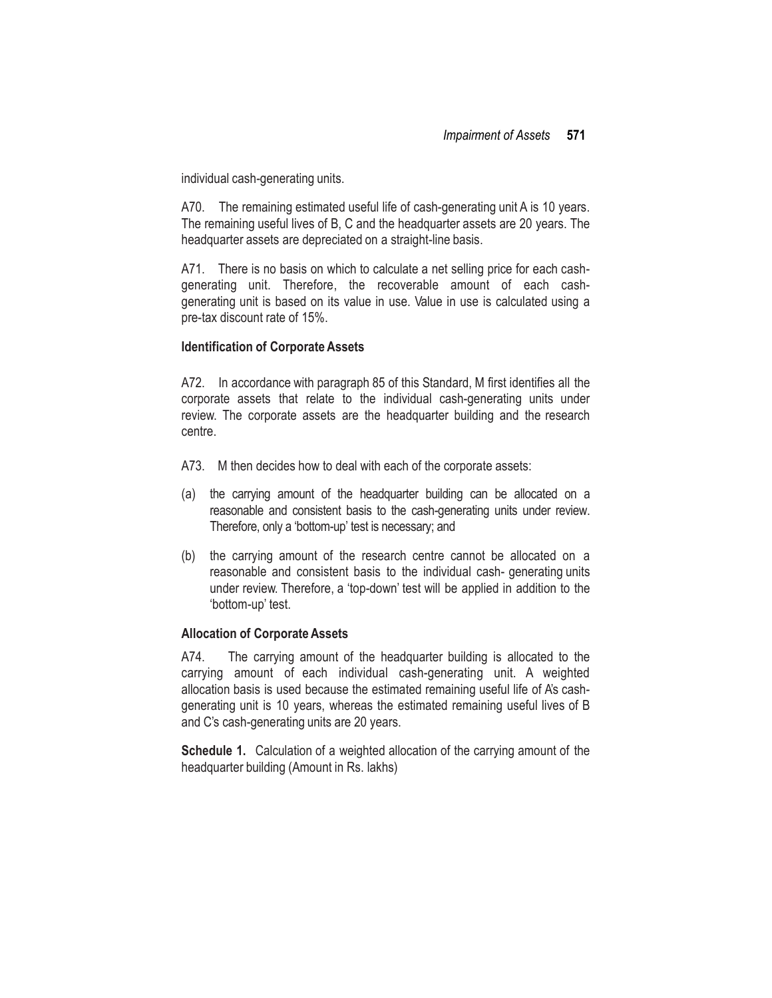individual cash-generating units.

A70. The remaining estimated useful life of cash-generating unit A is 10 years. The remaining useful lives of B, C and the headquarter assets are 20 years. The headquarter assets are depreciated on a straight-line basis.

A71. There is no basis on which to calculate a net selling price for each cashgenerating unit. Therefore, the recoverable amount of each cashgenerating unit is based on its value in use. Value in use is calculated using a pre-tax discount rate of 15%.

#### **Identification of Corporate Assets**

A72. In accordance with paragraph 85 of this Standard, M first identifies all the corporate assets that relate to the individual cash-generating units under review. The corporate assets are the headquarter building and the research centre.

- A73. M then decides how to deal with each of the corporate assets:
- (a) the carrying amount of the headquarter building can be allocated on a reasonable and consistent basis to the cash-generating units under review. Therefore, only a 'bottom-up' test is necessary; and
- (b) the carrying amount of the research centre cannot be allocated on a reasonable and consistent basis to the individual cash- generating units under review. Therefore, a 'top-down' test will be applied in addition to the 'bottom-up' test.

#### **Allocation of Corporate Assets**

A74. The carrying amount of the headquarter building is allocated to the carrying amount of each individual cash-generating unit. A weighted allocation basis is used because the estimated remaining useful life of A's cashgenerating unit is 10 years, whereas the estimated remaining useful lives of B and C's cash-generating units are 20 years.

**Schedule 1.** Calculation of a weighted allocation of the carrying amount of the headquarter building (Amount in Rs. lakhs)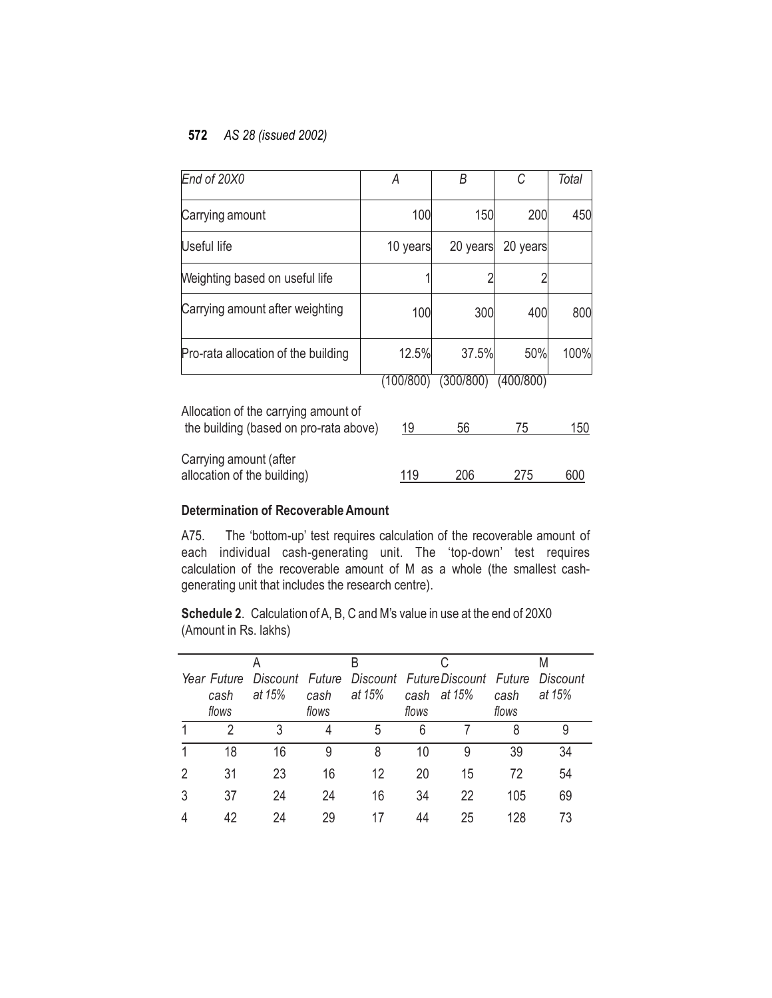| End of 20X0                                                                    | А         | В         | С         | Total |
|--------------------------------------------------------------------------------|-----------|-----------|-----------|-------|
| Carrying amount                                                                | 100       | 150       | 200       | 450   |
| Useful life                                                                    | 10 years  | 20 years  | 20 years  |       |
| Weighting based on useful life                                                 |           |           |           |       |
| Carrying amount after weighting                                                | 100       | 300       | 400       | 800   |
| Pro-rata allocation of the building                                            | 12.5%     | 37.5%     | 50%       | 100%  |
|                                                                                | (100/800) | (300/800) | (400/800) |       |
| Allocation of the carrying amount of<br>the building (based on pro-rata above) | 19        | 56        | 75        | 150   |

| Carrying amount (after      |     |     |     |
|-----------------------------|-----|-----|-----|
| allocation of the building) | 119 | 206 | 600 |

## **Determination of RecoverableAmount**

A75. The 'bottom-up' test requires calculation of the recoverable amount of each individual cash-generating unit. The 'top-down' test requires calculation of the recoverable amount of M as a whole (the smallest cashgenerating unit that includes the research centre).

**Schedule 2**. Calculation of A, B, C and M's value in use at the end of 20X0 (Amount in Rs. lakhs)

|             | Α      |       | B      |       |                                                |       | M        |
|-------------|--------|-------|--------|-------|------------------------------------------------|-------|----------|
| Year Future |        |       |        |       | Discount Future Discount FutureDiscount Future |       | Discount |
| cash        | at 15% | cash  | at 15% | cash  | at 15%                                         | cash  | at 15%   |
| flows       |        | flows |        | flows |                                                | flows |          |
| 2           | 3      | 4     | 5      | 6     |                                                | 8     | 9        |
| 18          | 16     | 9     | 8      | 10    | 9                                              | 39    | 34       |
| 31          | 23     | 16    | 12     | 20    | 15                                             | 72    | 54       |
| 37          | 24     | 24    | 16     | 34    | 22                                             | 105   | 69       |
| 42          | 24     | 29    | 17     | 44    | 25                                             | 128   | 73       |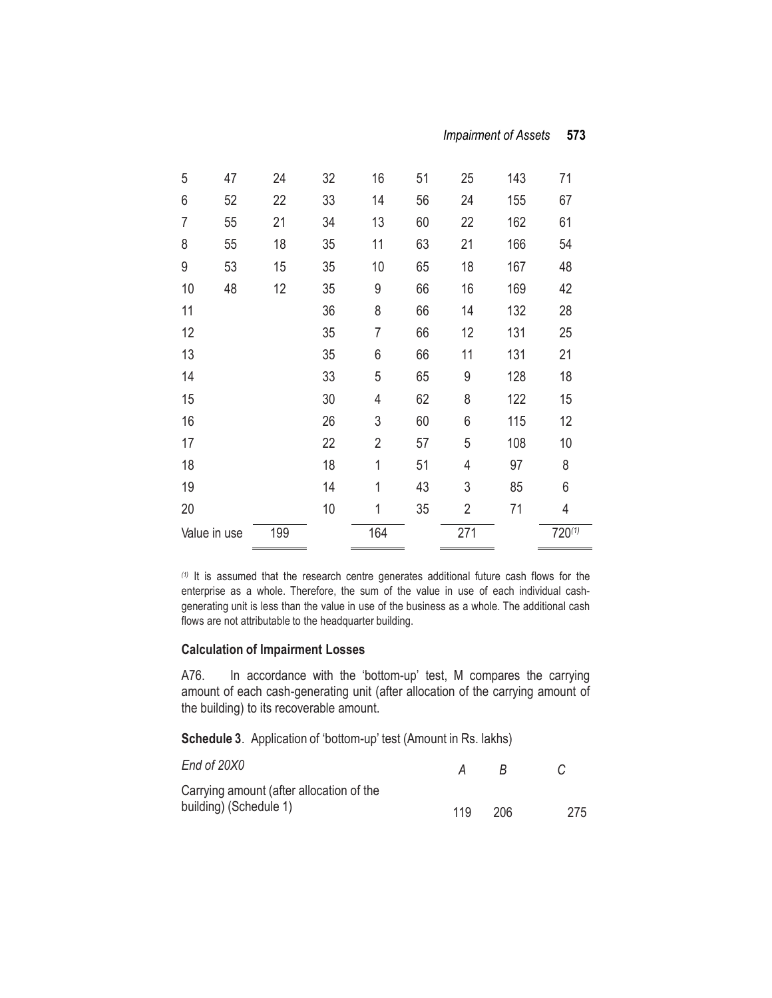| 24<br>16<br>5<br>47<br>32<br>51<br>25<br>143<br>6<br>22<br>33<br>14<br>24<br>52<br>56<br>155<br>7<br>13<br>162<br>21<br>34<br>60<br>22<br>55<br>8<br>11<br>166<br>18<br>63<br>21<br>55<br>35<br>9<br>10<br>18<br>53<br>15<br>65<br>167<br>35<br>9<br>16<br>10<br>12<br>169<br>48<br>35<br>66<br>8<br>11<br>36<br>14<br>132<br>66<br>$\overline{7}$<br>12<br>35<br>12<br>131<br>66<br>6<br>13<br>131<br>35<br>66<br>11<br>5<br>9<br>14<br>33<br>128<br>65<br>4<br>8<br>122<br>15<br>30<br>62<br>3<br>6<br>16<br>26<br>60<br>115<br>17<br>$\overline{2}$<br>5<br>22<br>108<br>57<br>$\mathbf{1}$<br>18<br>18<br>4<br>97<br>51<br>3<br>1<br>19<br>14<br>43<br>85<br>1<br>$\overline{2}$<br>20<br>10<br>71<br>35 |             |
|--------------------------------------------------------------------------------------------------------------------------------------------------------------------------------------------------------------------------------------------------------------------------------------------------------------------------------------------------------------------------------------------------------------------------------------------------------------------------------------------------------------------------------------------------------------------------------------------------------------------------------------------------------------------------------------------------------------|-------------|
|                                                                                                                                                                                                                                                                                                                                                                                                                                                                                                                                                                                                                                                                                                              | 71          |
|                                                                                                                                                                                                                                                                                                                                                                                                                                                                                                                                                                                                                                                                                                              | 67          |
|                                                                                                                                                                                                                                                                                                                                                                                                                                                                                                                                                                                                                                                                                                              | 61          |
|                                                                                                                                                                                                                                                                                                                                                                                                                                                                                                                                                                                                                                                                                                              | 54          |
|                                                                                                                                                                                                                                                                                                                                                                                                                                                                                                                                                                                                                                                                                                              | 48          |
|                                                                                                                                                                                                                                                                                                                                                                                                                                                                                                                                                                                                                                                                                                              | 42          |
|                                                                                                                                                                                                                                                                                                                                                                                                                                                                                                                                                                                                                                                                                                              | 28          |
|                                                                                                                                                                                                                                                                                                                                                                                                                                                                                                                                                                                                                                                                                                              | 25          |
|                                                                                                                                                                                                                                                                                                                                                                                                                                                                                                                                                                                                                                                                                                              | 21          |
|                                                                                                                                                                                                                                                                                                                                                                                                                                                                                                                                                                                                                                                                                                              | 18          |
|                                                                                                                                                                                                                                                                                                                                                                                                                                                                                                                                                                                                                                                                                                              | 15          |
|                                                                                                                                                                                                                                                                                                                                                                                                                                                                                                                                                                                                                                                                                                              | 12          |
|                                                                                                                                                                                                                                                                                                                                                                                                                                                                                                                                                                                                                                                                                                              | 10          |
|                                                                                                                                                                                                                                                                                                                                                                                                                                                                                                                                                                                                                                                                                                              | 8           |
|                                                                                                                                                                                                                                                                                                                                                                                                                                                                                                                                                                                                                                                                                                              | 6           |
|                                                                                                                                                                                                                                                                                                                                                                                                                                                                                                                                                                                                                                                                                                              | 4           |
| 164<br>271<br>199<br>Value in use                                                                                                                                                                                                                                                                                                                                                                                                                                                                                                                                                                                                                                                                            | $720^{(1)}$ |

*Impairment of Assets* **573**

*(1)* It is assumed that the research centre generates additional future cash flows for the enterprise as a whole. Therefore, the sum of the value in use of each individual cashgenerating unit is less than the value in use of the business as a whole. The additional cash flows are not attributable to the headquarter building.

## **Calculation of Impairment Losses**

A76. In accordance with the 'bottom-up' test, M compares the carrying amount of each cash-generating unit (after allocation of the carrying amount of the building) to its recoverable amount.

**Schedule 3**. Application of 'bottom-up' test (Amount in Rs. lakhs)

| End of 20X0                              |     | $\mathsf H$ |     |
|------------------------------------------|-----|-------------|-----|
| Carrying amount (after allocation of the |     |             |     |
| building) (Schedule 1)                   | 119 | 206         | 275 |